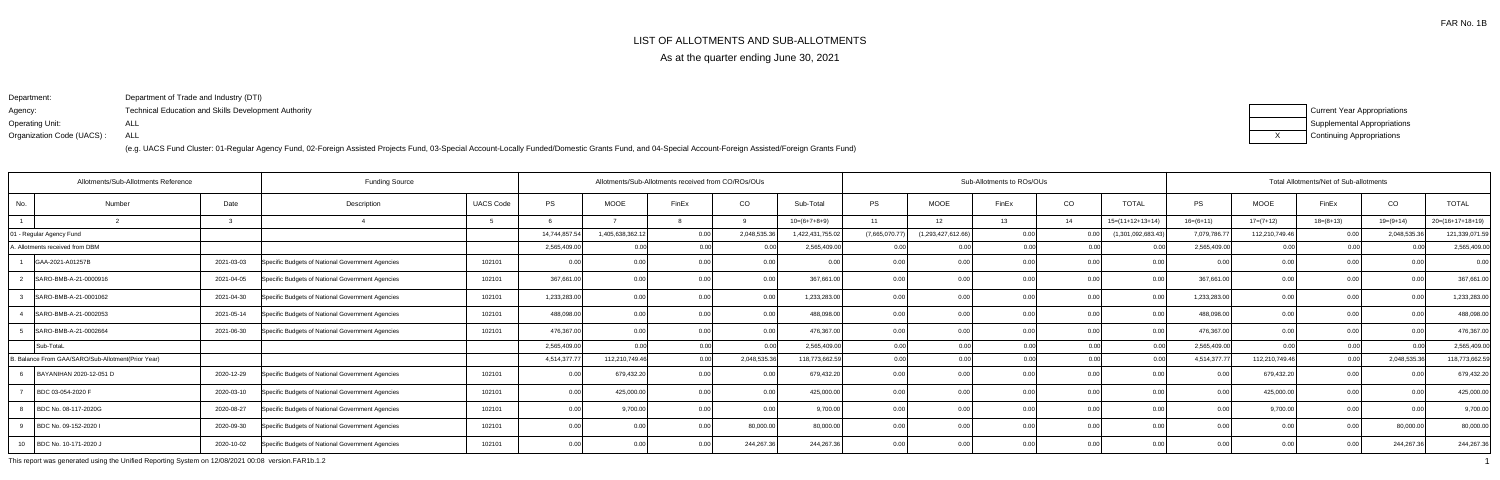## LIST OF ALLOTMENTS AND SUB-ALLOTMENTS

As at the quarter ending June 30, 2021

Department:Agency: Operating Unit:Organization Code (UACS) :Department of Trade and Industry (DTI)Technical Education and Skills Development AuthorityALLALL

(e.g. UACS Fund Cluster: 01-Regular Agency Fund, 02-Foreign Assisted Projects Fund, 03-Special Account-Locally Funded/Domestic Grants Fund, and 04-Special Account-Foreign Assisted/Foreign Grants Fund)

| <b>Current Year Appropriations</b> |
|------------------------------------|
| <b>Supplemental Appropriations</b> |
| <b>Continuing Appropriations</b>   |

| <b>Funding Source</b><br>Allotments/Sub-Allotments Reference |                                                    |            |                                                  | Allotments/Sub-Allotments received from CO/ROs/OUs |               |                  |       |                |                  | Sub-Allotments to ROs/OUs |                    |       | Total Allotments/Net of Sub-allotments |                    |              |                |             |             |                    |
|--------------------------------------------------------------|----------------------------------------------------|------------|--------------------------------------------------|----------------------------------------------------|---------------|------------------|-------|----------------|------------------|---------------------------|--------------------|-------|----------------------------------------|--------------------|--------------|----------------|-------------|-------------|--------------------|
| No.                                                          | Number                                             | Date       | Description                                      | <b>UACS Code</b>                                   | <b>PS</b>     | <b>MOOE</b>      | FinEx | CO             | Sub-Total        | <b>PS</b>                 | <b>MOOE</b>        | FinEx | CO                                     | <b>TOTAL</b>       | PS           | <b>MOOE</b>    | FinEx       | CO          | <b>TOTAL</b>       |
|                                                              |                                                    |            |                                                  |                                                    |               |                  |       |                | $10=(6+7+8+9)$   | 11                        | 12                 | 13    | 14                                     | $15=(11+12+13+14)$ | $16=(6+11)$  | $17=(7+12)$    | $18=(8+13)$ | $19=(9+14)$ | $20=(16+17+18+19)$ |
| - Regular Agency Fund                                        |                                                    |            |                                                  |                                                    | 14,744,857.54 | 1,405,638,362.12 | 0.00  | 2,048,535.3    | 1,422,431,755.02 | (7,665,070.77)            | (1,293,427,612.66) | 0.00  |                                        | (1,301,092,683.43) | 7,079,786.77 | 112,210,749.46 |             | 2,048,535.3 | 121,339,071.59     |
| A. Allotments received from DBM                              |                                                    |            |                                                  |                                                    | 2,565,409.00  | 0.00             |       | n ool          | 2,565,409.00     |                           | 0.00               | በ በበ  | 0.00                                   |                    | 2,565,409.00 | 0.00           | 0.00        |             | 2,565,409.00       |
| GAA-2021-A01257B                                             |                                                    | 2021-03-03 | Specific Budgets of National Government Agencies | 102101                                             | 0.00          | 0.00             |       | 0.00           |                  | 0.00                      | 0.00               |       | 0.00                                   | 0.00               |              | 0.00           | 0.00        |             | 0.00               |
|                                                              | SARO-BMB-A-21-0000916                              | 2021-04-05 | Specific Budgets of National Government Agencies | 102101                                             | 367,661.00    | 0.00             |       | 0.00           | 367,661.00       | 0.00                      |                    |       |                                        | 0.00               | 367,661.00   | 0.00           |             |             | 367,661.00         |
|                                                              | SARO-BMB-A-21-0001062                              | 2021-04-30 | Specific Budgets of National Government Agencies | 102101                                             | 1,233,283.00  | 0.00             |       | 0 <sub>0</sub> | 1,233,283.00     | 0.00                      |                    |       |                                        |                    | 1,233,283.00 | 0 <sub>0</sub> |             |             | 1,233,283.00       |
|                                                              | SARO-BMB-A-21-0002053                              | 2021-05-14 | Specific Budgets of National Government Agencies | 102101                                             | 488,098.00    | 0.00             |       | 0.00           | 488,098.00       | 0.00                      | 0.00               |       | -0.0                                   |                    | 488,098.00   | 0.00           | 0.00        |             | 488,098.00         |
|                                                              | SARO-BMB-A-21-0002664                              | 2021-06-30 | Specific Budgets of National Government Agencies | 102101                                             | 476,367.00    | 0.00             |       | 0.00           | 476,367.00       | 0.00                      | ሰ በ                |       | 0.00                                   | 0.OC               | 476,367.00   | 0 <sub>0</sub> | 0.00        |             | 476,367.00         |
| Sub-TotaL                                                    |                                                    |            |                                                  |                                                    | 2,565,409.00  | 0.00             |       | 0.00           | 2,565,409.00     | 0.001                     | 0.00               | ስ ስር  | 0.00                                   | 0 <sub>0</sub>     | 2,565,409.00 | 0.00           | 0.00        | 0.00        | 2,565,409.00       |
|                                                              | B. Balance From GAA/SARO/Sub-Allotment(Prior Year) |            |                                                  |                                                    | 4,514,377.77  | 112,210,749.46   | n nr  | 2,048,535.36   | 118,773,662.59   | 0.00                      | 0.00               |       |                                        |                    | 4,514,377.77 | 112,210,749.46 | 0.001       | 2,048,535.3 | 118,773,662.59     |
|                                                              | BAYANIHAN 2020-12-051 D                            | 2020-12-29 | Specific Budgets of National Government Agencies | 102101                                             | 0.00          | 679,432.20       |       |                | 679,432.20       |                           | 0.00               |       |                                        |                    |              | 679,432.20     |             |             | 679,432.20         |
| BDC 03-054-2020 F                                            |                                                    | 2020-03-10 | Specific Budgets of National Government Agencies | 102101                                             | 0.00          | 425,000.00       |       | n nr           | 425,000.00       | 0.00                      |                    |       |                                        | 0.00               | n nr         | 425,000.00     | 0.00        |             | 425,000.00         |
|                                                              | BDC No. 08-117-2020G                               | 2020-08-27 | Specific Budgets of National Government Agencies | 102101                                             | 0.00          | 9,700.00         |       | 0.00           | 9,700.00         | 0.001                     | 0.00               | 0.OC  | 0.00                                   | 0.00 <sub>1</sub>  | 0. QQ        | 9,700.00       | .N 00       |             | 9,700.00           |
|                                                              | BDC No. 09-152-2020 I                              | 2020-09-30 | Specific Budgets of National Government Agencies | 102101                                             | 0.00          | 0.00             |       | 80,000.00      | 80,000.00        | 0.00                      | 0.0                |       | 0.00                                   | 0.00               |              | 0 <sub>0</sub> |             | 80,000.00   | 80,000.00          |
| 10                                                           | BDC No. 10-171-2020 J                              | 2020-10-02 | Specific Budgets of National Government Agencies | 102101                                             | 0.00          | 0.00             | 0.00  | 244,267.3      | 244,267.36       | 0.00                      | 0.00               | n nr  | 0.00                                   | 0.00               | n nn I       | 0 <sup>0</sup> |             | 244,267.36  | 244,267.36         |

This report was generated using the Unified Reporting System on 12/08/2021 00:08 version.FAR1b.1.2<sup>1</sup>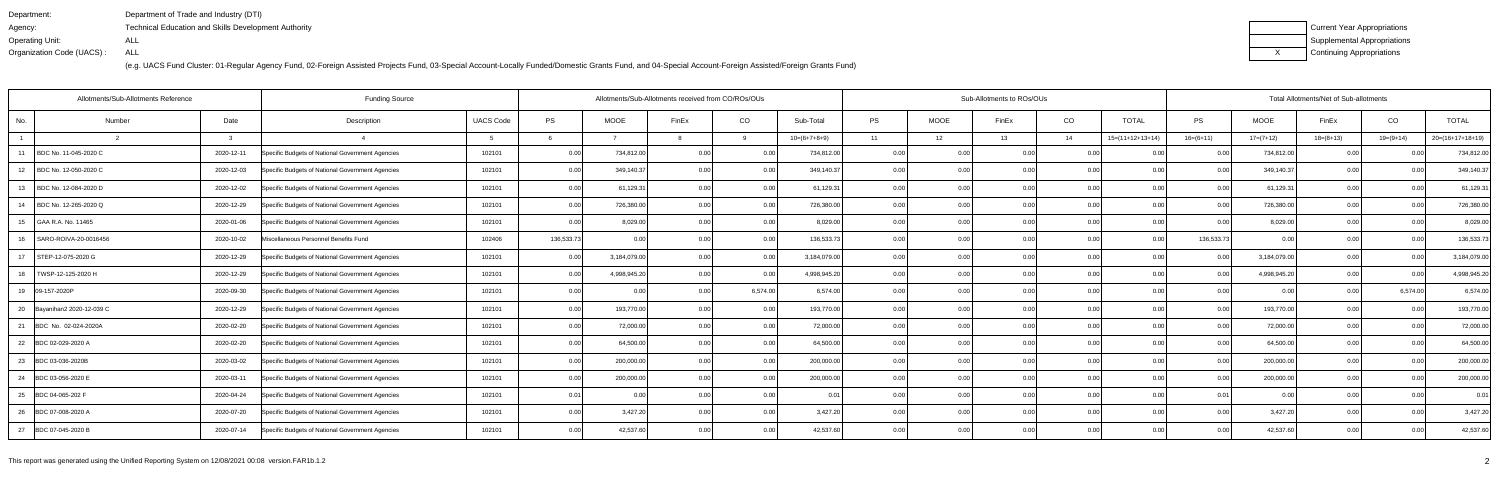| Department:               | Department of Trade and Industry (DTI)                      |
|---------------------------|-------------------------------------------------------------|
| Agency:                   | <b>Technical Education and Skills Development Authority</b> |
| Operating Unit:           | ALL                                                         |
| Organization Code (UACS): | ALL                                                         |

| Current Year Appropriations |
|-----------------------------|
| Supplemental Appropriations |
| Continuing Appropriations   |

| Allotments/Sub-Allotments Reference |              | <b>Funding Source</b>                            |                  |            |              | Allotments/Sub-Allotments received from CO/ROs/OUs |          |                |           |             | Sub-Allotments to ROs/OUs |      |                    |                |              | Total Allotments/Net of Sub-allotments |                |                    |
|-------------------------------------|--------------|--------------------------------------------------|------------------|------------|--------------|----------------------------------------------------|----------|----------------|-----------|-------------|---------------------------|------|--------------------|----------------|--------------|----------------------------------------|----------------|--------------------|
| No.<br>Number                       | Date         | Description                                      | <b>UACS Code</b> | <b>PS</b>  | <b>MOOE</b>  | FinEx                                              | CO       | Sub-Total      | <b>PS</b> | <b>MOOE</b> | FinEx                     | CO   | <b>TOTAL</b>       | <b>PS</b>      | <b>MOOE</b>  | FinEx                                  | CO             | <b>TOTAL</b>       |
|                                     | $\mathbf{R}$ |                                                  |                  |            |              |                                                    | റ        | $10=(6+7+8+9)$ | 11        | 12          | 13                        | 14   | $15=(11+12+13+14)$ | $16=(6+11)$    | $17=(7+12)$  | $18=(8+13)$                            | 19=(9+14)      | $20=(16+17+18+19)$ |
| BDC No. 11-045-2020 C<br>11         | 2020-12-11   | Specific Budgets of National Government Agencies | 102101           | 0.00       | 734,812.00   | 0.00                                               | 0.00     | 734,812.00     | 0.00      | 0.00        | 0.00                      | 0.00 | 0.00               | 0.00           | 734,812.00   | 0.00                                   |                | 734,812.00         |
| BDC No. 12-050-2020 C<br>12         | 2020-12-03   | Specific Budgets of National Government Agencies | 102101           | 0.00       | 349,140.37   | 0.00                                               | 0.00     | 349,140.37     | 0.00      | 0.00        | 0.00                      | 0.00 | 0.00               | 0.00           | 349,140.37   | 0.00                                   | 0.00           | 349,140.37         |
| BDC No. 12-084-2020 D<br>13         | 2020-12-02   | Specific Budgets of National Government Agencies | 102101           | 0.00       | 61,129.31    | 0.00                                               | 0.00     | 61,129.31      | 0.001     | 0.00        | 0.00                      | 0.00 | 0.00               | 0.00           | 61,129.31    | 0.00                                   | 0.00           | 61,129.31          |
| BDC No. 12-265-2020 Q<br>-14        | 2020-12-29   | Specific Budgets of National Government Agencies | 102101           | 0.00       | 726,380.00   | 0.00                                               | 0.00     | 726,380.00     | 0.00      | 0.00        | 0.00                      | 0.00 | 0.00               | 0.00           | 726,380.00   | 0.00                                   | 0.00           | 726,380.00         |
| GAA R.A. No. 11465<br>15            | 2020-01-06   | Specific Budgets of National Government Agencies | 102101           | 0.00       | 8,029.00     | 0.00                                               | 0.00     | 8,029.00       | 0.00      | 0.00        | 0.00                      | 0.00 | 0.00               | 0 Q            | 8,029.00     | 0.0                                    | 0.00           | 8,029.00           |
| SARO-ROIVA-20-0016456<br>16         | 2020-10-02   | Miscellaneous Personnel Benefits Fund            | 102406           | 136,533.73 | 0.00         | 0.00                                               | 0.00     | 136,533.73     | 0.001     | 0.00        | 0.00                      | 0.00 | 0.00               | 136,533.73     | 0.00         | 0.00                                   | 0.00           | 136,533.73         |
| 17<br>STEP-12-075-2020 G            | 2020-12-29   | Specific Budgets of National Government Agencies | 102101           | 0.00       | 3,184,079.00 | 0.00                                               | 0.00     | 3,184,079.00   | 0.00      | 0.00        | 0.00                      | 0.00 | 0.00               | 0.00           | 3,184,079.00 | 0.00                                   | 0.00           | 3,184,079.00       |
| TWSP-12-125-2020 H<br>18            | 2020-12-29   | Specific Budgets of National Government Agencies | 102101           | 0.00       | 4,998,945.20 | 0.00                                               | 0.00     | 4,998,945.20   | 0.00      | 0.00        | 0.00                      | 0.00 | 0.00               | 0 <sub>0</sub> | 4,998,945.20 | 0.00                                   |                | 4,998,945.20       |
| 19 09-157-2020P                     | 2020-09-30   | Specific Budgets of National Government Agencies | 102101           | 0.00       | 0.O          | 0.00                                               | 6,574.00 | 6.574.00       | 0.001     | 0.00        | 0.00                      | 0.00 | 0.001              | 0 <sub>0</sub> | 0.00         | 0.00                                   | 6.574.00       | 6,574.00           |
| 20 Bayanihan2 2020-12-039 C         | 2020-12-29   | Specific Budgets of National Government Agencies | 102101           | 0.00       | 193,770.00   | 0.00                                               | 0.00     | 193,770.00     | 0.00      | 0.00        | 0.00                      | 0.00 | 0.00               | 0.00           | 193,770.00   | 0.00                                   | 0.00           | 193,770.00         |
| 21<br>BDC No. 02-024-2020A          | 2020-02-20   | Specific Budgets of National Government Agencies | 102101           | 0.00       | 72,000.00    | 0.00                                               | 0.00     | 72,000.00      | 0.00      | 0.00        | 0.00                      | 0.00 | 0.00               | 0.00           | 72,000.00    | 0.00                                   | 0.00           | 72,000.00          |
| 22<br>BDC 02-029-2020 A             | 2020-02-20   | Specific Budgets of National Government Agencies | 102101           | 0.00       | 64,500.00    | 0.00                                               | 0.00     | 64,500.00      | 0.00      | 0.00        | 0.00                      | 0.00 | 0.00               |                | 64,500.00    | 0.0                                    | 0 <sub>0</sub> | 64,500.00          |
| 23<br>BDC 03-036-2020B              | 2020-03-02   | Specific Budgets of National Government Agencies | 102101           | 0.00       | 200,000.00   | 0.00                                               | 0.00     | 200,000.00     | 0.00      | 0.00        | 0.00                      | 0.00 | 0.00               | 0.00           | 200,000.00   | 0.00                                   | 0.00           | 200,000.00         |
| 24<br>BDC 03-056-2020 E             | 2020-03-11   | Specific Budgets of National Government Agencies | 102101           | 0.00       | 200,000.00   | 0.OC                                               | 0.00     | 200,000.00     | 0.00      | 0.00        | 0.00                      | 0.00 | 0.00               | 0.00           | 200,000.00   | 0.00                                   | ი იი           | 200,000.00         |
| 25<br>BDC 04-065-202 F              | 2020-04-24   | Specific Budgets of National Government Agencies | 102101           | 0.01       | 0.00         | 0.00                                               | 0.00     | 0 <sup>0</sup> | 0.00      | 0.00        | 0.00                      | 0.00 | 0.00               | 0.01           | 0.00         | 0.00                                   | 0.00           | 0.01               |
| BDC 07-008-2020 A<br>26             | 2020-07-20   | Specific Budgets of National Government Agencies | 102101           | 0.00       | 3,427.20     | 0.OC                                               | 0.00     | 3,427.20       | 0.00      | 0.00        |                           | 0.00 | 0.00               |                | 3,427.20     | 0.00                                   |                | 3,427.20           |
| 27 BDC 07-045-2020 B                | 2020-07-14   | Specific Budgets of National Government Agencies | 102101           | 0.00       | 42,537.60    | n nr                                               | 0.00     | 42,537.60      | 0.00      | 0.00        | 0.00                      | 0.00 | 0.00               | 0.00           | 42,537.60    | 0.00                                   | በ በበ           | 42,537.60          |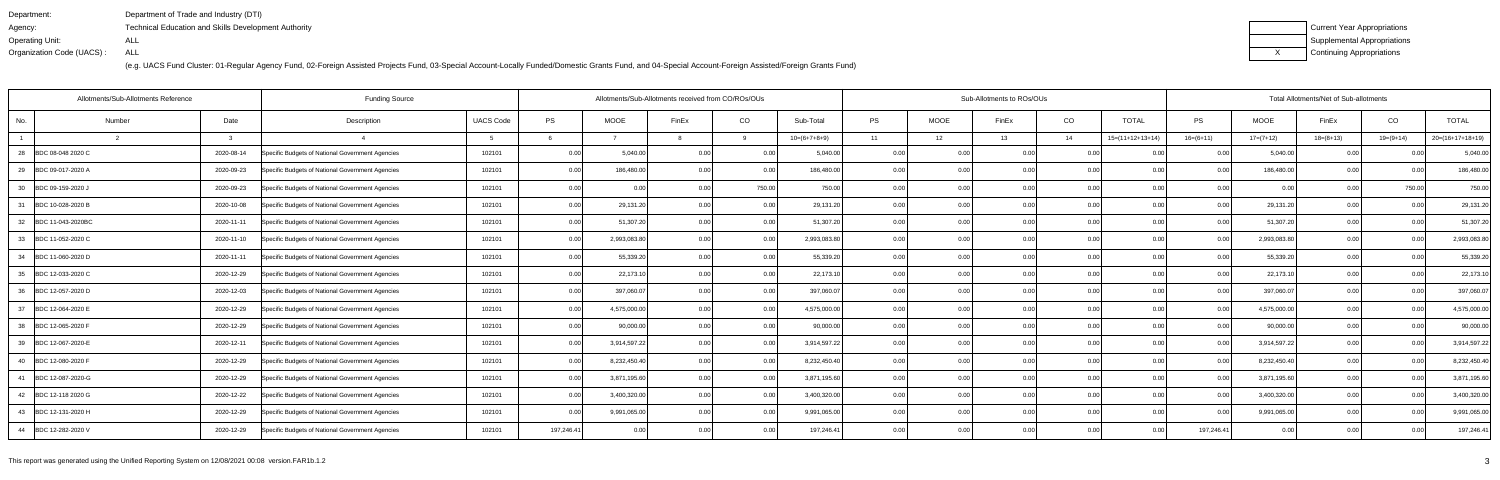| Department:               | Department of Trade and Industry (DTI)                      |
|---------------------------|-------------------------------------------------------------|
| Agency:                   | <b>Technical Education and Skills Development Authority</b> |
| Operating Unit:           | ALL                                                         |
| Organization Code (UACS): | ALL                                                         |

| Current Year Appropriations |
|-----------------------------|
| Supplemental Appropriations |
| Continuing Appropriations   |

| Allotments/Sub-Allotments Reference<br><b>Funding Source</b> |        |            |                                                  |                  |            | Allotments/Sub-Allotments received from CO/ROs/OUs |                |        |                |       | Sub-Allotments to ROs/OUs |       |      |                    | Total Allotments/Net of Sub-allotments |              |             |           |                    |  |
|--------------------------------------------------------------|--------|------------|--------------------------------------------------|------------------|------------|----------------------------------------------------|----------------|--------|----------------|-------|---------------------------|-------|------|--------------------|----------------------------------------|--------------|-------------|-----------|--------------------|--|
| No.                                                          | Number | Date       | Description                                      | <b>UACS Code</b> | PS         | <b>MOOE</b>                                        | FinEx          | CO     | Sub-Total      | PS    | <b>MOOE</b>               | FinEx | CO   | <b>TOTAL</b>       | <b>PS</b>                              | <b>MOOE</b>  | FinEx       | CO        | <b>TOTAL</b>       |  |
|                                                              |        |            |                                                  |                  |            |                                                    |                | റ      | $10=(6+7+8+9)$ | 11    | 12                        | 13    | 14   | $15=(11+12+13+14)$ | $16=(6+11)$                            | $17=(7+12)$  | $18=(8+13)$ | 19=(9+14) | $20=(16+17+18+19)$ |  |
| 28<br>BDC 08-048 2020 C                                      |        | 2020-08-14 | Specific Budgets of National Government Agencies | 102101           | 0.00       | 5,040.00                                           | 0.00           | 0.00   | 5,040.00       | 0.00  | 0.00                      | 0.00  | 0.00 | 0.00               | 0.00                                   | 5,040.00     | 0.00        | 0.00      | 5,040.00           |  |
| 29<br>BDC 09-017-2020 A                                      |        | 2020-09-23 | Specific Budgets of National Government Agencies | 102101           | 0.00       | 186,480.00                                         | 0.00           | 0.00   | 186,480.00     | 0.00  | 0.00                      | 0.00  | 0.00 | 0.00               | 0.0                                    | 186,480.00   | 0.00        | 0.00      | 186,480.00         |  |
| 30 BDC 09-159-2020 J                                         |        | 2020-09-23 | Specific Budgets of National Government Agencies | 102101           | 0.00       | 0.00                                               | 0.00           | 750.00 | 750.00         | 0.00  | 0.00                      | 0.00  | 0.00 | 0.00               | 0.00                                   | 0.00         | 0.00        | 750.00    | 750.00             |  |
| 31<br>BDC 10-028-2020 B                                      |        | 2020-10-08 | Specific Budgets of National Government Agencies | 102101           | 0.00       | 29,131.20                                          | 0.00           | 0.00   | 29,131.20      | 0.00  | 0.00                      | 0.00  | 0.00 | 0.00               | 0.00                                   | 29,131.20    | 0.00        | 0.00      | 29,131.20          |  |
| 32 BDC 11-043-2020BC                                         |        | 2020-11-11 | Specific Budgets of National Government Agencies | 102101           | 0.00       | 51,307.20                                          | 0.00           | 0.00   | 51,307.20      | 0.00  | 0.00                      | 0.00  | 0.00 | 0.00               | 0.00                                   | 51,307.20    | 0.00        | 0.00      | 51,307.20          |  |
| 33 BDC 11-052-2020 C                                         |        | 2020-11-10 | Specific Budgets of National Government Agencies | 102101           | 0.00       | 2,993,083.80                                       | 0.00           | 0.00   | 2,993,083.80   | 0.00  | 0.00                      | 0.00  | 0.00 | 0.00               | 0 <sub>0</sub>                         | 2,993,083.80 | 0.00        | 0.00      | 2,993,083.80       |  |
| 34 BDC 11-060-2020 D                                         |        | 2020-11-11 | Specific Budgets of National Government Agencies | 102101           | 0.00       | 55,339.20                                          | 0.00           | 0.00   | 55,339.20      | 0.00  | 0.00                      | 0.00  | 0.00 | 0.00               | 0.00                                   | 55,339.20    | 0.00        | 0.00      | 55,339.20          |  |
| 35<br>BDC 12-033-2020 C                                      |        | 2020-12-29 | Specific Budgets of National Government Agencies | 102101           | 0.00       | 22,173.10                                          | 0 <sub>0</sub> | 0.00   | 22,173.10      | 0.00  | 0.00                      | 0.00  | 0.00 | 0.00               | 0 Q                                    | 22,173.10    | 0.00        | ი იი      | 22,173.10          |  |
| 36 BDC 12-057-2020 D                                         |        | 2020-12-03 | Specific Budgets of National Government Agencies | 102101           | 0.00       | 397,060.0                                          | 0.00           | 0.00   | 397,060.0      | 0.00  | 0.00                      | 0.00  | 0.00 | 0.00               |                                        | 397,060.07   | 0.00        | 0.00      | 397,060.07         |  |
| 37<br>BDC 12-064-2020 E                                      |        | 2020-12-29 | Specific Budgets of National Government Agencies | 102101           | 0.00       | 4,575,000.00                                       | 0 <sub>0</sub> | 0.00   | 4,575,000.00   | 0.00  | 0.00                      | 0.00  | 0.00 | 0.00               | 0.00                                   | 4,575,000.00 | 0.00        | 0.00      | 4,575,000.00       |  |
| 38 BDC 12-065-2020 F                                         |        | 2020-12-29 | Specific Budgets of National Government Agencies | 102101           | 0.00       | 90,000.00                                          | 0.00           | 0.00   | 90,000.00      | 0.00  | 0.00                      | 0.00  | 0.00 | 0.00               | 0.00                                   | 90,000.00    | 0.00        | ი იი      | 90,000.00          |  |
| 39 BDC 12-067-2020-E                                         |        | 2020-12-11 | Specific Budgets of National Government Agencies | 102101           | 0.00       | 3,914,597.22                                       | 0.00           | 0.00   | 3,914,597.22   | 0.00  | 0.00                      | 0.00  | 0.00 | 0.001              | 0.00                                   | 3,914,597.22 | 0.00        | 0.00      | 3,914,597.22       |  |
| 40 BDC 12-080-2020 F                                         |        | 2020-12-29 | Specific Budgets of National Government Agencies | 102101           | 0.00       | 8,232,450.40                                       | 0.00           | 0.00   | 8,232,450.40   | 0.00  | 0.00                      | 0.00  | 0.00 | 0.00               | 0 <sub>0</sub>                         | 8,232,450.40 | 0.00        | 0.00      | 8,232,450.40       |  |
| 41 BDC 12-087-2020-G                                         |        | 2020-12-29 | Specific Budgets of National Government Agencies | 102101           | 0.00       | 3,871,195.60                                       | 0.00           | 0.00   | 3,871,195.60   | 0.001 | 0.00                      | 0.00  | 0.00 | 0.00               | 0.00                                   | 3,871,195.60 | 0.00        | 0.00      | 3,871,195.60       |  |
| 42 BDC 12-118 2020 G                                         |        | 2020-12-22 | Specific Budgets of National Government Agencies | 102101           | 0.00       | 3,400,320.00                                       | 0.00           | 0.00   | 3,400,320.00   | 0.00  | 0.00                      | 0.00  | 0.00 | 0.00               | 0 Q                                    | 3,400,320.00 | 0.00        | 0.00      | 3,400,320.00       |  |
| 43 BDC 12-131-2020 H                                         |        | 2020-12-29 | Specific Budgets of National Government Agencies | 102101           | 0.00       | 9,991,065.00                                       | 0.00           | 0.00   | 9,991,065.00   | 0.001 | 0.00                      | 0.00  | 0.00 | 0.001              | 0 <sub>0</sub>                         | 9,991,065.00 | 0.00        | 0.00      | 9,991,065.00       |  |
| 44 BDC 12-282-2020 V                                         |        | 2020-12-29 | Specific Budgets of National Government Agencies | 102101           | 197,246.41 | 0.00                                               | 0.00           | 0.00   | 197,246.41     | 0.00  | 0.00                      | 0.00  | 0.00 | 0.00               | 197,246.41                             | 0.00         | 0.00        | 0.00      | 197,246.41         |  |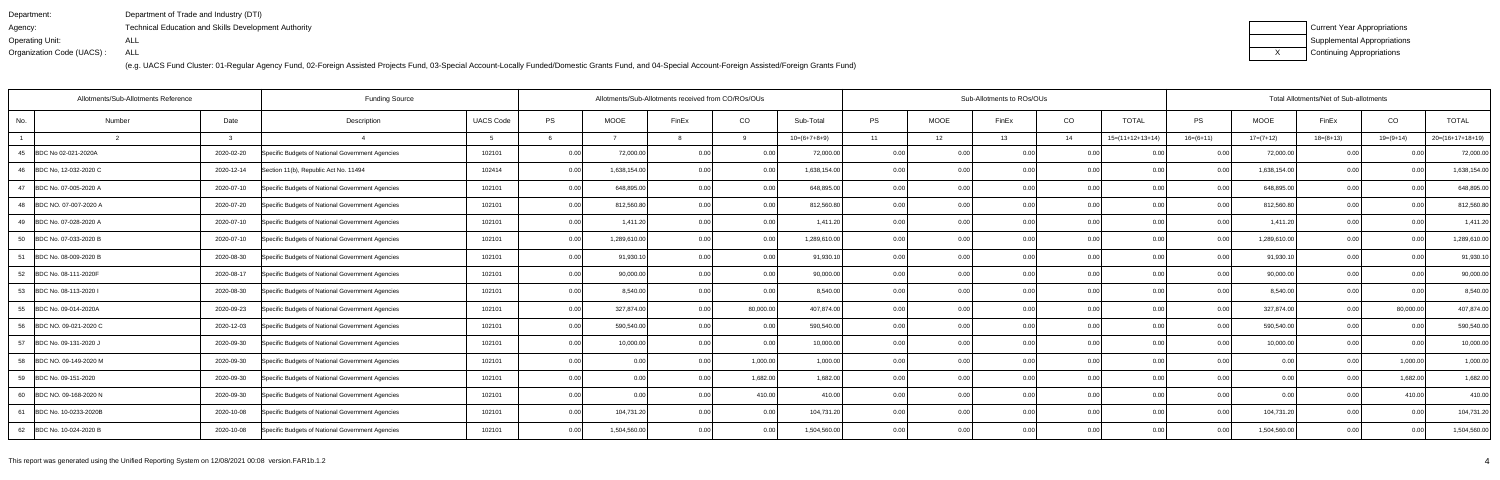| Department:               | Department of Trade and Industry (DTI)               |
|---------------------------|------------------------------------------------------|
| Agency:                   | Technical Education and Skills Development Authority |
| Operating Unit:           | ALL                                                  |
| Organization Code (UACS): | ALL                                                  |

| Current Year Appropriations |
|-----------------------------|
| Supplemental Appropriations |
| Continuing Appropriations   |

| Allotments/Sub-Allotments Reference<br><b>Funding Source</b> |                                                                |                  |           |              | Allotments/Sub-Allotments received from CO/ROs/OUs |           |                |                   |             | Sub-Allotments to ROs/OUs |      |                    |                | Total Allotments/Net of Sub-allotments |             |           |                    |  |
|--------------------------------------------------------------|----------------------------------------------------------------|------------------|-----------|--------------|----------------------------------------------------|-----------|----------------|-------------------|-------------|---------------------------|------|--------------------|----------------|----------------------------------------|-------------|-----------|--------------------|--|
| Number<br>No.                                                | Date<br>Description                                            | <b>UACS Code</b> | <b>PS</b> | <b>MOOE</b>  | FinEx                                              | CO        | Sub-Total      | <b>PS</b>         | <b>MOOE</b> | FinEx                     | CO   | <b>TOTAL</b>       | PS.            | MOOE                                   | FinEx       | CO        | <b>TOTAL</b>       |  |
|                                                              | $\mathcal{R}$                                                  |                  |           |              |                                                    |           | $10=(6+7+8+9)$ | 11                | 12          | 13                        | 14   | $15=(11+12+13+14)$ | $16=(6+11)$    | $17=(7+12)$                            | $18=(8+13)$ | 19=(9+14) | $20=(16+17+18+19)$ |  |
| BDC No 02-021-2020A<br>45                                    | 2020-02-20<br>Specific Budgets of National Government Agencies | 102101           | 0.00      | 72,000.00    | 0.00                                               | 0.00      | 72,000.00      | 0.00              | 0.00        | 0.00                      | 0.00 | 0.00               | 0.00           | 72,000.00                              | 0.00        | 0.00      | 72,000.00          |  |
| BDC No. 12-032-2020 C<br>-46                                 | 2020-12-14<br>Section 11(b), Republic Act No. 11494            | 102414           | 0.00      | 1,638,154.00 | 0.00                                               | 0.00      | 1,638,154.00   | 0.00              | 0.00        | 0.00                      | 0.00 | 0.00               | 0.0            | 1,638,154.00                           | 0.00        | ი იი      | 1,638,154.00       |  |
| 47<br>BDC No. 07-005-2020 A                                  | 2020-07-10<br>Specific Budgets of National Government Agencies | 102101           | 0.00      | 648,895.00   | 0.00                                               | 0.00      | 648,895.00     | 0.00              | 0.00        | 0.00                      | 0.00 | 0.00               | 0.00           | 648,895.00                             | 0.00        | 0.00      | 648,895.00         |  |
| BDC NO. 07-007-2020 A<br>48                                  | 2020-07-20<br>Specific Budgets of National Government Agencies | 102101           | 0.00      | 812,560.80   | 0.00                                               | 0.00      | 812,560.80     | 0.00              | 0.00        | 0.00                      | 0.00 | 0.00               | 0.00           | 812,560.80                             | 0.00        | 0.00      | 812,560.80         |  |
| BDC No. 07-028-2020 A<br>49                                  | 2020-07-10<br>Specific Budgets of National Government Agencies | 102101           | 0.00      | 1,411.20     | 0.00                                               | 0.00      | 1,411.20       | 0.00              | 0.0         |                           | 0.00 | 0.00               | 0 <sub>0</sub> | 1,411.20                               | 0.0         | 0 00      | 1,411.20           |  |
| BDC No. 07-033-2020 B<br>50                                  | 2020-07-10<br>Specific Budgets of National Government Agencies | 102101           | 0.00      | 1,289,610.00 | 0.00                                               | 0.00      | 1,289,610.00   | 0.00              | 0.00        | 0.00                      | 0.00 | 0.00               | 0 <sub>0</sub> | 1,289,610.00                           | 0.00        | 0.00      | 1,289,610.00       |  |
| BDC No. 08-009-2020 B<br>51                                  | Specific Budgets of National Government Agencies<br>2020-08-30 | 102101           | 0.00      | 91,930.1     | 0.00                                               | 0.00      | 91,930.10      | 0.00              | 0.00        | 0.00                      | 0.00 | 0.00               | 0.00           | 91,930.1                               | 0.00        | 0.00      | 91,930.10          |  |
| 52<br>BDC No. 08-111-2020F                                   | 2020-08-17<br>Specific Budgets of National Government Agencies | 102101           | 0.00      | 90,000.00    | 0.00                                               | 0.00      | 90,000.00      | 0.00              | 0.00        |                           | 0.00 | 0.00               | 0 <sub>0</sub> | 90,000.00                              | 0.00        |           | 90,000.00          |  |
| 53<br>BDC No. 08-113-2020 I                                  | 2020-08-30<br>Specific Budgets of National Government Agencies | 102101           | 0.00      | 8,540.00     | 0.00                                               | 0.00      | 8.540.00       | 0.00              | 0.00        | n nn                      | 0.00 | 0.00               | 0 <sub>0</sub> | 8,540.00                               | 0.00        | 0.00      | 8,540.00           |  |
| BDC No. 09-014-2020A<br>55                                   | 2020-09-23<br>Specific Budgets of National Government Agencies | 102101           | 0.00      | 327,874.00   | 0.00                                               | 80,000.00 | 407,874.00     | 0.00              | 0.00        |                           | 0.00 | 0.00               | 0.00           | 327,874.00                             | 0.00        | 80,000.00 | 407,874.00         |  |
| 56<br>BDC NO. 09-021-2020 C                                  | 2020-12-03<br>Specific Budgets of National Government Agencies | 102101           | 0.00      | 590,540.00   | 0.00                                               | 0.00      | 590,540.00     | 0.00              | 0.00        | 0.00                      | 0.00 | 0.00               | 0.00           | 590,540.00                             | 0.00        | ი იი      | 590,540.00         |  |
| 57<br>BDC No. 09-131-2020 J                                  | 2020-09-30<br>Specific Budgets of National Government Agencies | 102101           | 0.00      | 10,000.00    | 0.00                                               | 0.00      | 10,000.00      | 0.00              | 0.00        | 0.00                      | 0.00 | 0.001              | $\cap$         | 10,000.00                              | 0.00        | 0.00      | 10,000.00          |  |
| BDC NO. 09-149-2020 M<br>58                                  | 2020-09-30<br>Specific Budgets of National Government Agencies | 102101           | 0.00      | 0.00         | 0.00                                               | 1,000.00  | 1.000.00       | 0.00              | 0.00        |                           | 0.00 | 0.00               |                | 0.00                                   | 0.0         | 1,000.00  | 1,000.00           |  |
| 59 BDC No. 09-151-2020                                       | 2020-09-30<br>Specific Budgets of National Government Agencies | 102101           | 0.00      | 0.00         | 0.00                                               | 1,682.00  | 1,682.00       | 0.00 <sub>l</sub> | 0.00        | 0.00                      | 0.00 | 0.001              | 0.00           | 0.00                                   | 0.00        | 1,682.00  | 1,682.00           |  |
| BDC NO. 09-168-2020 N<br>60                                  | 2020-09-30<br>Specific Budgets of National Government Agencies | 102101           | 0.00      | 0.00         | 0.00                                               | 410.00    | 410.00         | 0.00              | 0.00        | 0.00                      | 0.00 | 0.00               | 0.0            | 0.OC                                   | 0.00        | 410.00    | 410.00             |  |
| BDC No. 10-0233-2020B<br>61                                  | 2020-10-08<br>Specific Budgets of National Government Agencies | 102101           | 0.00      | 104,731.20   | 0.00                                               | 0.00      | 104,731.20     | 0.00              | 0.00        | 0.00                      | 0.00 | 0.00               | 0 <sub>0</sub> | 104,731.20                             | 0.00        | 0.00      | 104,731.20         |  |
| 62 BDC No. 10-024-2020 B                                     | Specific Budgets of National Government Agencies<br>2020-10-08 | 102101           | 0.00      | 1,504,560.00 | 0.00                                               | 0.00      | 1,504,560.00   | 0.00 <sub>l</sub> | 0.00        | 0.001                     | 0.00 | 0.00               | 0.00           | 1,504,560.00                           | 0.00        | 0.00      | 1,504,560.00       |  |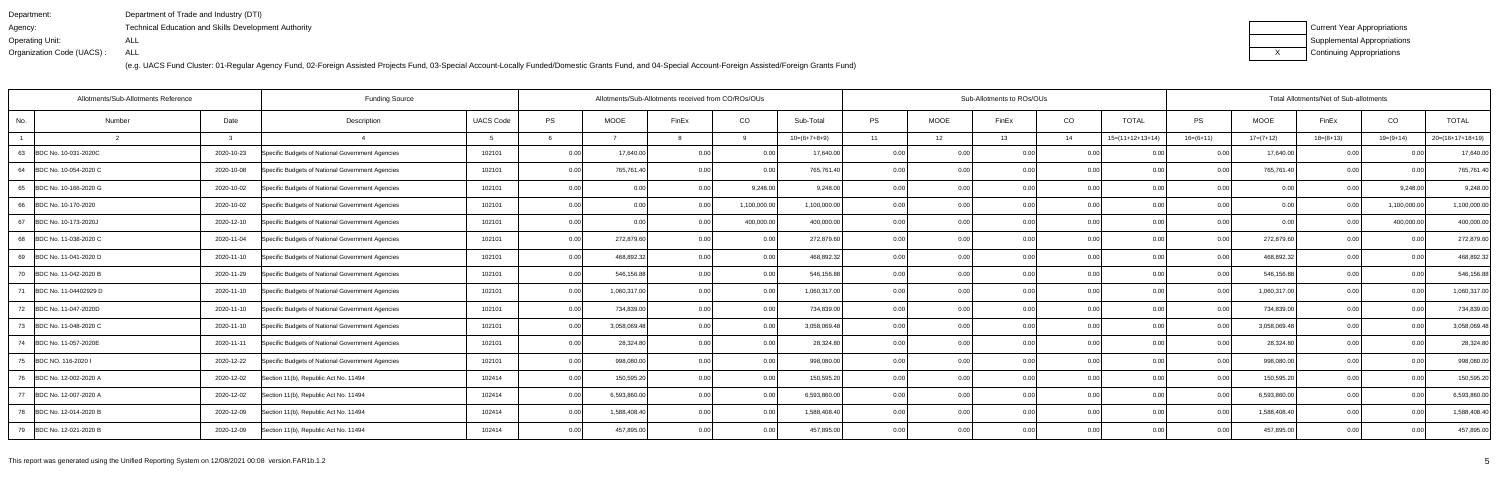| Department:               | Department of Trade and Industry (DTI)                      |
|---------------------------|-------------------------------------------------------------|
| Agency:                   | <b>Technical Education and Skills Development Authority</b> |
| Operating Unit:           | ALL                                                         |
| Organization Code (UACS): | ALL                                                         |

| Current Year Appropriations |
|-----------------------------|
| Supplemental Appropriations |
| Continuing Appropriations   |

| Allotments/Sub-Allotments Reference |            | <b>Funding Source</b>                            |                  |      |              | Allotments/Sub-Allotments received from CO/ROs/OUs |              |                |       | Sub-Allotments to ROs/OUs<br>Total Allotments/Net of Sub-allotments |       |      |                    |                |              |             |              |                    |  |
|-------------------------------------|------------|--------------------------------------------------|------------------|------|--------------|----------------------------------------------------|--------------|----------------|-------|---------------------------------------------------------------------|-------|------|--------------------|----------------|--------------|-------------|--------------|--------------------|--|
| No.<br>Number                       | Date       | Description                                      | <b>UACS Code</b> | PS   | <b>MOOE</b>  | FinEx                                              | CO           | Sub-Total      | PS    | <b>MOOE</b>                                                         | FinEx | CO   | <b>TOTAL</b>       | <b>PS</b>      | <b>MOOE</b>  | FinEx       | CO           | <b>TOTAL</b>       |  |
|                                     |            |                                                  |                  |      |              |                                                    | റ            | $10=(6+7+8+9)$ | 11    | 12                                                                  | 13    | 14   | $15=(11+12+13+14)$ | $16=(6+11)$    | $17=(7+12)$  | $18=(8+13)$ | $19=(9+14)$  | $20=(16+17+18+19)$ |  |
| 63 BDC No. 10-031-2020C             | 2020-10-23 | Specific Budgets of National Government Agencies | 102101           | 0.00 | 17,640.00    | 0.00                                               | 0.00         | 17,640.00      | 0.001 | 0.00                                                                | 0.00  | 0.00 | 0.00               | 0.00           | 17,640.00    | 0.00        | 0.00         | 17,640.00          |  |
| 64<br>BDC No. 10-054-2020 C         | 2020-10-08 | Specific Budgets of National Government Agencies | 102101           | 0.00 | 765,761.40   | 0.00                                               | 0.00         | 765,761.40     | 0.00  | 0.00                                                                | 0.00  | 0.00 | 0.00               | 0.00           | 765,761.40   | 0.00        | 0.00         | 765,761.40         |  |
| 65<br>BDC No. 10-166-2020 G         | 2020-10-02 | Specific Budgets of National Government Agencies | 102101           | 0.00 | 0.00         | 0.00                                               | 9,248.00     | 9,248.00       | 0.00  | 0.00                                                                | 0.00  | 0.00 | 0.00               | 0.00           | 0.00         | 0.00        | 9,248.00     | 9,248.00           |  |
| 66<br>BDC No. 10-170-2020           | 2020-10-02 | Specific Budgets of National Government Agencies | 102101           | 0.00 | 0.00         | 0.00                                               | 1,100,000.00 | 1,100,000.00   | 0.001 | 0.00                                                                | 0.00  | 0.00 | 0.00               | 0.00           | 0.00         | 0.00        | 1,100,000.00 | 1,100,000.00       |  |
| 67<br>BDC No. 10-173-2020J          | 2020-12-10 | Specific Budgets of National Government Agencies | 102101           | 0.00 | 0.00         | 0.OC                                               | 400,000.00   | 400,000.00     | 0.0(  | 0.00                                                                | 0.00  | 0.00 | 0.0                | 0.00           | 0.00         | 0.00        | 400,000.00   | 400,000.00         |  |
| BDC No. 11-038-2020 C<br>68         | 2020-11-04 | Specific Budgets of National Government Agencies | 102101           | 0.00 | 272,879.60   | 0.00                                               | 0.00         | 272,879.60     | 0.00  | 0.00                                                                | 0.00  | 0.00 | 0.00               | 0.00           | 272,879.60   | 0.00        | 0.00         | 272,879.60         |  |
| 69 BDC No. 11-041-2020 D            | 2020-11-10 | Specific Budgets of National Government Agencies | 102101           | 0.00 | 468,892.32   | 0.00                                               | 0.00         | 468,892.32     | 0.00  | 0.00                                                                | 0.00  | 0.00 | 0.00               | 0.00           | 468,892.32   | 0.00        | 0.00         | 468,892.32         |  |
| 70<br>BDC No. 11-042-2020 B         | 2020-11-29 | Specific Budgets of National Government Agencies | 102101           | 0.00 | 546,156.88   | 0 <sub>0</sub>                                     | 0.00         | 546,156.88     | 0.0(  | 0.00                                                                | 0.00  | 0.00 | 0.00               | 0.00           | 546,156.88   | 0.00        | 0.00         | 546,156.88         |  |
| 71<br>BDC No. 11-04402929 D         | 2020-11-10 | Specific Budgets of National Government Agencies | 102101           | 0.00 | 1,060,317.00 | 0.00                                               | 0.00         | 1,060,317.00   | 0.00  | 0.00                                                                | 0.00  | 0.00 | 0.00               |                | 1,060,317.00 | 0.00        | 0.00         | 1,060,317.00       |  |
| 72<br>BDC No. 11-047-2020D          | 2020-11-10 | Specific Budgets of National Government Agencies | 102101           | 0.00 | 734,839.00   | 0 <sub>0</sub>                                     | 0.00         | 734,839.00     | 0.00  | 0.00                                                                | 0.00  | 0.00 | 0.00               | 0 <sub>0</sub> | 734,839.00   | 0.00        | 0.00         | 734,839.00         |  |
| 73<br>BDC No. 11-048-2020 C         | 2020-11-10 | Specific Budgets of National Government Agencies | 102101           | 0.00 | 3,058,069.48 | 0.00                                               | 0.00         | 3,058,069.48   | 0.00  | 0.00                                                                | 0.00  | 0.00 | 0.00               | 0.00           | 3,058,069.48 | 0.00        | 0.00         | 3,058,069.48       |  |
| 74<br>BDC No. 11-057-2020E          | 2020-11-11 | Specific Budgets of National Government Agencies | 102101           | 0.00 | 28,324.80    | 0.00                                               | 0.00         | 28,324.80      | 0.00  | 0.00                                                                | 0.00  | 0.00 | 0.00               | 0 <sub>0</sub> | 28,324.80    | 0.00        | 0.00         | 28,324.80          |  |
| BDC NO. 116-2020 I<br>75            | 2020-12-22 | Specific Budgets of National Government Agencies | 102101           | 0.00 | 998,080.00   | 0 <sub>0</sub>                                     | 0.00         | 998,080.00     | 0.00  | 0.00                                                                | 0.00  | 0.00 | 0.00               | $\cap$ $\cap$  | 998,080.00   | 0.00        | 0.00         | 998,080.00         |  |
| 76<br>BDC No. 12-002-2020 A         | 2020-12-02 | Section 11(b), Republic Act No. 11494            | 102414           | 0.00 | 150,595.20   | 0.00                                               | 0.00         | 150,595.20     | 0.00  | 0.00                                                                | 0.00  | 0.00 | 0.00               | 0.00           | 150,595.20   | 0.00        | 0.00         | 150,595.20         |  |
| 77<br>BDC No. 12-007-2020 A         | 2020-12-02 | Section 11(b), Republic Act No. 11494            | 102414           | 0.00 | 6,593,860.00 | 0.00                                               | 0.00         | 6,593,860.00   | 0.00  | 0.00                                                                | 0.00  | 0.00 | 0.00               | 0 <sub>0</sub> | 6,593,860.0  | 0.00        | 0.00         | 6,593,860.00       |  |
| 78 BDC No. 12-014-2020 B            | 2020-12-09 | Section 11(b), Republic Act No. 11494            | 102414           | 0.00 | 1,588,408.40 | 0.00                                               | 0.00         | 1,588,408.40   | 0.001 | 0.00                                                                | 0.00  | 0.00 | 0.00               |                | 1,588,408.40 | 0.00        | 0.00         | 1,588,408.40       |  |
| 79 BDC No. 12-021-2020 B            | 2020-12-09 | Section 11(b), Republic Act No. 11494            | 102414           | 0.00 | 457,895.00   | 0.00                                               | 0.00         | 457,895.00     | 0.001 | 0.00                                                                | 0.00  | 0.00 | 0.00               | 0.00           | 457,895.00   | 0.00        | 0.00         | 457,895.00         |  |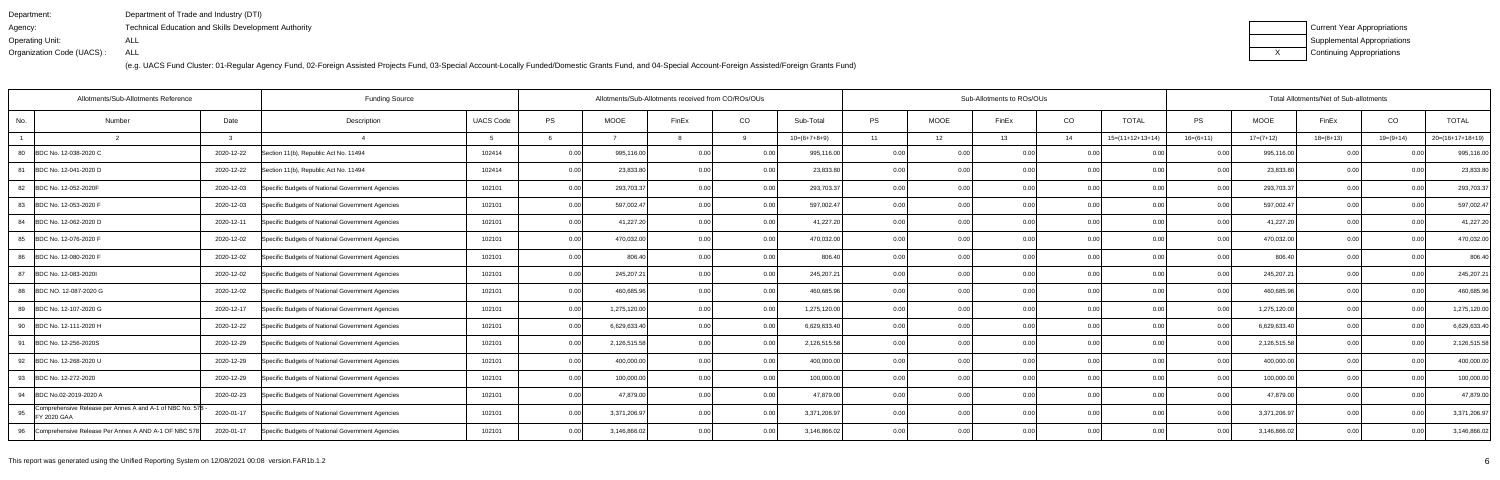| Department:               | Department of Trade and Industry (DTI)                      |
|---------------------------|-------------------------------------------------------------|
| Agency:                   | <b>Technical Education and Skills Development Authority</b> |
| Operating Unit:           | ALL                                                         |
| Organization Code (UACS): | ALL                                                         |

| Current Year Appropriations |
|-----------------------------|
| Supplemental Appropriations |
| Continuing Appropriations   |

| Allotments/Sub-Allotments Reference                                           |            | <b>Funding Source</b>                            |                  |           |              | Allotments/Sub-Allotments received from CO/ROs/OUs |      |                |                | Sub-Allotments to ROs/OUs<br>Total Allotments/Net of Sub-allotments |       |      |                    |                |              |             |           |                    |
|-------------------------------------------------------------------------------|------------|--------------------------------------------------|------------------|-----------|--------------|----------------------------------------------------|------|----------------|----------------|---------------------------------------------------------------------|-------|------|--------------------|----------------|--------------|-------------|-----------|--------------------|
| No.<br>Number                                                                 | Date       | Description                                      | <b>UACS Code</b> | <b>PS</b> | <b>MOOE</b>  | FinEx                                              | CO   | Sub-Total      | <b>PS</b>      | <b>MOOE</b>                                                         | FinEx | CO   | <b>TOTAL</b>       | <b>PS</b>      | <b>MOOE</b>  | FinEx       | CO        | <b>TOTAL</b>       |
|                                                                               |            |                                                  |                  |           |              |                                                    |      | $10=(6+7+8+9)$ | 11             | 12                                                                  | 13    | 14   | $15=(11+12+13+14)$ | $16=(6+11)$    | $17=(7+12)$  | $18=(8+13)$ | 19=(9+14) | $20=(16+17+18+19)$ |
| BDC No. 12-038-2020 C<br>80                                                   | 2020-12-22 | Section 11(b), Republic Act No. 11494            | 102414           | 0.00      | 995,116.00   | 0.00                                               | 0.00 | 995,116.00     | 0.00           | 0.00                                                                | 0.00  | 0.00 | 0.00               | <u>ሰሰ</u>      | 995,116.00   | 0.00        |           | 995,116.00         |
| 81<br>BDC No. 12-041-2020 D                                                   | 2020-12-22 | Section 11(b), Republic Act No. 11494            | 102414           | 0.00      | 23,833.80    | 0.00                                               | 0.00 | 23,833.80      | 0.00           | 0.00                                                                |       | 0.00 | 0.00               | 0 <sub>0</sub> | 23,833.8     | 0.00        | ი იი      | 23,833.80          |
| 82 BDC No. 12-052-2020F                                                       | 2020-12-03 | Specific Budgets of National Government Agencies | 102101           | 0.00      | 293,703.37   | 0.00                                               | 0.00 | 293,703.37     | 0.00           | 0.00                                                                | 0.00  | 0.00 | 0.00               | 0.00           | 293,703.37   | 0.00        | 0.00      | 293,703.37         |
| 83<br>BDC No. 12-053-2020 F                                                   | 2020-12-03 | Specific Budgets of National Government Agencies | 102101           | 0.00      | 597,002.47   | 0.00                                               | 0.00 | 597,002.47     | 0.00           | 0.00                                                                | 0.00  | 0.00 | 0.00               | 0.00           | 597,002.47   | 0.00        | 0.00      | 597,002.47         |
| 84 BDC No. 12-062-2020 D                                                      | 2020-12-11 | Specific Budgets of National Government Agencies | 102101           | 0.00      | 41,227.20    | 0 <sub>0</sub>                                     | 0.00 | 41,227.20      | 0.00           | 0.00                                                                | 0.00  | 0.00 | 0.00               | 0 <sub>0</sub> | 41,227.20    | 0.00        | ი იი      | 41,227.20          |
| BDC No. 12-076-2020 F<br>85                                                   | 2020-12-02 | Specific Budgets of National Government Agencies | 102101           | 0.00      | 470,032.00   | 0.00                                               | 0.00 | 470,032.00     | 0.00           | 0.00                                                                | 0.00  | 0.00 | 0.00               | 0 <sub>0</sub> | 470,032.00   | 0.00        | 0.00      | 470,032.00         |
| 86 BDC No. 12-080-2020 F                                                      | 2020-12-02 | Specific Budgets of National Government Agencies | 102101           | 0.00      | 806.40       | 0.00                                               | 0.00 | 806.40         | 0.00           | 0.00                                                                | 0.00  | 0.00 | 0.00               | 0.00           | 806.40       | 0.00        | 0.00      | 806.40             |
| 87<br>BDC No. 12-083-2020I                                                    | 2020-12-02 | Specific Budgets of National Government Agencies | 102101           | 0.00      | 245,207.2    | 0.00                                               | 0.00 | 245,207.21     | 0.00           | 0.00                                                                |       | 0.00 | 0.00               | 0 <sub>0</sub> | 245,207.21   | 0.00        |           | 245,207.21         |
| 88 BDC NO. 12-087-2020 G                                                      | 2020-12-02 | Specific Budgets of National Government Agencies | 102101           | 0.00      | 460,685.96   | 0.00                                               | 0.00 | 460,685.96     | 0.001          | 0.00                                                                | 0.001 | 0.00 | 0.00               | 0.00           | 460,685.96   | 0.00        | 0.00      | 460.685.96         |
| BDC No. 12-107-2020 G<br>89                                                   | 2020-12-17 | Specific Budgets of National Government Agencies | 102101           | 0.00      | 1,275,120.00 | 0.00                                               | 0.00 | 1,275,120.00   | 0.00           | 0.00                                                                | 0.00  | 0.00 | 0.00               | 0.00           | 1,275,120.00 | 0.00        | 0.00      | 1,275,120.00       |
| 90<br>BDC No. 12-111-2020 H                                                   | 2020-12-22 | Specific Budgets of National Government Agencies | 102101           | 0.00      | 6,629,633.40 | 0 <sub>0</sub>                                     | 0.00 | 6,629,633.40   | 0 <sub>0</sub> | 0.00                                                                | 0.00  | 0.00 | 0.00               | 0 <sub>0</sub> | 6,629,633.40 | 0.00        |           | 6,629,633.40       |
| 91 BDC No. 12-256-2020S                                                       | 2020-12-29 | Specific Budgets of National Government Agencies | 102101           | 0.00      | 2,126,515.58 | 0.00                                               | 0.00 | 2,126,515.58   | 0.001          | 0.00                                                                | 0.00  | 0.00 | 0.00               | 0.00           | 2,126,515.58 | 0.00        | 0.00      | 2,126,515.58       |
| 92 BDC No. 12-268-2020 U                                                      | 2020-12-29 | Specific Budgets of National Government Agencies | 102101           | 0.00      | 400,000.00   | 0.00                                               | 0.00 | 400,000.00     | 0.00           | 0.00                                                                | 0.00  | 0.00 | 0.00               | 0.00           | 400,000.00   | 0.00        | 0.00      | 400,000.00         |
| 93<br>BDC No. 12-272-2020                                                     | 2020-12-29 | Specific Budgets of National Government Agencies | 102101           | 0.00      | 100,000.00   | 0.00                                               | 0.00 | 100,000.00     | 0.0            | 0.00                                                                | 0.00  | 0.00 | 0.00               | 0 <sub>0</sub> | 100,000.00   | 0.00        | 0 Q       | 100,000.00         |
| 94 BDC No.02-2019-2020 A                                                      | 2020-02-23 | Specific Budgets of National Government Agencies | 102101           | 0.00      | 47,879.00    | 0.00                                               | 0.00 | 47,879.00      | 0.001          | 0.00                                                                | 0.001 | 0.00 | 0.00               | 0.00           | 47,879.00    | 0.00        | 0.00      | 47,879.00          |
| Comprehensive Release per Annes A and A-1 of NBC No. 578<br>95<br>FY 2020 GAA | 2020-01-17 | Specific Budgets of National Government Agencies | 102101           | 0.00      | 3,371,206.97 | 0.00                                               | 0.00 | 3,371,206.97   | 0.00           | 0.00                                                                | 0.00  | 0.00 | 0.00               | 0.00           | 3,371,206.97 | 0.00        | 0.00      | 3,371,206.97       |
| 96 Comprehensive Release Per Annex A AND A-1 OF NBC 578                       | 2020-01-17 | Specific Budgets of National Government Agencies | 102101           | 0.00      | 3,146,866.02 | 0.00                                               | 0.00 | 3,146,866.02   | 0.00           | 0.00                                                                | 0.001 | 0.00 | 0.00               | 0.00           | 3,146,866.02 | 0.00        | 0.00      | 3,146,866.02       |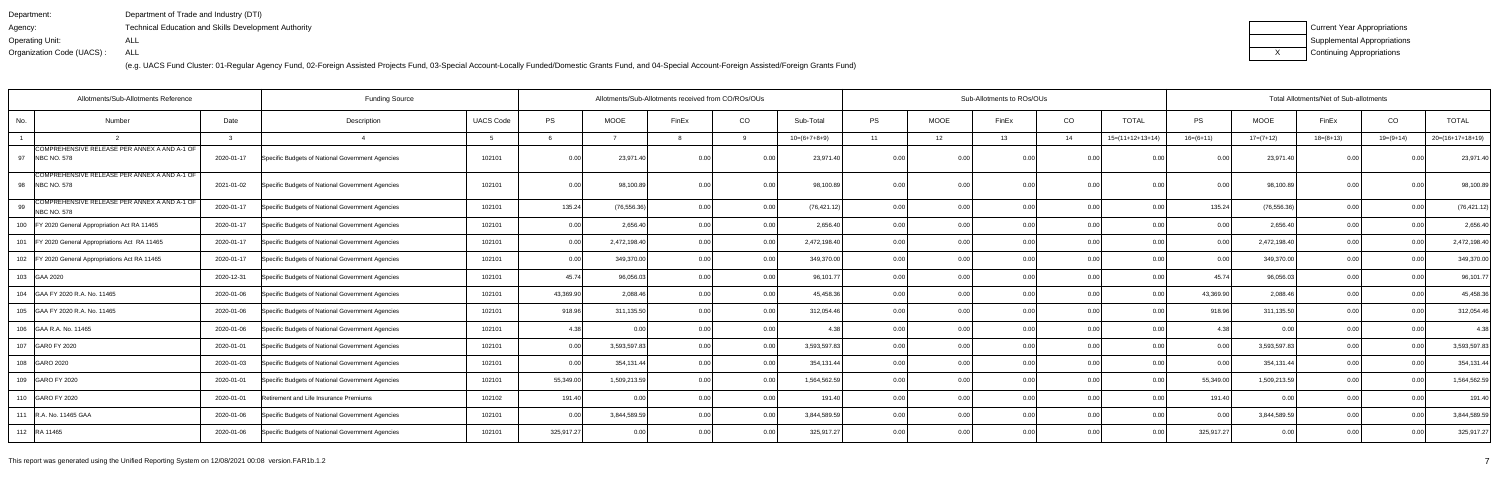| Department:               | Department of Trade and Industry (DTI)                      |
|---------------------------|-------------------------------------------------------------|
| Agency:                   | <b>Technical Education and Skills Development Authority</b> |
| Operating Unit:           | ALL                                                         |
| Organization Code (UACS): | ALL                                                         |

| Current Year Appropriations |
|-----------------------------|
| Supplemental Appropriations |
| Continuing Appropriations   |

| <b>UACS Code</b><br>CO<br>CO<br>CO<br><b>TOTAL</b><br>Date<br>PS<br><b>MOOE</b><br>Sub-Total<br><b>PS</b><br><b>MOOE</b><br><b>TOTAL</b><br>PS<br><b>MOOE</b><br>FinEx<br>FinEx<br>Number<br>Description<br>FinEx<br>$20=(16+17+18+19)$<br>$10=(6+7+8+9)$<br>13<br>$16=(6+11)$<br>$19=(9+14)$<br>11<br>12<br>14<br>$15=(11+12+13+14)$<br>$17=(7+12)$<br>$18=(8+13)$<br>્વ<br>COMPREHENSIVE RELEASE PER ANNEX A AND A-1 OF<br><b>NBC NO. 578</b><br>2020-01-17<br>Specific Budgets of National Government Agencies<br>102101<br>23,971.40<br>23,971.40<br>23,971.40<br>23,971.40<br>0.00<br>0 <sub>0</sub><br>0.00<br>COMPREHENSIVE RELEASE PER ANNEX A AND A-1 OF<br>102101<br>0.00<br>98,100.89<br>98,100.89<br>98,100.89<br>2021-01-02<br>Specific Budgets of National Government Agencies<br>98,100.89<br>0.00<br>0.00<br>0.00<br>0 <sub>0</sub><br>0.00<br>0.00<br>n nr<br>0.00<br>COMPREHENSIVE RELEASE PER ANNEX A AND A-1 OF<br>135.24<br>(76, 556.36)<br>0.00<br>(76, 421.12)<br>0.00<br>0.00<br>135.24<br>(76, 556.36)<br>2020-01-17<br>102101<br>0.00<br>0.00<br>0.00<br>0.00<br>0.00<br>(76, 421.12)<br>Specific Budgets of National Government Agencies<br>0.00<br><b>NBC NO. 578</b><br>2,656.40<br>2,656.40<br>2,656.40<br>Specific Budgets of National Government Agencies<br>102101<br>0.00<br>0.00<br>0.00<br>0.00<br>2,656.40<br>2020-01-17<br>0.00<br>0.00<br>0.00<br>0.00<br>0.00<br>0.00<br>0.00<br>0.00<br>2,472,198.40<br>102101<br>0.00<br>2,472,198.40<br>0.00<br>2,472,198.40<br>2,472,198.40<br>2020-01-17<br>Specific Budgets of National Government Agencies<br>0.001<br>0.OC<br>0.00<br>0.00<br>0 <sub>0</sub><br>0.00<br>0 <sub>0</sub><br>-0.00<br>0.00<br>349,370.00<br>349,370.00<br>349,370.00<br>Specific Budgets of National Government Agencies<br>102101<br>349,370.00<br>2020-01-17<br>0.00<br>0.00<br>0.00<br>0.00<br>0.00<br>0.00<br>0 <sub>0</sub><br>0.OC<br>0.00<br>0 <sub>0</sub><br>45.74<br>96,056.03<br>96,101.77<br>96,056.03<br>2020-12-31<br>Specific Budgets of National Government Agencies<br>102101<br>0.00<br>0.00<br>0.00<br>0.00<br>0.00<br>45.74<br>96,101.77<br>0 <sub>0</sub><br>0.00<br>0.00<br>0.00<br>2,088.46<br>2,088.46<br>102101<br>43,369.90<br>0.00<br>45,458.36<br>0.00<br>0.00<br>43,369.90<br>45,458.36<br>2020-01-06<br>0.001<br>0.00<br>0.00<br>0.00<br>Specific Budgets of National Government Agencies<br>0.00<br>918.96<br>311,135.50<br>312,054.46<br>0.00<br>918.96<br>311,135.50<br>Specific Budgets of National Government Agencies<br>102101<br>0.00<br>0.00<br>0.00<br>0.00<br>0.00<br>312,054.46<br>2020-01-06<br>0.00<br>0 <sub>0</sub><br>4.38<br>0.00<br>0.00<br>2020-01-06<br>Specific Budgets of National Government Agencies<br>102101<br>0.00<br>0.00<br>0.00<br>0.00<br>0.00<br>0.00<br>4.38<br>0.00<br>4.38<br>0.00<br>4.38<br>3,593,597.83<br>102101<br>0.00<br>3,593,597.83<br>0.00<br>0.00<br>3,593,597.83<br>3,593,597.83<br>2020-01-01<br>Specific Budgets of National Government Agencies<br>0 <sub>0</sub><br>0.00<br>0.OC<br>0.00<br>0.00<br>0.00<br>0.00<br>0.00<br>0.00<br>354,131.44<br>2020-01-03<br>Specific Budgets of National Government Agencies<br>102101<br>354,131.44<br>0.00<br>0.00<br>0.00<br>0.00<br>0.00<br>354,131.44<br>354,131.44<br>0.00<br>0.00<br>0.00<br>0.00<br>0.00<br>55,349.00<br>1,509,213.59<br>1,564,562.59<br>0.00<br>55,349.00<br>Specific Budgets of National Government Agencies<br>102101<br>0.00<br>0.00<br>1,509,213.59<br>1,564,562.59<br>2020-01-01<br>0.00<br>0.00<br>0.00<br>0.00<br>0.00<br>0.00<br>191.40<br>0.00<br>2020-01-01<br>102102<br>0.00<br>191.40<br>0.00<br>0.00<br>0.00<br>0.00<br>191.40<br>0.00<br>0.00<br>Retirement and Life Insurance Premiums<br>0 <sub>0</sub><br>191.40<br>0 <sub>0</sub><br>3,844,589.59<br>3,844,589.59<br>102101<br>0.00<br>3,844,589.59<br>0.00<br>0.00<br>0.00<br>3,844,589.59<br>2020-01-06<br>Specific Budgets of National Government Agencies<br>0.00<br>0.00<br>0.00<br>0.00<br>0.00<br>0.00<br>0 <sub>0</sub> | Allotments/Sub-Allotments Reference<br><b>Funding Source</b> |  |  | Allotments/Sub-Allotments received from CO/ROs/OUs |  |  | Sub-Allotments to ROs/OUs |  |  | Total Allotments/Net of Sub-allotments |  |  |
|----------------------------------------------------------------------------------------------------------------------------------------------------------------------------------------------------------------------------------------------------------------------------------------------------------------------------------------------------------------------------------------------------------------------------------------------------------------------------------------------------------------------------------------------------------------------------------------------------------------------------------------------------------------------------------------------------------------------------------------------------------------------------------------------------------------------------------------------------------------------------------------------------------------------------------------------------------------------------------------------------------------------------------------------------------------------------------------------------------------------------------------------------------------------------------------------------------------------------------------------------------------------------------------------------------------------------------------------------------------------------------------------------------------------------------------------------------------------------------------------------------------------------------------------------------------------------------------------------------------------------------------------------------------------------------------------------------------------------------------------------------------------------------------------------------------------------------------------------------------------------------------------------------------------------------------------------------------------------------------------------------------------------------------------------------------------------------------------------------------------------------------------------------------------------------------------------------------------------------------------------------------------------------------------------------------------------------------------------------------------------------------------------------------------------------------------------------------------------------------------------------------------------------------------------------------------------------------------------------------------------------------------------------------------------------------------------------------------------------------------------------------------------------------------------------------------------------------------------------------------------------------------------------------------------------------------------------------------------------------------------------------------------------------------------------------------------------------------------------------------------------------------------------------------------------------------------------------------------------------------------------------------------------------------------------------------------------------------------------------------------------------------------------------------------------------------------------------------------------------------------------------------------------------------------------------------------------------------------------------------------------------------------------------------------------------------------------------------------------------------------------------------------------------------------------------------------------------------------------------------------------------------------------------------------------------------------------------------------------------------------------------|--------------------------------------------------------------|--|--|----------------------------------------------------|--|--|---------------------------|--|--|----------------------------------------|--|--|
|                                                                                                                                                                                                                                                                                                                                                                                                                                                                                                                                                                                                                                                                                                                                                                                                                                                                                                                                                                                                                                                                                                                                                                                                                                                                                                                                                                                                                                                                                                                                                                                                                                                                                                                                                                                                                                                                                                                                                                                                                                                                                                                                                                                                                                                                                                                                                                                                                                                                                                                                                                                                                                                                                                                                                                                                                                                                                                                                                                                                                                                                                                                                                                                                                                                                                                                                                                                                                                                                                                                                                                                                                                                                                                                                                                                                                                                                                                                                                                                                                | No.                                                          |  |  |                                                    |  |  |                           |  |  |                                        |  |  |
|                                                                                                                                                                                                                                                                                                                                                                                                                                                                                                                                                                                                                                                                                                                                                                                                                                                                                                                                                                                                                                                                                                                                                                                                                                                                                                                                                                                                                                                                                                                                                                                                                                                                                                                                                                                                                                                                                                                                                                                                                                                                                                                                                                                                                                                                                                                                                                                                                                                                                                                                                                                                                                                                                                                                                                                                                                                                                                                                                                                                                                                                                                                                                                                                                                                                                                                                                                                                                                                                                                                                                                                                                                                                                                                                                                                                                                                                                                                                                                                                                |                                                              |  |  |                                                    |  |  |                           |  |  |                                        |  |  |
|                                                                                                                                                                                                                                                                                                                                                                                                                                                                                                                                                                                                                                                                                                                                                                                                                                                                                                                                                                                                                                                                                                                                                                                                                                                                                                                                                                                                                                                                                                                                                                                                                                                                                                                                                                                                                                                                                                                                                                                                                                                                                                                                                                                                                                                                                                                                                                                                                                                                                                                                                                                                                                                                                                                                                                                                                                                                                                                                                                                                                                                                                                                                                                                                                                                                                                                                                                                                                                                                                                                                                                                                                                                                                                                                                                                                                                                                                                                                                                                                                | 97                                                           |  |  |                                                    |  |  |                           |  |  |                                        |  |  |
|                                                                                                                                                                                                                                                                                                                                                                                                                                                                                                                                                                                                                                                                                                                                                                                                                                                                                                                                                                                                                                                                                                                                                                                                                                                                                                                                                                                                                                                                                                                                                                                                                                                                                                                                                                                                                                                                                                                                                                                                                                                                                                                                                                                                                                                                                                                                                                                                                                                                                                                                                                                                                                                                                                                                                                                                                                                                                                                                                                                                                                                                                                                                                                                                                                                                                                                                                                                                                                                                                                                                                                                                                                                                                                                                                                                                                                                                                                                                                                                                                | 98 NBC NO. 578                                               |  |  |                                                    |  |  |                           |  |  |                                        |  |  |
|                                                                                                                                                                                                                                                                                                                                                                                                                                                                                                                                                                                                                                                                                                                                                                                                                                                                                                                                                                                                                                                                                                                                                                                                                                                                                                                                                                                                                                                                                                                                                                                                                                                                                                                                                                                                                                                                                                                                                                                                                                                                                                                                                                                                                                                                                                                                                                                                                                                                                                                                                                                                                                                                                                                                                                                                                                                                                                                                                                                                                                                                                                                                                                                                                                                                                                                                                                                                                                                                                                                                                                                                                                                                                                                                                                                                                                                                                                                                                                                                                | 99                                                           |  |  |                                                    |  |  |                           |  |  |                                        |  |  |
|                                                                                                                                                                                                                                                                                                                                                                                                                                                                                                                                                                                                                                                                                                                                                                                                                                                                                                                                                                                                                                                                                                                                                                                                                                                                                                                                                                                                                                                                                                                                                                                                                                                                                                                                                                                                                                                                                                                                                                                                                                                                                                                                                                                                                                                                                                                                                                                                                                                                                                                                                                                                                                                                                                                                                                                                                                                                                                                                                                                                                                                                                                                                                                                                                                                                                                                                                                                                                                                                                                                                                                                                                                                                                                                                                                                                                                                                                                                                                                                                                | 100   FY 2020 General Appropriation Act RA 11465             |  |  |                                                    |  |  |                           |  |  |                                        |  |  |
|                                                                                                                                                                                                                                                                                                                                                                                                                                                                                                                                                                                                                                                                                                                                                                                                                                                                                                                                                                                                                                                                                                                                                                                                                                                                                                                                                                                                                                                                                                                                                                                                                                                                                                                                                                                                                                                                                                                                                                                                                                                                                                                                                                                                                                                                                                                                                                                                                                                                                                                                                                                                                                                                                                                                                                                                                                                                                                                                                                                                                                                                                                                                                                                                                                                                                                                                                                                                                                                                                                                                                                                                                                                                                                                                                                                                                                                                                                                                                                                                                | 101   FY 2020 General Appropriations Act RA 11465            |  |  |                                                    |  |  |                           |  |  |                                        |  |  |
|                                                                                                                                                                                                                                                                                                                                                                                                                                                                                                                                                                                                                                                                                                                                                                                                                                                                                                                                                                                                                                                                                                                                                                                                                                                                                                                                                                                                                                                                                                                                                                                                                                                                                                                                                                                                                                                                                                                                                                                                                                                                                                                                                                                                                                                                                                                                                                                                                                                                                                                                                                                                                                                                                                                                                                                                                                                                                                                                                                                                                                                                                                                                                                                                                                                                                                                                                                                                                                                                                                                                                                                                                                                                                                                                                                                                                                                                                                                                                                                                                | 102   FY 2020 General Appropriations Act RA 11465            |  |  |                                                    |  |  |                           |  |  |                                        |  |  |
|                                                                                                                                                                                                                                                                                                                                                                                                                                                                                                                                                                                                                                                                                                                                                                                                                                                                                                                                                                                                                                                                                                                                                                                                                                                                                                                                                                                                                                                                                                                                                                                                                                                                                                                                                                                                                                                                                                                                                                                                                                                                                                                                                                                                                                                                                                                                                                                                                                                                                                                                                                                                                                                                                                                                                                                                                                                                                                                                                                                                                                                                                                                                                                                                                                                                                                                                                                                                                                                                                                                                                                                                                                                                                                                                                                                                                                                                                                                                                                                                                | 103 GAA 2020                                                 |  |  |                                                    |  |  |                           |  |  |                                        |  |  |
|                                                                                                                                                                                                                                                                                                                                                                                                                                                                                                                                                                                                                                                                                                                                                                                                                                                                                                                                                                                                                                                                                                                                                                                                                                                                                                                                                                                                                                                                                                                                                                                                                                                                                                                                                                                                                                                                                                                                                                                                                                                                                                                                                                                                                                                                                                                                                                                                                                                                                                                                                                                                                                                                                                                                                                                                                                                                                                                                                                                                                                                                                                                                                                                                                                                                                                                                                                                                                                                                                                                                                                                                                                                                                                                                                                                                                                                                                                                                                                                                                | 104 GAA FY 2020 R.A. No. 11465                               |  |  |                                                    |  |  |                           |  |  |                                        |  |  |
|                                                                                                                                                                                                                                                                                                                                                                                                                                                                                                                                                                                                                                                                                                                                                                                                                                                                                                                                                                                                                                                                                                                                                                                                                                                                                                                                                                                                                                                                                                                                                                                                                                                                                                                                                                                                                                                                                                                                                                                                                                                                                                                                                                                                                                                                                                                                                                                                                                                                                                                                                                                                                                                                                                                                                                                                                                                                                                                                                                                                                                                                                                                                                                                                                                                                                                                                                                                                                                                                                                                                                                                                                                                                                                                                                                                                                                                                                                                                                                                                                | 105 GAA FY 2020 R.A. No. 11465                               |  |  |                                                    |  |  |                           |  |  |                                        |  |  |
|                                                                                                                                                                                                                                                                                                                                                                                                                                                                                                                                                                                                                                                                                                                                                                                                                                                                                                                                                                                                                                                                                                                                                                                                                                                                                                                                                                                                                                                                                                                                                                                                                                                                                                                                                                                                                                                                                                                                                                                                                                                                                                                                                                                                                                                                                                                                                                                                                                                                                                                                                                                                                                                                                                                                                                                                                                                                                                                                                                                                                                                                                                                                                                                                                                                                                                                                                                                                                                                                                                                                                                                                                                                                                                                                                                                                                                                                                                                                                                                                                | 106 GAA R.A. No. 11465                                       |  |  |                                                    |  |  |                           |  |  |                                        |  |  |
|                                                                                                                                                                                                                                                                                                                                                                                                                                                                                                                                                                                                                                                                                                                                                                                                                                                                                                                                                                                                                                                                                                                                                                                                                                                                                                                                                                                                                                                                                                                                                                                                                                                                                                                                                                                                                                                                                                                                                                                                                                                                                                                                                                                                                                                                                                                                                                                                                                                                                                                                                                                                                                                                                                                                                                                                                                                                                                                                                                                                                                                                                                                                                                                                                                                                                                                                                                                                                                                                                                                                                                                                                                                                                                                                                                                                                                                                                                                                                                                                                | 107 GAR0 FY 2020                                             |  |  |                                                    |  |  |                           |  |  |                                        |  |  |
|                                                                                                                                                                                                                                                                                                                                                                                                                                                                                                                                                                                                                                                                                                                                                                                                                                                                                                                                                                                                                                                                                                                                                                                                                                                                                                                                                                                                                                                                                                                                                                                                                                                                                                                                                                                                                                                                                                                                                                                                                                                                                                                                                                                                                                                                                                                                                                                                                                                                                                                                                                                                                                                                                                                                                                                                                                                                                                                                                                                                                                                                                                                                                                                                                                                                                                                                                                                                                                                                                                                                                                                                                                                                                                                                                                                                                                                                                                                                                                                                                | 108 GARO 2020                                                |  |  |                                                    |  |  |                           |  |  |                                        |  |  |
|                                                                                                                                                                                                                                                                                                                                                                                                                                                                                                                                                                                                                                                                                                                                                                                                                                                                                                                                                                                                                                                                                                                                                                                                                                                                                                                                                                                                                                                                                                                                                                                                                                                                                                                                                                                                                                                                                                                                                                                                                                                                                                                                                                                                                                                                                                                                                                                                                                                                                                                                                                                                                                                                                                                                                                                                                                                                                                                                                                                                                                                                                                                                                                                                                                                                                                                                                                                                                                                                                                                                                                                                                                                                                                                                                                                                                                                                                                                                                                                                                | 109 GARO FY 2020                                             |  |  |                                                    |  |  |                           |  |  |                                        |  |  |
|                                                                                                                                                                                                                                                                                                                                                                                                                                                                                                                                                                                                                                                                                                                                                                                                                                                                                                                                                                                                                                                                                                                                                                                                                                                                                                                                                                                                                                                                                                                                                                                                                                                                                                                                                                                                                                                                                                                                                                                                                                                                                                                                                                                                                                                                                                                                                                                                                                                                                                                                                                                                                                                                                                                                                                                                                                                                                                                                                                                                                                                                                                                                                                                                                                                                                                                                                                                                                                                                                                                                                                                                                                                                                                                                                                                                                                                                                                                                                                                                                | 110 GARO FY 2020                                             |  |  |                                                    |  |  |                           |  |  |                                        |  |  |
|                                                                                                                                                                                                                                                                                                                                                                                                                                                                                                                                                                                                                                                                                                                                                                                                                                                                                                                                                                                                                                                                                                                                                                                                                                                                                                                                                                                                                                                                                                                                                                                                                                                                                                                                                                                                                                                                                                                                                                                                                                                                                                                                                                                                                                                                                                                                                                                                                                                                                                                                                                                                                                                                                                                                                                                                                                                                                                                                                                                                                                                                                                                                                                                                                                                                                                                                                                                                                                                                                                                                                                                                                                                                                                                                                                                                                                                                                                                                                                                                                | 111 R.A. No. 11465 GAA                                       |  |  |                                                    |  |  |                           |  |  |                                        |  |  |
| 102101<br>325,917.27<br>325,917.27<br>0.00<br>325,917.27<br>0.001<br>0.00<br>0.00<br>325,917.27<br>0.00<br>2020-01-06<br>Specific Budgets of National Government Agencies<br>0.00<br>0.00<br>0.00<br>0.00<br>0.001<br>0.00                                                                                                                                                                                                                                                                                                                                                                                                                                                                                                                                                                                                                                                                                                                                                                                                                                                                                                                                                                                                                                                                                                                                                                                                                                                                                                                                                                                                                                                                                                                                                                                                                                                                                                                                                                                                                                                                                                                                                                                                                                                                                                                                                                                                                                                                                                                                                                                                                                                                                                                                                                                                                                                                                                                                                                                                                                                                                                                                                                                                                                                                                                                                                                                                                                                                                                                                                                                                                                                                                                                                                                                                                                                                                                                                                                                     | 112 RA 11465                                                 |  |  |                                                    |  |  |                           |  |  |                                        |  |  |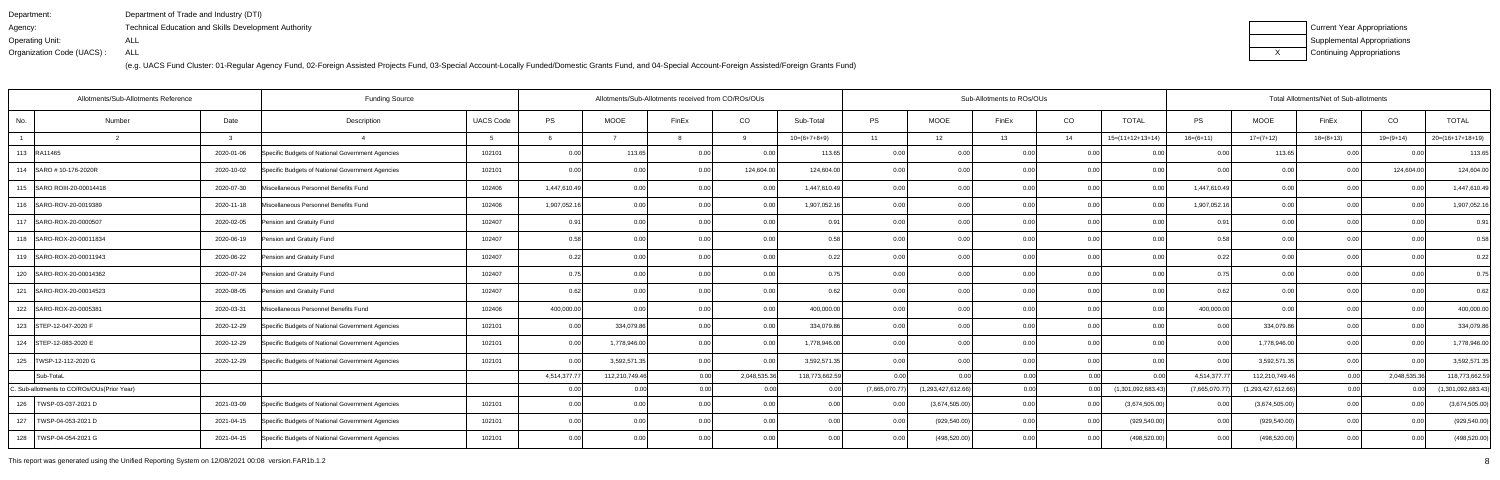| Department:               | Department of Trade and Industry (DTI)                      |
|---------------------------|-------------------------------------------------------------|
| Agency:                   | <b>Technical Education and Skills Development Authority</b> |
| Operating Unit:           | ALL                                                         |
| Organization Code (UACS): | ALL                                                         |

| Current Year Appropriations |
|-----------------------------|
| Supplemental Appropriations |
| Continuing Appropriations   |

| Allotments/Sub-Allotments Reference<br><b>Funding Source</b> |        |              |                                                  |                  |              |                | Allotments/Sub-Allotments received from CO/ROs/OUs |                |                |               |                    | Sub-Allotments to ROs/OUs |       |                    |               |                    | Total Allotments/Net of Sub-allotments |              |                    |
|--------------------------------------------------------------|--------|--------------|--------------------------------------------------|------------------|--------------|----------------|----------------------------------------------------|----------------|----------------|---------------|--------------------|---------------------------|-------|--------------------|---------------|--------------------|----------------------------------------|--------------|--------------------|
| No.                                                          | Number | Date         | Description                                      | <b>UACS Code</b> | PS           | <b>MOOE</b>    | FinEx                                              | CO             | Sub-Total      | PS            | <b>MOOE</b>        | FinEx                     | CO    | <b>TOTAL</b>       | <b>PS</b>     | <b>MOOE</b>        | FinEx                                  | CO           | <b>TOTAL</b>       |
|                                                              | - 2    | $\mathbf{B}$ |                                                  |                  |              |                |                                                    | $\alpha$       | $10=(6+7+8+9)$ | 11            | 12                 | 13                        | 14    | $15=(11+12+13+14)$ | $16=(6+11)$   | $17=(7+12)$        | $18=(8+13)$                            | $19=(9+14)$  | 20=(16+17+18+19)   |
| 113 RA11465                                                  |        | 2020-01-06   | Specific Budgets of National Government Agencies | 102101           | 0.00         | 113.65         | 0 <sub>0</sub>                                     | 0 <sub>0</sub> | 113.65         | 0.0(          | 0.0                | 0.00                      | 0.00  |                    |               | 113.65             | 0.00                                   |              | 113.65             |
| 114   SARO # 10-176-2020R                                    |        | 2020-10-02   | Specific Budgets of National Government Agencies | 102101           | 0.00         | 0.00           | 0.00                                               | 124,604.00     | 124,604.00     | 0.00          | 0.00               | 0.00                      | 0.00  | 0.00               | 0.00          | 0.00               | 0.00                                   | 124,604.00   | 124,604.00         |
| 115   SARO ROIII-20-00014418                                 |        | 2020-07-30   | Miscellaneous Personnel Benefits Fund            | 102406           | 1,447,610.49 | 0.00           | 0.00                                               | 0.00           | 1,447,610.49   | 0.00          | 0.00               | 0.00 <sub>l</sub>         | 0.00  | 0.0                | 1,447,610.49  | 0.00               | 0.00                                   | 0.00         | 1,447,610.49       |
| 116 SARO-ROV-20-0019389                                      |        | 2020-11-18   | Miscellaneous Personnel Benefits Fund            | 102406           | 1,907,052.16 | 0.00           | 0 <sub>0</sub>                                     | 0.00           | 1,907,052.16   | 0.00          | 0.00               | 0.001                     | 0.00  | 0.00               | 1,907,052.16  | 0.00               | 0.00                                   | 0.00         | 1,907,052.16       |
| 117 SARO-ROX-20-0000507                                      |        | 2020-02-05   | Pension and Gratuity Fund                        | 102407           | 0.91         | 0.00           | 0.00                                               | 0.00           | 0.91           | 0.00          | 0.00               | 0.00                      | 0.00  | 0.00               | 0.91          | 0.00               | 0.00                                   | 0.00         | 0.91               |
| 118   SARO-ROX-20-00011834                                   |        | 2020-06-19   | Pension and Gratuity Fund                        | 102407           | 0.58         | 0.00           | 0.00                                               | 0.00           | 0.58           | 0.00          | 0.00               | 0.00                      | 0.00  | 0.00               | 0.58          | 0.00               | 0.00                                   | 0.00         | 0.58               |
| 119   SARO-ROX-20-00011943                                   |        | 2020-06-22   | Pension and Gratuity Fund                        | 102407           | 0.22         | 0.00           | 0.00                                               | 0.00           | 0.22           | 0.00          | 0.00               | 0.00 <sub>l</sub>         | 0.00  | 0.00               | 0.22          | 0.00               | 0.00                                   | 0.00         | 0.22               |
| 120 SARO-ROX-20-00014362                                     |        | 2020-07-24   | Pension and Gratuity Fund                        | 102407           | 0.75         | 0.00           | 0.00                                               | 0.00           | 0.75           | 0.00          | 0.00               | 0.00                      | 0.00  | 0.00               | 0.75          | 0.00               | 0.00                                   | 0.00         | 0.75               |
| 121 SARO-ROX-20-00014523                                     |        | 2020-08-05   | Pension and Gratuity Fund                        | 102407           | 0.62         | 0.00           | 0.00                                               | 0.00           | 0.62           | 0.00          | 0.00               | 0.00                      | 0.00  | 0.00               | 0.62          | 0.00               | 0.00                                   | 0.00         | 0.62               |
| 122   SARO-ROX-20-0005381                                    |        | 2020-03-31   | Miscellaneous Personnel Benefits Fund            | 102406           | 400,000.00   | 0.00           | 0.00                                               | 0.00           | 400,000.00     | 0.00          | 0.00               | 0.001                     | 0.00  | 0.00               | 400,000.00    | 0.00               | 0.00                                   | 0.00         | 400,000.00         |
| 123 STEP-12-047-2020 F                                       |        | 2020-12-29   | Specific Budgets of National Government Agencies | 102101           | 0.00         | 334,079.86     | 0.00                                               | 0.00           | 334,079.86     | 0.00          | 0.00               | 0.00                      | 0.00  | 0.00               | 0.00          | 334,079.86         | 0.00                                   | 0.00         | 334,079.86         |
| 124 STEP-12-083-2020 E                                       |        | 2020-12-29   | Specific Budgets of National Government Agencies | 102101           | 0.00         | 1,778,946.00   | 0.00                                               | 0.00           | 1,778,946.00   | 0.00          | 0.00               | 0.00 <sub>l</sub>         | 0.00  | 0.00               | 0.00          | 1,778,946.00       | 0.00                                   | 0.00         | 1,778,946.00       |
| 125   TWSP-12-112-2020 G                                     |        | 2020-12-29   | Specific Budgets of National Government Agencies | 102101           | 0.00         | 3,592,571.35   | 0.00                                               | 0.00           | 3,592,571.35   | 0.00          | 0.00               | 0.00                      | 0.00  | 0.00               | 0.00          | 3,592,571.35       | 0.00                                   | 0.00         | 3,592,571.35       |
| Sub-TotaL                                                    |        |              |                                                  |                  | 4,514,377.77 | 112,210,749.46 | 0.00                                               | 2,048,535.36   | 118,773,662.59 | 0. UU         | 0.00               | 0.00                      | -0.00 |                    | 4,514,377.7   | 112,210,749.46     | 0.00                                   | 2,048,535.36 | 118,773,662.59     |
| C. Sub-allotments to CO/ROs/OUs(Prior Year)                  |        |              |                                                  |                  | 0.00         | 0.00           | 0.00                                               | 0.00           | 0.00           | (7,665,070.77 | (1,293,427,612.66) | 0.001                     | -0.00 | (1,301,092,683.43  | (7,665,070.7) | (1,293,427,612.66) | 0.00                                   |              | (1,301,092,683.43) |
| 126   TWSP-03-037-2021 D                                     |        | 2021-03-09   | Specific Budgets of National Government Agencies | 102101           | 0.00         | 0.00           |                                                    | 0.00           | 0.00           |               | (3,674,505.00)     | 0.00                      | 0.00  | (3,674,505.00)     | 0.00          | (3,674,505.00)     | 0.00                                   | 0.00         | (3,674,505.00)     |
| 127<br>TWSP-04-053-2021                                      |        | 2021-04-15   | Specific Budgets of National Government Agencies | 102101           | 0.00         | 0.00           | 0 <sub>0</sub>                                     | 0.00           | 0 <sub>0</sub> | 0.00          | (929, 540.00)      | 0.00                      | 0.00  | (929, 540.00)      | 0.00          | (929, 540.00)      | 0.00                                   | 0.00         | (929, 540.00)      |
| 128   TWSP-04-054-2021 G                                     |        | 2021-04-15   | Specific Budgets of National Government Agencies | 102101           | 0.00         | 0.00           | 0.00                                               | 0.00           | 0.00           | 0.00          | (498, 520.00)      | 0.00                      | 0.00  | (498, 520.00)      | 0.00          | (498,520.00)       | 0.00                                   | 0.00         | (498, 520.00)      |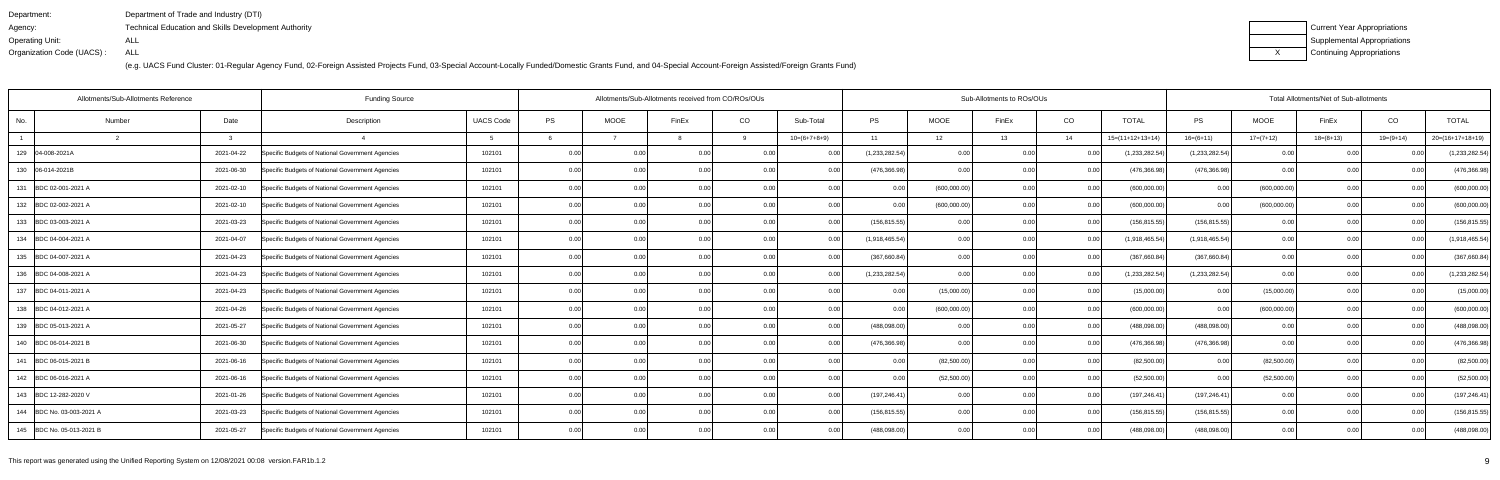| Department:               | Department of Trade and Industry (DTI)                      |
|---------------------------|-------------------------------------------------------------|
| Agency:                   | <b>Technical Education and Skills Development Authority</b> |
| Operating Unit:           | ALL                                                         |
| Organization Code (UACS): | ALL                                                         |

| Current Year Appropriations |
|-----------------------------|
| Supplemental Appropriations |
| Continuing Appropriations   |

| Allotments/Sub-Allotments Reference |        |              | <b>Funding Source</b>                            |                  |           | Allotments/Sub-Allotments received from CO/ROs/OUs |                |          |                |                |              | Sub-Allotments to ROs/OUs |                |                    |                   |              | Total Allotments/Net of Sub-allotments |                |                    |
|-------------------------------------|--------|--------------|--------------------------------------------------|------------------|-----------|----------------------------------------------------|----------------|----------|----------------|----------------|--------------|---------------------------|----------------|--------------------|-------------------|--------------|----------------------------------------|----------------|--------------------|
| No.                                 | Number | Date         | Description                                      | <b>UACS Code</b> | <b>PS</b> | <b>MOOE</b>                                        | FinEx          | CO       | Sub-Total      | <b>PS</b>      | <b>MOOE</b>  | FinEx                     | CO             | <b>TOTAL</b>       | PS                | <b>MOOE</b>  | FinEx                                  | CO             | <b>TOTAL</b>       |
|                                     |        | $\mathbf{R}$ |                                                  |                  |           |                                                    |                | <b>Q</b> | $10=(6+7+8+9)$ | 11             | 12           | 13                        | 14             | $15=(11+12+13+14)$ | $16=(6+11)$       | $17=(7+12)$  | $18=(8+13)$                            | $19=(9+14)$    | $20=(16+17+18+19)$ |
| 129 04-008-2021A                    |        | 2021-04-22   | Specific Budgets of National Government Agencies | 102101           | 0.00      |                                                    | 0.00           |          | 0 Q            | (1,233,282.54) |              |                           | <u>ດ (</u>     | (1,233,282.54)     | (1,233,282.54)    | 0.00         |                                        |                | (1,233,282.54)     |
| 130 06-014-2021B                    |        | 2021-06-30   | Specific Budgets of National Government Agencies | 102101           | 0.00      | 0.00                                               | 0 <sub>0</sub> | 0.00     | 0.00           | (476, 366.98)  | 0.00         | 0.OC                      | 0.0            | (476,366.98        | (476, 366.98)     | 0.00         | 0.00                                   | 0 <sub>0</sub> | (476, 366.98)      |
| 131 BDC 02-001-2021 A               |        | 2021-02-10   | Specific Budgets of National Government Agencies | 102101           | 0.00      | 0.00                                               | 0.00           | 0.00     | 0.00           | 0.00           | (600,000.00) | 0.00                      | 0.00           | (600,000.00)       | 0.00              | (600,000.00) | 0.00                                   | 0.00           | (600,000.00)       |
| 132 BDC 02-002-2021 A               |        | 2021-02-10   | Specific Budgets of National Government Agencies | 102101           | 0.00      | 0.00                                               | 0.00           | 0.00     | 0.00           | 0.00           | (600,000.00) | 0.00                      | 0.00           | (600,000.00)       | 0.00 <sub>l</sub> | (600,000.00) | 0.00                                   | 0.00           | (600,000.00)       |
| 133 BDC 03-003-2021 A               |        | 2021-03-23   | Specific Budgets of National Government Agencies | 102101           | 0.00      | 0.00                                               | 0 <sub>0</sub> | 0.00     | 0.00           | (156, 815.55)  | 0.00         | 0.00                      | 0.00           | (156, 815.55)      | (156, 815.55)     | 0.00         | 0.00                                   | 0 <sub>0</sub> | (156, 815.55)      |
| 134 BDC 04-004-2021 A               |        | 2021-04-07   | Specific Budgets of National Government Agencies | 102101           | 0.00      | 0.00                                               | 0.00           | 0.00     | 0.00           | (1,918,465.54) | 0.00         | 0.00                      | 0.00           | (1,918,465.54)     | (1,918,465.54)    | 0.00         | 0.00                                   | 0.00           | (1,918,465.54)     |
| 135 BDC 04-007-2021 A               |        | 2021-04-23   | Specific Budgets of National Government Agencies | 102101           | 0.00      | 0.00                                               | 0.00           | 0.001    | 0.00           | (367,660.84)   | 0.00         | 0.00                      | 0.00           | (367,660.84)       | (367,660.84)      | 0.00         | 0.00                                   | 0.00           | (367,660.84)       |
| 136 BDC 04-008-2021 A               |        | 2021-04-23   | Specific Budgets of National Government Agencies | 102101           | 0.00      | 0.00                                               | 0.00           | 0.00     | 0.00           | (1,233,282.54) | 0.00         | 0.00                      | 0.0            | (1,233,282.54)     | (1,233,282.54)    | 0.00         | 0.00                                   | 0.00           | (1,233,282.54)     |
| 137 BDC 04-011-2021 A               |        | 2021-04-23   | Specific Budgets of National Government Agencies | 102101           | 0.00      | 0.00                                               | 0.00           | 0.001    | 0.00           | 0.00           | (15,000.00)  | 0.00                      | 0.00           | (15,000.00)        | 0.00              | (15,000.00)  | 0.00                                   | 0.00           | (15,000.00)        |
| 138 BDC 04-012-2021 A               |        | 2021-04-26   | Specific Budgets of National Government Agencies | 102101           | 0.00      | 0.00                                               | 0.00           | 0.00     | 0.00           | 0.00           | (600,000.00) | 0.00                      | 0.00           | (600,000.00)       | 0.00              | (600,000.00) | 0.00                                   | 0.00           | (600,000.00)       |
| 139 BDC 05-013-2021 A               |        | 2021-05-27   | Specific Budgets of National Government Agencies | 102101           | 0.00      | 0.00                                               | 0 <sub>0</sub> |          | 0.00           | (488,098.00    | 0.00         | 0.00                      | 0.0            | (488,098.00        | (488,098.00)      | 0.00         | 0.00                                   | 0 <sub>0</sub> | (488,098.00)       |
| 140 BDC 06-014-2021 B               |        | 2021-06-30   | Specific Budgets of National Government Agencies | 102101           | 0.00      | 0.00                                               |                | 0.00     | 0 Q            | (476, 366.98)  | 0.00         | 0.OC                      | 0.0            | (476,366.98        | (476, 366.98)     | 0.00         | 0.00                                   | 0 <sub>0</sub> | (476, 366.98)      |
| 141 BDC 06-015-2021 B               |        | 2021-06-16   | Specific Budgets of National Government Agencies | 102101           | 0.00      | 0.00                                               | 0.00           | 0.00     | 0.00           | 0.00           | (82,500.00)  | 0.OC                      | 0.00           | (82,500.00)        | 0.00              | (82,500.00)  | 0.00                                   | 0.00           | (82,500.00)        |
| 142 BDC 06-016-2021 A               |        | 2021-06-16   | Specific Budgets of National Government Agencies | 102101           | 0.00      | 0.00                                               | 0.00           | 0.00     | 0.00           |                | (52,500.00)  | 0.00                      | 0.0            | (52,500.00)        | 0.00              | (52,500.00)  | 0.00                                   | 0 <sub>0</sub> | (52,500.00)        |
| 143 BDC 12-282-2020 V               |        | 2021-01-26   | Specific Budgets of National Government Agencies | 102101           | 0.00      | 0.00                                               |                | 0.00     | 0 <sub>0</sub> | (197,246.41    | 0.00         | n nr                      | 0.0            | (197, 246.41)      | (197, 246.41)     | 0.00         | 0.00                                   |                | (197, 246.41)      |
| 144 BDC No. 03-003-2021 A           |        | 2021-03-23   | Specific Budgets of National Government Agencies | 102101           | 0.00      | 0.00                                               |                | 0.00     |                | (156, 815.55)  | 0.00         |                           | 0.00           | (156, 815.55)      | (156, 815.55)     | 0.00         | 0.00                                   |                | (156, 815.55)      |
| 145 BDC No. 05-013-2021 B           |        | 2021-05-27   | Specific Budgets of National Government Agencies | 102101           | 0.00      | 0.00                                               |                | 0.00     | 0.00           | (488,098.00)   | 0.00         | 0.00                      | 0 <sub>0</sub> | (488,098.00        | (488,098.00)      | 0.00         | 0.00                                   |                | (488,098.00)       |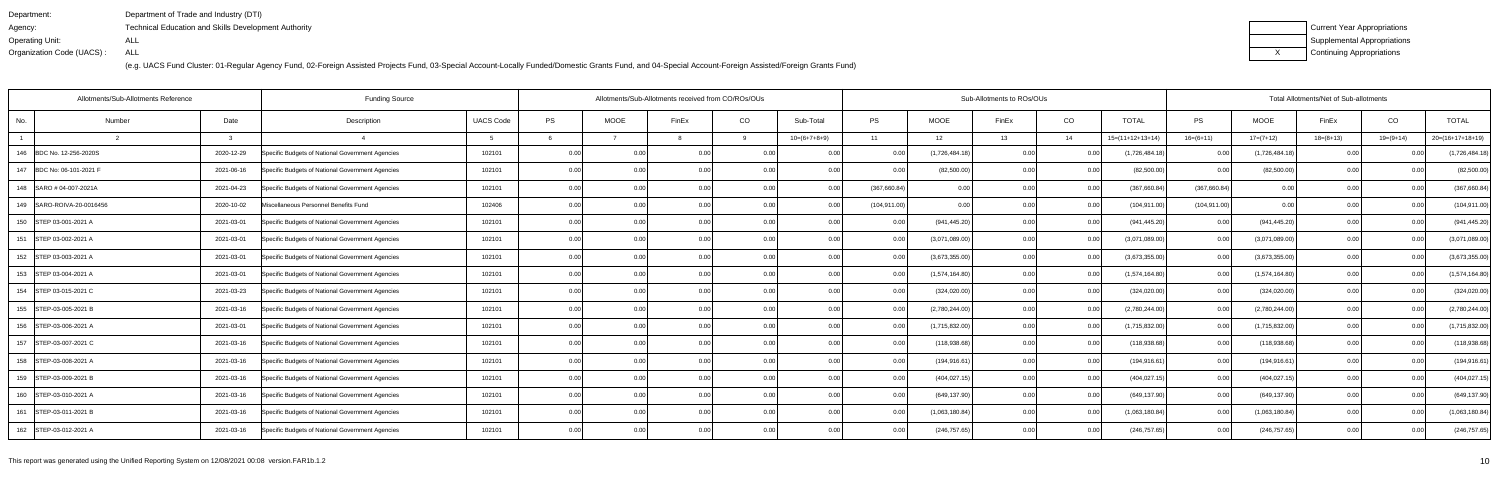| Department:               | Department of Trade and Industry (DTI)                      |
|---------------------------|-------------------------------------------------------------|
| Agency:                   | <b>Technical Education and Skills Development Authority</b> |
| Operating Unit:           | ALL                                                         |
| Organization Code (UACS): | ALL                                                         |

| Current Year Appropriations |
|-----------------------------|
| Supplemental Appropriations |
| Continuing Appropriations   |

| Number | Date                                                                                                                                                                                                                                                                                                                                                                                                                                                                | Description                                      | <b>UACS Code</b> | PS                    | <b>MOOE</b> | FinEx | CO    | Sub-Total                                                                  | PS            | MOOE                         | FinEx | CO                                                                                                                 | <b>TOTAL</b>                              | PS                | MOOE                  | FinEx       | CO             | <b>TOTAL</b>                                                                                           |
|--------|---------------------------------------------------------------------------------------------------------------------------------------------------------------------------------------------------------------------------------------------------------------------------------------------------------------------------------------------------------------------------------------------------------------------------------------------------------------------|--------------------------------------------------|------------------|-----------------------|-------------|-------|-------|----------------------------------------------------------------------------|---------------|------------------------------|-------|--------------------------------------------------------------------------------------------------------------------|-------------------------------------------|-------------------|-----------------------|-------------|----------------|--------------------------------------------------------------------------------------------------------|
|        | વ                                                                                                                                                                                                                                                                                                                                                                                                                                                                   |                                                  |                  |                       |             |       | 9     | $10=(6+7+8+9)$                                                             | 11            | 12                           | 13    | 14                                                                                                                 | $15=(11+12+13+14)$                        | $16=(6+11)$       | $17=(7+12)$           | $18=(8+13)$ | $19=(9+14)$    | $20=(16+17+18+19)$                                                                                     |
|        | 2020-12-29                                                                                                                                                                                                                                                                                                                                                                                                                                                          | Specific Budgets of National Government Agencies | 102101           | 0.00                  | 0.00        |       |       | 0 Q                                                                        |               | (1,726,484.18)               | 0.00  | 0.0                                                                                                                | (1,726,484.18)                            | 0.00              | (1,726,484.18)        |             |                | (1,726,484.18)                                                                                         |
|        | 2021-06-16                                                                                                                                                                                                                                                                                                                                                                                                                                                          | Specific Budgets of National Government Agencies | 102101           | 0.00                  | 0.00        | 0.00  | 0.001 | 0.00                                                                       | 0.00          |                              | 0.00  | 0.00                                                                                                               | (82,500.00)                               | 0.00              | (82,500.00)           | 0.00        |                | (82,500.00)                                                                                            |
|        | 2021-04-23                                                                                                                                                                                                                                                                                                                                                                                                                                                          | Specific Budgets of National Government Agencies | 102101           | 0.00                  | 0.00        |       | 0.001 | 0.00                                                                       | (367,660.84)  |                              | 0.00  |                                                                                                                    | (367,660.84)                              | (367,660.84)      | 0.00                  | 0.00        |                | (367,660.84)                                                                                           |
|        | 2020-10-02                                                                                                                                                                                                                                                                                                                                                                                                                                                          | Miscellaneous Personnel Benefits Fund            | 102406           | 0.00                  | 0.00        | 0.00  | 0.00  | 0.00                                                                       | (104, 911.00) |                              | 0.00  | 0.00                                                                                                               | (104, 911.00)                             |                   | 0.00                  | 0.00        |                | (104, 911.00)                                                                                          |
|        | 2021-03-01                                                                                                                                                                                                                                                                                                                                                                                                                                                          | Specific Budgets of National Government Agencies | 102101           | 0.00                  | 0.00        | 0.00  | 0.00  | 0.00                                                                       | 0.00          |                              | 0.00  | 0.00                                                                                                               | (941,445.20)                              | 0.00              | (941, 445.20)         | 0.00        | 0.0(           | (941, 445.20)                                                                                          |
|        | 2021-03-01                                                                                                                                                                                                                                                                                                                                                                                                                                                          | Specific Budgets of National Government Agencies | 102101           | 0.00                  | 0.00        | 0.00  | 0.00  |                                                                            | 0.00          |                              | 0.00  | 0.00                                                                                                               | (3,071,089.00)                            | 0.00              | (3,071,089.00)        | 0.00        |                | (3,071,089.00)                                                                                         |
|        | 2021-03-01                                                                                                                                                                                                                                                                                                                                                                                                                                                          | Specific Budgets of National Government Agencies | 102101           | 0.00                  | 0.00        |       | 0.00  |                                                                            | 0.00          | (3,673,355.00)               | 0.00  | 0.00                                                                                                               | (3,673,355.00)                            |                   | (3,673,355.00)        | 0.00        |                | (3,673,355.00)                                                                                         |
|        | 2021-03-01                                                                                                                                                                                                                                                                                                                                                                                                                                                          | Specific Budgets of National Government Agencies | 102101           | 0.00                  | 0.00        | 0.00  | 0.00  | 0.00                                                                       | 0.00          | (1,574,164.80)               | 0.00  | 0.0                                                                                                                | (1,574,164.80)                            | 0.00              | (1,574,164.80)        | 0.00        |                | (1,574,164.80)                                                                                         |
|        | 2021-03-23                                                                                                                                                                                                                                                                                                                                                                                                                                                          | Specific Budgets of National Government Agencies | 102101           | 0.00                  | 0.00        | 0.00  | 0.00  | 0.00                                                                       | 0.00          |                              | 0.00  | 0.00                                                                                                               | (324, 020.00)                             | 0.00 <sub>l</sub> | (324, 020.00)         | 0.00        | 0 <sub>0</sub> | (324, 020.00)                                                                                          |
|        | 2021-03-16                                                                                                                                                                                                                                                                                                                                                                                                                                                          | Specific Budgets of National Government Agencies | 102101           | 0.00                  | 0.00        |       | 0.001 |                                                                            | 0.00          |                              | 0.00  | 0.00                                                                                                               | (2,780,244.00)                            | 0.00              | (2,780,244.00)        | 0.00        |                | (2,780,244.00)                                                                                         |
|        | 2021-03-01                                                                                                                                                                                                                                                                                                                                                                                                                                                          | Specific Budgets of National Government Agencies | 102101           | 0.00                  | 0.00        |       |       | 0.00                                                                       |               | (1,715,832.00)               | 0.00  | 0.0                                                                                                                | (1,715,832.00)                            | 0.00              | (1,715,832.00)        | 0.00        | 0.00           | (1,715,832.00)                                                                                         |
|        | 2021-03-16                                                                                                                                                                                                                                                                                                                                                                                                                                                          | Specific Budgets of National Government Agencies | 102101           | 0.00                  | 0.00        |       | 0.00  |                                                                            | 0.00          | (118,938.68)                 | 0 U   | 0.0                                                                                                                | (118,938.68)                              | 0.00              | (118,938.68)          | 0.00        |                | (118, 938.68)                                                                                          |
|        | 2021-03-16                                                                                                                                                                                                                                                                                                                                                                                                                                                          | Specific Budgets of National Government Agencies | 102101           | 0.00                  | 0.00        | 0.00  | 0.00  | 0.00                                                                       | 0.00          | (194, 916.61)                | 0.00  |                                                                                                                    | (194, 916.61)                             | 0.00              | (194, 916.61)         | 0.00        |                | (194, 916.61)                                                                                          |
|        | 2021-03-16                                                                                                                                                                                                                                                                                                                                                                                                                                                          | Specific Budgets of National Government Agencies | 102101           | 0.00                  | 0.00        | 0.00  | 0.00  |                                                                            |               | (404,027.15                  | 0.00  | 0.0                                                                                                                | (404,027.15                               | 0.00              | (404, 027.15)         | 0.00        | 0 <sub>0</sub> | (404, 027.15)                                                                                          |
|        | 2021-03-16                                                                                                                                                                                                                                                                                                                                                                                                                                                          | Specific Budgets of National Government Agencies | 102101           | 0.00                  | 0.00        |       | 0.00  | -0.00                                                                      | 0.00          | (649, 137.90)                | n nn  | 0.0                                                                                                                | (649,137.90)                              | 0.00              | (649, 137.90)         | 0.00        |                | (649, 137.90)                                                                                          |
|        | 2021-03-16                                                                                                                                                                                                                                                                                                                                                                                                                                                          | Specific Budgets of National Government Agencies | 102101           | 0.00                  | 0.00        |       | 0.00  | 0.00                                                                       |               | (1,063,180.84)               | ስ ስበ  | 0.00                                                                                                               | (1,063,180.84)                            | 0.00              | (1,063,180.84)        | 0.00        |                | (1,063,180.84)                                                                                         |
|        | 2021-03-16                                                                                                                                                                                                                                                                                                                                                                                                                                                          | Specific Budgets of National Government Agencies | 102101           | 0.00                  | 0.00        |       | 0.00  |                                                                            | 0.00          |                              | 0.00  | . 0.0                                                                                                              | (246, 757.65)                             | 0.00 l            | (246, 757.65)         | 0.00        |                | (246, 757.65)                                                                                          |
|        | 146 BDC No. 12-256-2020S<br>147 BDC No: 06-101-2021 F<br>148 SARO # 04-007-2021A<br>149 SARO-ROIVA-20-0016456<br>150 STEP 03-001-2021 A<br>151 STEP 03-002-2021 A<br>152 STEP 03-003-2021 A<br>153 STEP 03-004-2021 A<br>154 STEP 03-015-2021 C<br>155 STEP-03-005-2021 B<br>156 STEP-03-006-2021 A<br>157   STEP-03-007-2021 C<br>158 STEP-03-008-2021 A<br>159   STEP-03-009-2021 B<br>160 STEP-03-010-2021 A<br>161 STEP-03-011-2021 B<br>162 STEP-03-012-2021 A | Allotments/Sub-Allotments Reference              |                  | <b>Funding Source</b> |             |       |       | Allotments/Sub-Allotments received from CO/ROs/OUs<br>0.00<br>0.00<br>0.00 |               | 0.00<br>0.00<br>0.00<br>0.00 |       | (82,500.00)<br>0.00<br>0.00<br>(941, 445.20)<br>(3,071,089.00)<br>(324, 020.00)<br>(2,780,244.00)<br>(246, 757.65) | Sub-Allotments to ROs/OUs<br>0.00<br>0.00 |                   | (104, 911.00)<br>0.00 |             |                | Total Allotments/Net of Sub-allotments<br>0.00<br>0.00<br>0.00<br>0.00<br>0.00<br>0.00<br>0.00<br>0.00 |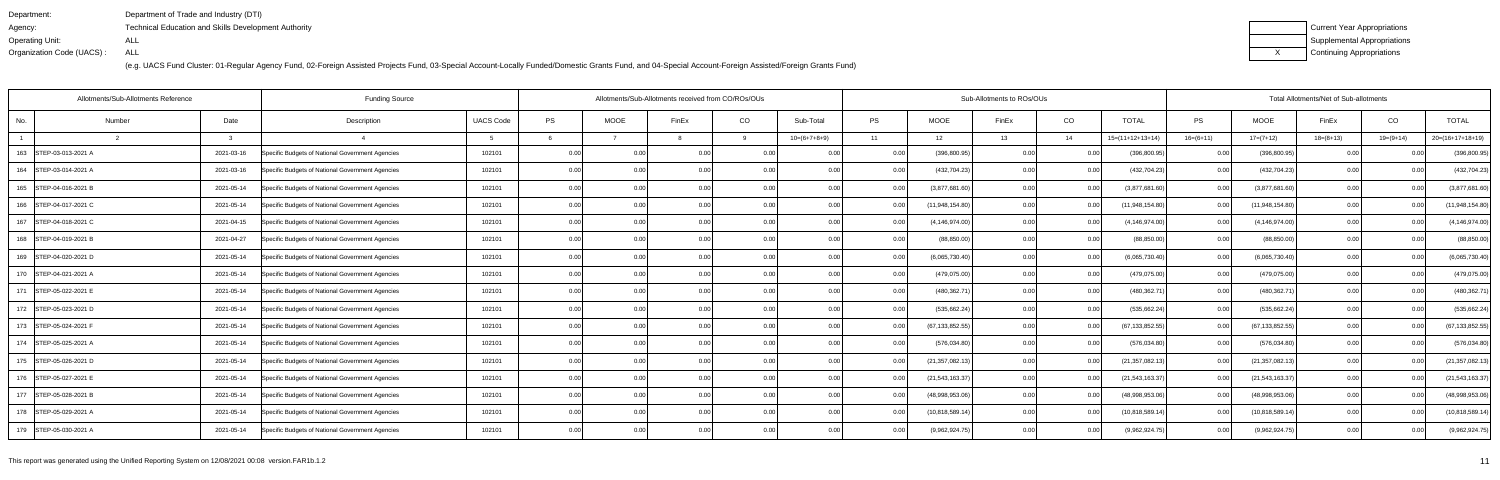| Department:               | Department of Trade and Industry (DTI)                      |
|---------------------------|-------------------------------------------------------------|
| Agency:                   | <b>Technical Education and Skills Development Authority</b> |
| Operating Unit:           | ALL                                                         |
| Organization Code (UACS): | ALL                                                         |

| Current Year Appropriations |
|-----------------------------|
| Supplemental Appropriations |
| Continuing Appropriations   |

| Allotments/Sub-Allotments Reference |        |               | <b>Funding Source</b>                            |                  |      |                | Allotments/Sub-Allotments received from CO/ROs/OUs |      |                |           |                   | Sub-Allotments to ROs/OUs |      |                    |               |                   | Total Allotments/Net of Sub-allotments |             |                    |
|-------------------------------------|--------|---------------|--------------------------------------------------|------------------|------|----------------|----------------------------------------------------|------|----------------|-----------|-------------------|---------------------------|------|--------------------|---------------|-------------------|----------------------------------------|-------------|--------------------|
| No.                                 | Number | Date          | Description                                      | <b>UACS Code</b> | PS   | <b>MOOE</b>    | FinEx                                              | CO   | Sub-Total      | <b>PS</b> | <b>MOOE</b>       | FinEx                     | CO   | <b>TOTAL</b>       | $\mathsf{PS}$ | <b>MOOE</b>       | FinEx                                  | CO          | <b>TOTAL</b>       |
|                                     |        | $\mathcal{R}$ |                                                  |                  |      |                |                                                    | q    | $10=(6+7+8+9)$ | 11        | 12                | 13                        | 14   | $15=(11+12+13+14)$ | $16=(6+11)$   | $17=(7+12)$       | $18=(8+13)$                            | $19=(9+14)$ | $20=(16+17+18+19)$ |
| 163 STEP-03-013-2021 A              |        | 2021-03-16    | Specific Budgets of National Government Agencies | 102101           | 0.00 | 0 <sub>0</sub> | 0.0(                                               |      |                |           | (396,800.95       | 0.00                      |      | (396, 800.95)      | 0.00          | (396, 800.95)     |                                        |             | (396, 800.95)      |
| 164 STEP-03-014-2021 A              |        | 2021-03-16    | Specific Budgets of National Government Agencies | 102101           | 0.00 | 0.00           | 0.0(                                               | 0.00 | 0.00           | 0.00      | (432, 704.23)     | 0.00                      | 0.00 | (432, 704.23)      | 0.00          | (432, 704.23)     | 0.00                                   | 0.00        | (432, 704.23)      |
| 165 STEP-04-016-2021 B              |        | 2021-05-14    | Specific Budgets of National Government Agencies | 102101           | 0.00 | 0.00           | 0.00                                               | 0.00 | 0.00           | 0.00      | (3,877,681.60)    | 0.00                      | 0.00 | (3,877,681.60)     | 0.00          | (3,877,681.60)    | 0.00                                   | 0.00        | (3,877,681.60)     |
| 166 STEP-04-017-2021 C              |        | 2021-05-14    | Specific Budgets of National Government Agencies | 102101           | 0.00 | 0.00           | 0.0(                                               | 0.00 | 0.00           |           | (11,948,154.80)   | 0.00                      | 0.00 | (11,948,154.80)    | 0.00          | (11,948,154.80)   | 0.00                                   | 0.00        | (11,948,154.80)    |
| 167 STEP-04-018-2021 C              |        | 2021-04-15    | Specific Budgets of National Government Agencies | 102101           | 0.00 | 0.00           | 0 <sub>0</sub>                                     | 0.00 | 0.00           | 0.00      | (4, 146, 974.00)  | 0.00                      | 0.00 | (4, 146, 974.00)   | 0.00          | (4, 146, 974.00)  | 0.00                                   |             | (4, 146, 974.00)   |
| 168 STEP-04-019-2021 B              |        | 2021-04-27    | Specific Budgets of National Government Agencies | 102101           | 0.00 | 0.00           | 0.0(                                               | 0.00 | 0.00           | 0.00      | (88, 850.00)      | 0.00                      | 0.00 | (88, 850.00)       | 0.00          | (88, 850.00)      | 0.00                                   | 0.00        | (88, 850.00)       |
| 169   STEP-04-020-2021 D            |        | 2021-05-14    | Specific Budgets of National Government Agencies | 102101           | 0.00 | 0.00           | 0.00                                               | 0.00 | 0.00           |           | (6,065,730.40)    | 0.00                      | 0.00 | (6,065,730.40)     | 0.00          | (6,065,730.40)    | 0.00                                   | 0.00        | (6,065,730.40)     |
| 170   STEP-04-021-2021 A            |        | 2021-05-14    | Specific Budgets of National Government Agencies | 102101           | 0.00 | 0.00           | 0 <sub>0</sub>                                     | 0.00 | 0.00           |           | (479, 075.00)     | 0.00                      | 0.00 | (479, 075.00)      | 0.00          | (479, 075.00)     | 0.00                                   | n nr        | (479, 075.00)      |
| 171 STEP-05-022-2021 E              |        | 2021-05-14    | Specific Budgets of National Government Agencies | 102101           | 0.00 | 0.00           |                                                    | 0.00 | 0.00           |           | (480, 362.7)      | 0.00                      | 0.00 | (480,362.71        | 0.00          | (480,362.71       | 0.00                                   |             | (480, 362.71)      |
| 172 STEP-05-023-2021 D              |        | 2021-05-14    | Specific Budgets of National Government Agencies | 102101           | 0.00 | 0.00           | 0.00                                               | 0.00 | 0.00           | 0.00      | (535,662.24       | 0.00                      | 0.00 | (535, 662.24)      | 0.00          | (535, 662.24)     | 0.00                                   | 0.00        | (535, 662.24)      |
| 173 STEP-05-024-2021 F              |        | 2021-05-14    | Specific Budgets of National Government Agencies | 102101           | 0.00 |                |                                                    | 0.00 | 0.00           |           | (67,133,852.55    | 0.00                      | 0.00 | (67, 133, 852.55)  | 0.00          | (67, 133, 852.55) | 0.00                                   |             | (67, 133, 852.55)  |
| 174 STEP-05-025-2021 A              |        | 2021-05-14    | Specific Budgets of National Government Agencies | 102101           | 0.00 | 0.00           |                                                    | 0.00 | 0.00           |           | (576, 034.80)     | 0.00                      | 0.00 | (576, 034.80)      | 0.00          | (576, 034.80)     | 0.00                                   |             | (576, 034.80)      |
| 175 STEP-05-026-2021 D              |        | 2021-05-14    | Specific Budgets of National Government Agencies | 102101           | 0.00 | 0.00           | 0.0(                                               | 0.00 | 0.00           |           | (21,357,082.13    | 0.00                      | 0.00 | (21, 357, 082.13)  | 0.00          | (21, 357, 082.13) | 0.00                                   | 0.00        | (21, 357, 082.13)  |
| 176 STEP-05-027-2021 E              |        | 2021-05-14    | Specific Budgets of National Government Agencies | 102101           | 0.00 | 0.00           |                                                    | 0.00 | 0.00           |           | (21, 543, 163.37) | 0.00                      | 0.00 | (21, 543, 163.37)  | 0.00          | (21, 543, 163.37) | 0.00                                   |             | (21, 543, 163.37)  |
| 177 STEP-05-028-2021 B              |        | 2021-05-14    | Specific Budgets of National Government Agencies | 102101           | 0.00 | 0.00           |                                                    | 0.00 | 0.00           |           | (48,998,953.06)   | 0.00                      | 0.OO | (48,998,953.06)    | 0.00          | (48,998,953.06)   | 0.00                                   |             | (48,998,953.06)    |
| 178 STEP-05-029-2021 A              |        | 2021-05-14    | Specific Budgets of National Government Agencies | 102101           | 0.00 | 0.00           |                                                    | 0.00 | 0.00           |           | (10,818,589.14)   | 0.00                      | 0.00 | (10, 818, 589.14)  | 0.00          | (10,818,589.14)   | 0.00                                   |             | (10,818,589.14)    |
| 179 STEP-05-030-2021 A              |        | 2021-05-14    | Specific Budgets of National Government Agencies | 102101           | 0.00 | 0.00           |                                                    | 0.00 | 0.00           |           | (9,962,924.75)    | 0.00                      |      | (9,962,924.75)     | 0.00          | (9,962,924.75)    | 0.00                                   |             | (9,962,924.75)     |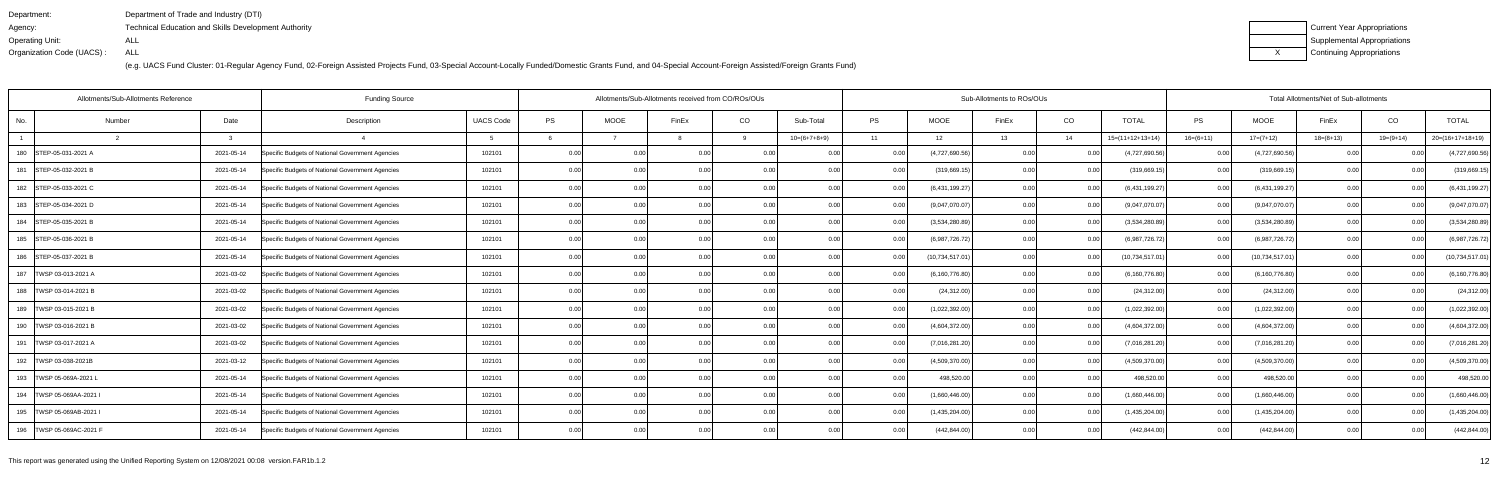| Department:               | Department of Trade and Industry (DTI)               |
|---------------------------|------------------------------------------------------|
| Agency:                   | Technical Education and Skills Development Authority |
| Operating Unit:           | ALL                                                  |
| Organization Code (UACS): | ALL                                                  |

| Current Year Appropriations |
|-----------------------------|
| Supplemental Appropriations |
| Continuing Appropriations   |

| Allotments/Sub-Allotments Reference |        |               | <b>Funding Source</b>                            |                  |      |             | Allotments/Sub-Allotments received from CO/ROs/OUs |      |                |      |                  | Sub-Allotments to ROs/OUs |        |                    |             |                   | Total Allotments/Net of Sub-allotments |             |                    |
|-------------------------------------|--------|---------------|--------------------------------------------------|------------------|------|-------------|----------------------------------------------------|------|----------------|------|------------------|---------------------------|--------|--------------------|-------------|-------------------|----------------------------------------|-------------|--------------------|
| No.                                 | Number | Date          | Description                                      | <b>UACS Code</b> | PS   | <b>MOOE</b> | FinEx                                              | CO   | Sub-Total      | PS   | <b>MOOE</b>      | FinEx                     | CO     | <b>TOTAL</b>       | PS          | <b>MOOE</b>       | FinEx                                  | CO          | <b>TOTAL</b>       |
|                                     |        | $\mathcal{R}$ |                                                  |                  |      |             |                                                    | q    | $10=(6+7+8+9)$ | 11   | 12               | 13                        | 14     | $15=(11+12+13+14)$ | $16=(6+11)$ | $17=(7+12)$       | $18=(8+13)$                            | $19=(9+14)$ | $20=(16+17+18+19)$ |
| 180 STEP-05-031-2021 A              |        | 2021-05-14    | Specific Budgets of National Government Agencies | 102101           | 0.00 |             | 0.0(                                               |      |                |      | (4,727,690.56)   | 0.00                      |        | (4,727,690.56)     | 0.00        | (4,727,690.56)    |                                        |             | (4,727,690.56)     |
| 181 STEP-05-032-2021 B              |        | 2021-05-14    | Specific Budgets of National Government Agencies | 102101           | 0.00 | 0.001       | 0.0(                                               | 0.00 | 0.00           | 0.00 | (319,669.15      | 0.00                      | 0.00   | (319, 669.15)      | 0.00        | (319,669.15       | 0.00                                   | 0.00        | (319,669.15)       |
| 182 STEP-05-033-2021 C              |        | 2021-05-14    | Specific Budgets of National Government Agencies | 102101           | 0.00 | 0.00        | 0.00                                               | 0.00 | 0.00           | 0.00 | (6,431,199.27)   | 0.00                      | 0.00   | (6,431,199.27)     | 0.00        | (6,431,199.27)    | 0.00                                   | 0.00        | (6,431,199.27)     |
| 183 STEP-05-034-2021 D              |        | 2021-05-14    | Specific Budgets of National Government Agencies | 102101           | 0.00 | 0.00        | 0.0(                                               | 0.00 | 0.00           |      | (9,047,070.07)   | 0.00                      | 0.00   | (9,047,070.07)     | 0.00        | (9,047,070.07)    | 0.00                                   | 0.00        | (9,047,070.07)     |
| 184 STEP-05-035-2021 B              |        | 2021-05-14    | Specific Budgets of National Government Agencies | 102101           | 0.00 | 0.00        | 0 <sub>0</sub>                                     | 0.00 | 0.00           | 0.00 | (3,534,280.89)   | 0.00                      | 0.00   | (3,534,280.89)     | 0.00        | (3,534,280.89)    | 0.00                                   | 0.00        | (3,534,280.89)     |
| 185 STEP-05-036-2021 B              |        | 2021-05-14    | Specific Budgets of National Government Agencies | 102101           | 0.00 | 0.00        | 0.0(                                               | 0.00 | 0.00           |      | (6,987,726.72)   | 0.00                      | 0.00   | (6,987,726.72)     | 0.00        | (6,987,726.72)    | 0.00                                   | 0.00        | (6,987,726.72)     |
| 186   STEP-05-037-2021 B            |        | 2021-05-14    | Specific Budgets of National Government Agencies | 102101           | 0.00 | 0.00        | 0.00                                               | 0.00 | 0.00           |      | (10,734,517.01   | 0.00                      | 0.00   | (10, 734, 517.01)  | 0.00        | (10, 734, 517.01) | 0.00                                   | 0.00        | (10, 734, 517.01)  |
| 187   TWSP 03-013-2021 A            |        | 2021-03-02    | Specific Budgets of National Government Agencies | 102101           | 0.00 | 0.00        | 0 <sub>0</sub>                                     | 0.00 | 0.00           |      | (6, 160, 776.80) | 0.00                      | 0.00   | (6, 160, 776.80)   | 0.00        | (6, 160, 776.80)  | 0.00                                   |             | (6, 160, 776.80)   |
| 188   TWSP 03-014-2021 B            |        | 2021-03-02    | Specific Budgets of National Government Agencies | 102101           | 0.00 | 0.00        | 0 <sub>0</sub>                                     | 0.00 | 0.00           |      | (24, 312.00)     | 0.00                      | 0.00   | (24, 312.00)       | 0.00        | (24, 312.00)      | 0.00                                   |             | (24, 312.00)       |
| 189   TWSP 03-015-2021 B            |        | 2021-03-02    | Specific Budgets of National Government Agencies | 102101           | 0.00 | 0.00        | 0.00                                               | 0.00 | 0.00           | 0.00 | (1,022,392.00)   | 0.00                      | 0.00   | (1,022,392.00)     | 0.00        | (1,022,392.00)    | 0.00                                   | 0.00        | (1,022,392.00)     |
| 190   TWSP 03-016-2021 B            |        | 2021-03-02    | Specific Budgets of National Government Agencies | 102101           | 0.00 |             |                                                    | 0.00 | 0.00           |      | (4,604,372.00)   | 0.00                      | 0.00   | (4,604,372.00)     | 0.00        | (4,604,372.00)    | 0.00                                   |             | (4,604,372.00)     |
| 191   TWSP 03-017-2021 A            |        | 2021-03-02    | Specific Budgets of National Government Agencies | 102101           | 0.00 | 0.00        |                                                    | 0.00 | 0.00           |      | (7,016,281.20)   | 0.00                      | 0.00   | (7,016,281.20)     | 0.00        | (7,016,281.20)    | 0.00                                   |             | (7,016,281.20)     |
| 192   TWSP 03-038-2021B             |        | 2021-03-12    | Specific Budgets of National Government Agencies | 102101           | 0.00 | 0.00        | 0.0(                                               | 0.00 | 0.00           |      | (4,509,370.00)   | 0.00                      | 0.00   | (4,509,370.00)     | 0.00        | (4,509,370.00)    | 0.00                                   | 0.00        | (4,509,370.00)     |
| 193   TWSP 05-069A-2021 L           |        | 2021-05-14    | Specific Budgets of National Government Agencies | 102101           | 0.00 | 0.00        |                                                    | 0.00 | 0.00           |      | 498,520.00       | 0.00                      |        | 498,520.00         | 0.00        | 498,520.00        | 0.00                                   |             | 498,520.00         |
| 194   TWSP 05-069AA-2021 I          |        | 2021-05-14    | Specific Budgets of National Government Agencies | 102101           | 0.00 | 0.00        |                                                    | 0.00 | 0.00           |      | (1,660,446.00)   | 0.00                      | . O OO | (1,660,446.00)     | 0.00        | (1,660,446.00)    | 0.00                                   |             | (1,660,446.00)     |
| 195   TWSP 05-069AB-2021            |        | 2021-05-14    | Specific Budgets of National Government Agencies | 102101           | 0.00 | 0.00        |                                                    | 0.00 | 0.00           |      | (1,435,204.00)   | 0.00                      | 0.00   | (1,435,204.00)     | 0.00        | (1,435,204.00)    | 0.00                                   |             | (1,435,204.00)     |
| 196   TWSP 05-069AC-2021 F          |        | 2021-05-14    | Specific Budgets of National Government Agencies | 102101           | 0.00 | 0.00        |                                                    | 0.00 | 0.00           |      | (442, 844.00)    | 0.00                      |        | (442, 844.00)      | 0.00        | (442, 844.00)     | 0.00                                   |             | (442, 844.00)      |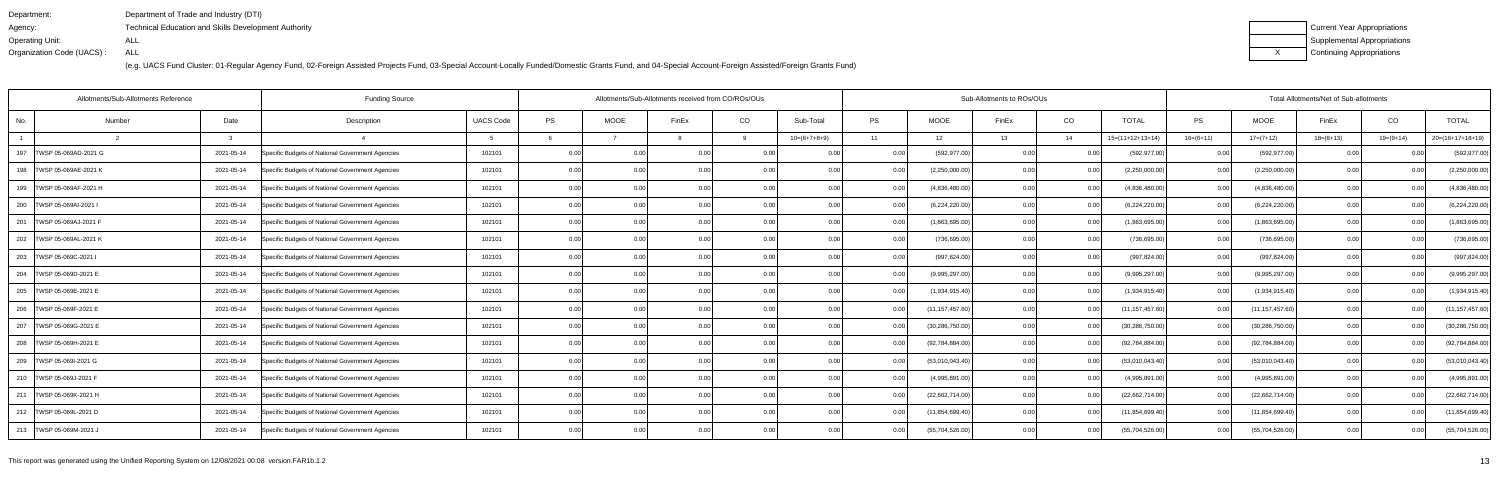| Department:               | Department of Trade and Industry (DTI)                      |
|---------------------------|-------------------------------------------------------------|
| Agency:                   | <b>Technical Education and Skills Development Authority</b> |
| Operating Unit:           | ALL                                                         |
| Organization Code (UACS): | ALL                                                         |

| Current Year Appropriations |
|-----------------------------|
| Supplemental Appropriations |
| Continuing Appropriations   |

|                             | Allotments/Sub-Allotments Reference | <b>Funding Source</b>                            |                  |      | Allotments/Sub-Allotments received from CO/ROs/OUs |                |      |                |      | Sub-Allotments to ROs/OUs |       | Total Allotments/Net of Sub-allotments |                    |             |                   |             |                |                    |
|-----------------------------|-------------------------------------|--------------------------------------------------|------------------|------|----------------------------------------------------|----------------|------|----------------|------|---------------------------|-------|----------------------------------------|--------------------|-------------|-------------------|-------------|----------------|--------------------|
| No.<br>Number               | Date                                | Description                                      | <b>UACS Code</b> | PS   | <b>MOOE</b>                                        | FinEx          | CO   | Sub-Total      | PS   | <b>MOOE</b>               | FinEx | CO                                     | <b>TOTAL</b>       | PS          | <b>MOOE</b>       | FinEx       | CO             | <b>TOTAL</b>       |
|                             | $\mathcal{R}$                       |                                                  |                  |      |                                                    |                | q    | $10=(6+7+8+9)$ | 11   | 12                        | 13    | 14                                     | $15=(11+12+13+14)$ | $16=(6+11)$ | $17=(7+12)$       | $18=(8+13)$ | $19=(9+14)$    | $20=(16+17+18+19)$ |
| 197<br>TWSP 05-069AD-2021 G | 2021-05-14                          | Specific Budgets of National Government Agencies | 102101           | 0.00 |                                                    | 0.0            |      |                |      | (592, 977.00)             | 0.00  |                                        | (592, 977.00)      | 0.00        | (592, 977.00)     |             |                | (592, 977.00)      |
| 198 TWSP 05-069AE-2021 K    | 2021-05-14                          | Specific Budgets of National Government Agencies | 102101           | 0.00 | 0.00                                               | 0 <sub>0</sub> | 0.00 | 0.00           | 0.00 | (2,250,000.00)            | 0.00  | 0.00                                   | (2,250,000.00)     | 0.00        | (2,250,000.00)    | 0.00        |                | (2,250,000.00)     |
| 199   TWSP 05-069AF-2021 H  | 2021-05-14                          | Specific Budgets of National Government Agencies | 102101           | 0.00 | 0.00                                               | 0.00           | 0.00 | 0.00           | 0.00 | (4,836,480.00)            | 0.00  | 0.00                                   | (4,836,480.00)     | 0.00        | (4,836,480.00)    | 0.00        | 0.00           | (4,836,480.00)     |
| 200   TWSP 05-069AI-2021 I  | 2021-05-14                          | Specific Budgets of National Government Agencies | 102101           | 0.00 | 0.00                                               | 0.00           | 0.00 | 0.00           |      | (6,224,220.00)            | 0.00  | 0.00                                   | (6,224,220.00)     | 0.00        | (6,224,220.00)    | 0.00        | 0.00           | (6,224,220.00)     |
| 201   TWSP 05-069AJ-2021 F  | 2021-05-14                          | Specific Budgets of National Government Agencies | 102101           | 0.00 | 0.00                                               | 0 <sub>0</sub> | 0.00 | 0.00           | 0.00 | (1,863,695.00)            | 0.00  | 0.00                                   | (1,863,695.00)     | 0.00        | (1,863,695.00)    | 0.00        | 0.00           | (1,863,695.00)     |
| 202 TWSP 05-069AL-2021 K    | 2021-05-14                          | Specific Budgets of National Government Agencies | 102101           | 0.00 | 0.00 <sub>1</sub>                                  | 0.0(           | 0.00 | 0.00           | 0.00 | (736, 695.00)             | 0.00  | 0.00                                   | (736, 695.00)      | 0.00        | (736, 695.00)     | 0.00        | 0.00           | (736, 695.00)      |
| 203 TWSP 05-069C-2021 I     | 2021-05-14                          | Specific Budgets of National Government Agencies | 102101           | 0.00 | 0.00                                               | 0.00           | 0.00 | 0.00           | 0.00 | (997, 824.00)             | 0.00  | 0.00                                   | (997, 824.00)      | 0.00        | (997, 824.00)     | 0.00        | 0.00           | (997, 824.00)      |
| 204   TWSP 05-069D-2021 E   | 2021-05-14                          | Specific Budgets of National Government Agencies | 102101           | 0.00 | 0.00                                               | 0 <sub>0</sub> | 0.00 | 0.00           |      | (9,995,297.00)            | 0.00  | 0.00                                   | (9,995,297.00)     | 0.00        | (9,995,297.00)    | 0.00        | 0.00           | (9,995,297.00)     |
| 205   TWSP 05-069E-2021 E   | 2021-05-14                          | Specific Budgets of National Government Agencies | 102101           | 0.00 | 0.00                                               | 0 <sub>0</sub> | 0.00 | 0.00           |      | (1,934,915.40)            | 0.00  | 0.00                                   | (1,934,915.40)     | 0.001       | (1,934,915.40)    | 0.00        |                | (1,934,915.40)     |
| 206   TWSP 05-069F-2021 E   | 2021-05-14                          | Specific Budgets of National Government Agencies | 102101           | 0.00 | 0.00                                               | 0.00           | 0.00 | 0.00           | 0.00 | (11, 157, 457.60)         | 0.00  | 0.00                                   | (11, 157, 457.60)  | 0.00        | (11, 157, 457.60) | 0.00        | 0.00           | (11, 157, 457.60)  |
| 207   TWSP 05-069G-2021 E   | 2021-05-14                          | Specific Budgets of National Government Agencies | 102101           | 0.00 | 0.00                                               | 0.0(           | 0.00 | 0.00           |      | (30, 286, 750.00)         | 0.00  | 0.00                                   | (30, 286, 750.00)  | 0.00        | (30, 286, 750.00) | 0.00        | 0 <sub>0</sub> | (30, 286, 750.00)  |
| 208   TWSP 05-069H-2021 E   | 2021-05-14                          | Specific Budgets of National Government Agencies | 102101           | 0.00 | 0.00                                               |                | 0.00 | 0.00           |      | (92, 784, 884.00)         | 0.00  | 0.00                                   | (92,784,884.00)    | 0.00        | (92, 784, 884.00) | 0.00        |                | (92, 784, 884.00)  |
| 209   TWSP 05-069I-2021 G   | 2021-05-14                          | Specific Budgets of National Government Agencies | 102101           | 0.00 | 0.00                                               | 0.0(           | 0.00 | 0.00           |      | (53,010,043.40)           | 0.00  | 0.00                                   | (53,010,043.40)    | 0.001       | (53,010,043.40)   | 0.00        | 0.00           | (53,010,043.40)    |
| 210   TWSP 05-069J-2021 F   | 2021-05-14                          | Specific Budgets of National Government Agencies | 102101           | 0.00 | 0.00                                               | 0.00           | 0.00 | 0.00           |      | (4,995,891.00)            | 0.00  | 0.00                                   | (4,995,891.00)     | 0.001       | (4,995,891.00)    | 0.00        | 0.00           | (4,995,891.00)     |
| 211   TWSP 05-069K-2021 H   | 2021-05-14                          | Specific Budgets of National Government Agencies | 102101           | 0.00 | 0.00                                               | 0 <sub>0</sub> | 0.00 | 0.00           |      | (22,662,714.00)           | 0.00  | 0.00                                   | (22,662,714.00)    | 0.00        | (22,662,714.00)   | 0.00        |                | (22,662,714.00)    |
| 212   TWSP 05-069L-2021 D   | 2021-05-14                          | Specific Budgets of National Government Agencies | 102101           | 0.00 | 0.00                                               |                | 0.00 | 0.00           |      | (11, 854, 699.40)         | 0.00  | 0.00                                   | (11, 854, 699.40)  | 0.001       | (11, 854, 699.40) | 0.00        |                | (11, 854, 699.40)  |
| 213   TWSP 05-069M-2021 J   | 2021-05-14                          | Specific Budgets of National Government Agencies | 102101           | 0.00 | 0.00                                               | 0 <sub>0</sub> | 0.00 | 0.00           |      | (55,704,526.00)           | 0.00  | 0.00                                   | (55,704,526.00)    | 0.001       | (55,704,526.00)   | 0.00        | 0.00           | (55,704,526.00)    |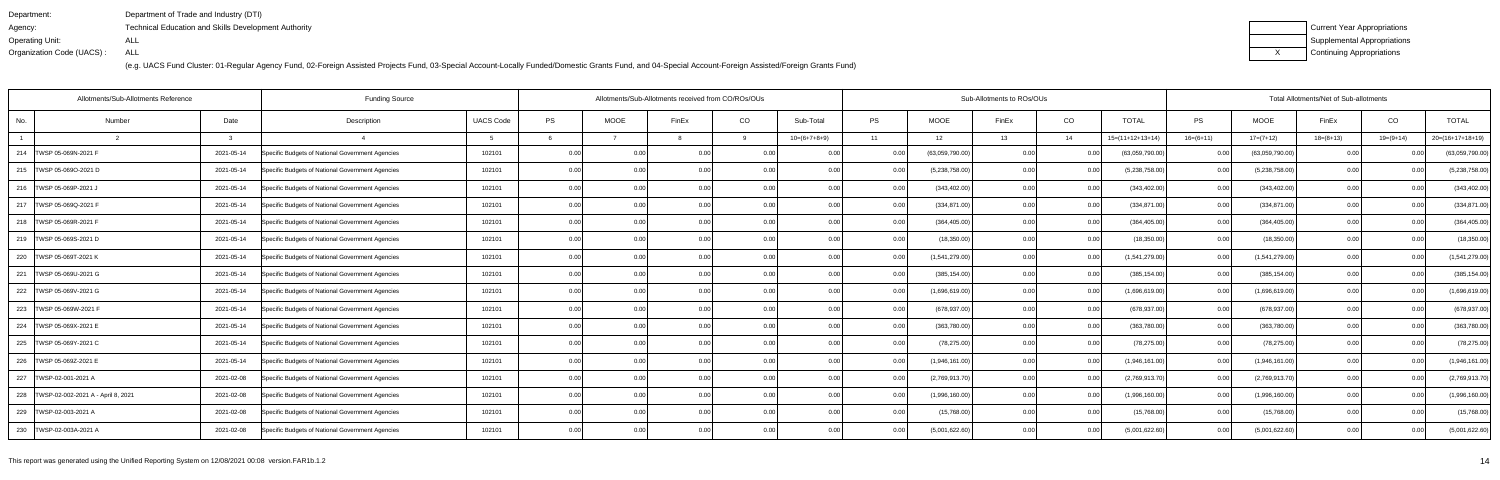| Department:               | Department of Trade and Industry (DTI)                      |
|---------------------------|-------------------------------------------------------------|
| Agency:                   | <b>Technical Education and Skills Development Authority</b> |
| Operating Unit:           | ALL                                                         |
| Organization Code (UACS): | ALL                                                         |

| Current Year Appropriations |
|-----------------------------|
| Supplemental Appropriations |
| Continuing Appropriations   |

| Allotments/Sub-Allotments Reference      |        |               | <b>Funding Source</b>                            | Allotments/Sub-Allotments received from CO/ROs/OUs |      |             |                |      |                |      | Sub-Allotments to ROs/OUs |       | Total Allotments/Net of Sub-allotments |                    |             |                 |             |             |                    |
|------------------------------------------|--------|---------------|--------------------------------------------------|----------------------------------------------------|------|-------------|----------------|------|----------------|------|---------------------------|-------|----------------------------------------|--------------------|-------------|-----------------|-------------|-------------|--------------------|
| No.                                      | Number | Date          | Description                                      | <b>UACS Code</b>                                   | PS   | <b>MOOE</b> | FinEx          | CO   | Sub-Total      | PS   | <b>MOOE</b>               | FinEx | CO                                     | <b>TOTAL</b>       | PS          | <b>MOOE</b>     | FinEx       | CO          | <b>TOTAL</b>       |
|                                          |        | $\mathcal{R}$ |                                                  |                                                    |      |             |                | q    | $10=(6+7+8+9)$ | 11   | 12                        | 13    | 14                                     | $15=(11+12+13+14)$ | $16=(6+11)$ | $17=(7+12)$     | $18=(8+13)$ | $19=(9+14)$ | $20=(16+17+18+19)$ |
| 214   TWSP 05-069N-2021 F                |        | 2021-05-14    | Specific Budgets of National Government Agencies | 102101                                             | 0.00 |             | 0.0(           |      | 0 Q            |      | (63,059,790.00)           | 0.00  |                                        | (63,059,790.00)    | 0.00        | (63,059,790.00) |             |             | (63,059,790.00)    |
| 215   TWSP 05-069O-2021 D                |        | 2021-05-14    | Specific Budgets of National Government Agencies | 102101                                             | 0.00 | 0.00        | 0.0(           | 0.00 | 0.00           | 0.00 | (5,238,758.00)            | 0.00  | 0.00                                   | (5,238,758.00)     | 0.00        | (5,238,758.00)  | 0.00        |             | (5,238,758.00)     |
| 216   TWSP 05-069P-2021 J                |        | 2021-05-14    | Specific Budgets of National Government Agencies | 102101                                             | 0.00 | 0.00        | 0.00           | 0.00 | 0.00           | 0.00 | (343, 402.00)             | 0.00  | 0.00                                   | (343, 402.00)      | 0.00        | (343, 402.00)   | 0.00        | 0.00        | (343, 402.00)      |
| 217 TWSP 05-069Q-2021 F                  |        | 2021-05-14    | Specific Budgets of National Government Agencies | 102101                                             | 0.00 | 0.00        | 0.0(           | 0.00 | 0.00           | 0.00 | (334, 871.00)             | 0.00  | 0.00                                   | (334, 871.00)      | 0.00        | (334, 871.00)   | 0.00        | 0.00        | (334, 871.00)      |
| 218   TWSP 05-069R-2021 F                |        | 2021-05-14    | Specific Budgets of National Government Agencies | 102101                                             | 0.00 | 0.00        | 0 <sub>0</sub> | 0.00 | 0.00           | 0.00 | (364, 405.00)             | 0.00  | 0.00                                   | (364, 405.00)      | 0.00        | (364, 405.00)   | 0.00        | 0.00        | (364, 405.00)      |
| 219   TWSP 05-069S-2021 D                |        | 2021-05-14    | Specific Budgets of National Government Agencies | 102101                                             | 0.00 | 0.00        | 0.0(           | 0.00 | 0.00           | 0.00 | (18,350.00)               | 0.00  | 0.00                                   | (18,350.00)        | 0.00        | (18,350.00)     | 0.00        | 0.00        | (18, 350.00)       |
| 220 TWSP 05-069T-2021 K                  |        | 2021-05-14    | Specific Budgets of National Government Agencies | 102101                                             | 0.00 | 0.00        | 0.00           | 0.00 | 0.00           | 0.00 | (1,541,279.00)            | 0.00  | 0.00                                   | (1,541,279.00)     | 0.00        | (1,541,279.00)  | 0.00        | 0.00        | (1,541,279.00)     |
| 221   TWSP 05-069U-2021 G                |        | 2021-05-14    | Specific Budgets of National Government Agencies | 102101                                             | 0.00 | 0.00        | 0 <sub>0</sub> | 0.00 | 0.00           |      | (385, 154.00)             | 0.00  | 0.00                                   | (385, 154.00)      | 0.00        | (385, 154.00)   | 0.00        |             | (385, 154.00)      |
| 222   TWSP 05-069V-2021 G                |        | 2021-05-14    | Specific Budgets of National Government Agencies | 102101                                             | 0.00 | 0.00        | 0 <sub>0</sub> | 0.00 | 0.00           |      | (1,696,619.00)            | 0.00  | 0.00                                   | (1,696,619.00)     | 0.00        | (1,696,619.00)  | 0.00        |             | (1,696,619.00)     |
| 223   TWSP 05-069W-2021 F                |        | 2021-05-14    | Specific Budgets of National Government Agencies | 102101                                             | 0.00 | 0.00        | 0.00           | 0.00 | 0.00           | 0.00 | (678, 937.00)             | 0.00  | 0.00                                   | (678, 937.00)      | 0.00        | (678, 937.00)   | 0.00        | 0.00        | (678, 937.00)      |
| 224   TWSP 05-069X-2021 E                |        | 2021-05-14    | Specific Budgets of National Government Agencies | 102101                                             | 0.00 |             |                | 0.00 | 0.00           |      | (363,780.00)              | 0.00  |                                        | (363,780.00)       | 0.00        | (363,780.00)    |             |             | (363,780.00)       |
| 225   TWSP 05-069Y-2021 C                |        | 2021-05-14    | Specific Budgets of National Government Agencies | 102101                                             | 0.00 | 0.00        |                | 0.00 | 0.00           |      | (78, 275.00)              | 0.00  | 0.00                                   | (78, 275.00)       | 0.00        | (78, 275.00)    | 0.00        |             | (78, 275.00)       |
| 226   TWSP 05-069Z-2021 E                |        | 2021-05-14    | Specific Budgets of National Government Agencies | 102101                                             | 0.00 | 0.00        | 0.0(           | 0.00 | 0.00           |      | (1,946,161.00)            | 0.00  | 0.00                                   | (1,946,161.00)     | 0.00        | (1,946,161.00)  | 0.00        | 0.00        | (1,946,161.00)     |
| 227   TWSP-02-001-2021 A                 |        | 2021-02-08    | Specific Budgets of National Government Agencies | 102101                                             | 0.00 | 0.00        |                | 0.00 |                |      | (2,769,913.70)            | 0.00  |                                        | (2,769,913.70)     | 0.00        | (2,769,913.70)  | 0.00        |             | (2,769,913.70)     |
| 228   TWSP-02-002-2021 A - April 8, 2021 |        | 2021-02-08    | Specific Budgets of National Government Agencies | 102101                                             | 0.00 | 0.00        |                | 0.00 | 0.00           |      | (1,996,160.00)            | 0.00  | . O OO                                 | (1,996,160.00)     | 0.00        | (1,996,160.00)  | 0.00        |             | (1,996,160.00)     |
| 229   TWSP-02-003-2021 A                 |        | 2021-02-08    | Specific Budgets of National Government Agencies | 102101                                             | 0.00 | 0.00        |                | 0.00 | 0.00           |      | (15,768.00)               | 0.00  | 0.00                                   | (15,768.00)        | 0.00        | (15,768.00)     | 0.00        |             | (15,768.00)        |
| 230 TWSP-02-003A-2021 A                  |        | 2021-02-08    | Specific Budgets of National Government Agencies | 102101                                             | 0.00 | 0.00        |                | 0.00 | 0.00           |      | (5,001,622.60)            | 0.00  |                                        | (5,001,622.60)     | 0.00        | (5,001,622.60)  | 0.00        |             | (5,001,622.60)     |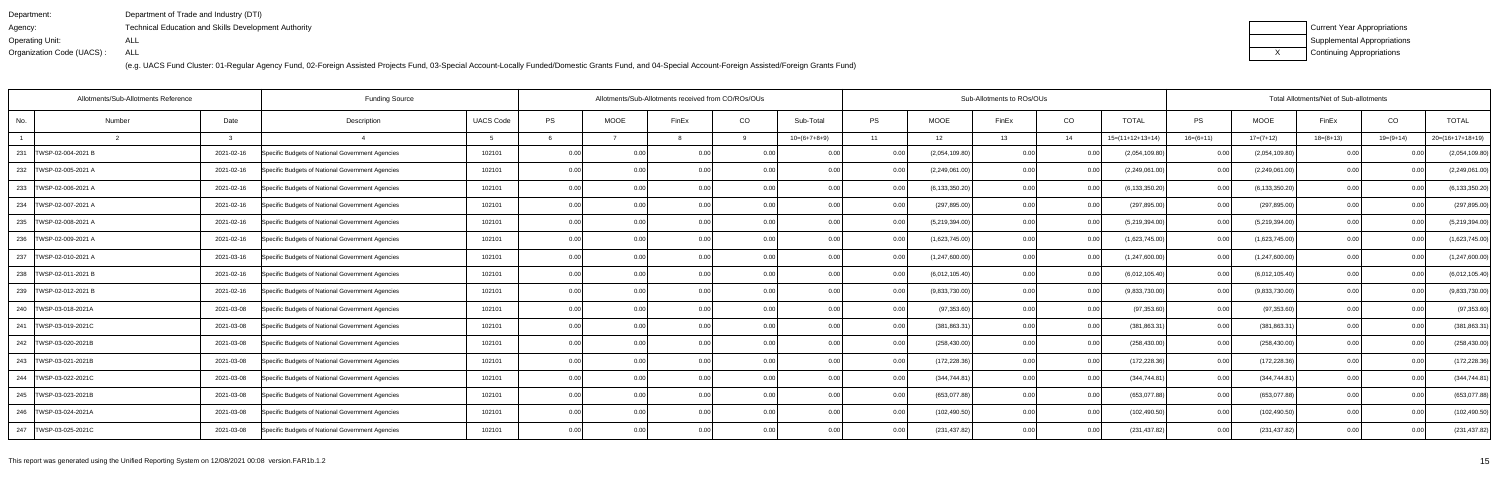| Department:               | Department of Trade and Industry (DTI)                      |
|---------------------------|-------------------------------------------------------------|
| Agency:                   | <b>Technical Education and Skills Development Authority</b> |
| Operating Unit:           | ALL                                                         |
| Organization Code (UACS): | ALL                                                         |

| Current Year Appropriations |
|-----------------------------|
| Supplemental Appropriations |
| Continuing Appropriations   |

| Allotments/Sub-Allotments Reference |                |  | <b>Funding Source</b>                            |                  |      | Allotments/Sub-Allotments received from CO/ROs/OUs |                |                |                |                   |                  | Sub-Allotments to ROs/OUs |            |                    |                   |                  | Total Allotments/Net of Sub-allotments |                |                    |
|-------------------------------------|----------------|--|--------------------------------------------------|------------------|------|----------------------------------------------------|----------------|----------------|----------------|-------------------|------------------|---------------------------|------------|--------------------|-------------------|------------------|----------------------------------------|----------------|--------------------|
| No.                                 | Date<br>Number |  | Description                                      | <b>UACS Code</b> | PS   | <b>MOOE</b>                                        | FinEx          | CO             | Sub-Total      | <b>PS</b>         | MOOE             | FinEx                     | CO         | <b>TOTAL</b>       | PS                | <b>MOOE</b>      | FinEx                                  | CO             | <b>TOTAL</b>       |
|                                     | 3              |  |                                                  |                  |      |                                                    |                | <b>Q</b>       | $10=(6+7+8+9)$ | 11                | 12               | 13                        | 14         | $15=(11+12+13+14)$ | $16=(6+11)$       | $17=(7+12)$      | $18=(8+13)$                            | $19=(9+14)$    | $20=(16+17+18+19)$ |
| 231<br>TWSP-02-004-2021 B           | 2021-02-16     |  | Specific Budgets of National Government Agencies | 102101           | 0.00 |                                                    | 0.00           |                |                | 0.00              | (2,054,109.80)   | 0.00                      | <u>ດ (</u> | (2,054,109.80)     | 0.00              | (2,054,109.80)   |                                        |                | (2,054,109.80)     |
| 232   TWSP-02-005-2021 A            | 2021-02-16     |  | Specific Budgets of National Government Agencies | 102101           | 0.00 | 0.00                                               |                | 0.00           |                | 0.00              | (2,249,061.00)   | 0.00                      | 0.0        | (2,249,061.00)     | 0.001             | (2,249,061.00)   | 0.00                                   | 0 <sub>0</sub> | (2,249,061.00)     |
| 233 TWSP-02-006-2021 A              | 2021-02-16     |  | Specific Budgets of National Government Agencies | 102101           | 0.00 | 0.00                                               | 0.00           | 0.00           | 0.00           | 0.00              | (6, 133, 350.20) | 0.00                      | 0.0        | (6, 133, 350.20)   | 0.00              | (6, 133, 350.20) | 0.00                                   | 0.00           | (6, 133, 350.20)   |
| 234   TWSP-02-007-2021 A            | 2021-02-16     |  | Specific Budgets of National Government Agencies | 102101           | 0.00 | 0.00                                               | 0.00           | 0.00           | 0.00           | 0.00              | (297, 895.00)    | 0.00                      | 0.0        | (297, 895.00)      | 0.00 <sub>l</sub> | (297, 895.00)    | 0.00                                   | 0.00           | (297, 895.00)      |
| 235 TWSP-02-008-2021 A              | 2021-02-16     |  | Specific Budgets of National Government Agencies | 102101           | 0.00 | 0 <sub>0</sub>                                     | 0 <sub>0</sub> | 0 <sub>0</sub> | 0.00           | 0.00              | (5,219,394.00)   | 0.OC                      | 0.0        | (5,219,394.00)     | 0.00              | (5,219,394.00)   | 0.00                                   | 0 <sub>0</sub> | (5,219,394.00)     |
| 236   TWSP-02-009-2021 A            | 2021-02-16     |  | Specific Budgets of National Government Agencies | 102101           | 0.00 | 0.00                                               | 0.00           | 0.00           | 0.00           | 0.00              | (1,623,745.00)   | 0.00                      | 0.0        | (1,623,745.00)     | 0.00              | (1,623,745.00)   | 0.00                                   | 0.00           | (1,623,745.00)     |
| 237 TWSP-02-010-2021 A              | 2021-03-16     |  | Specific Budgets of National Government Agencies | 102101           | 0.00 | 0.00                                               | 0.00           | 0.001          | 0.00           | 0.001             | (1,247,600.00)   | 0.00                      | 0.00       | (1,247,600.00)     | 0.00              | (1,247,600.00)   | 0.00                                   | 0.00           | (1,247,600.00)     |
| 238   TWSP-02-011-2021 B            | 2021-02-16     |  | Specific Budgets of National Government Agencies | 102101           | 0.00 | 0.00                                               | 0.0(           |                | 0.00           |                   | (6,012,105.40)   | 0.00                      | 0.(        | (6,012,105.40)     | 0.00              | (6,012,105.40)   | 0.00                                   |                | (6,012,105.40)     |
| 239   TWSP-02-012-2021 B            | 2021-02-16     |  | Specific Budgets of National Government Agencies | 102101           | 0.00 | 0.00                                               | 0.00           | 0.00           | 0.00           | 0.00              | (9,833,730.00)   | 0.00                      | 0.0        | (9,833,730.00)     | 0.00 <sub>l</sub> | (9,833,730.00)   | 0.00                                   | 0.00           | (9,833,730.00)     |
| 240 TWSP-03-018-2021A               | 2021-03-08     |  | Specific Budgets of National Government Agencies | 102101           | 0.00 | 0.00                                               | 0.00           | 0.00           | 0.00           | 0.00              | (97, 353.60)     | 0.00                      | 0.00       | (97, 353.60)       | 0.00              | (97, 353.60)     | 0.00                                   | 0.00           | (97, 353.60)       |
| 241   TWSP-03-019-2021C             | 2021-03-08     |  | Specific Budgets of National Government Agencies | 102101           | 0.00 | 0.00                                               | 0.00           | 0.00           | 0.00           | 0.00              | (381, 863.31)    | 0.00                      | 0.0        | (381,863.31        | 0.00              | (381, 863.31)    | 0.00                                   | 0.00           | (381, 863.31)      |
| 242   TWSP-03-020-2021B             | 2021-03-08     |  | Specific Budgets of National Government Agencies | 102101           | 0.00 | 0.00                                               | 0 <sub>0</sub> | 0.00           | 0.00           | 0.00              | (258, 430.00)    | 0.00                      | 0.0        | (258, 430.00)      | 0.00              | (258, 430.00)    | 0.00                                   | 0.0(           | (258, 430.00)      |
| 243   TWSP-03-021-2021B             | 2021-03-08     |  | Specific Budgets of National Government Agencies | 102101           | 0.00 | 0.00                                               | 0.00           | 0.00           | 0.00           | 0.00              | (172, 228.36)    | 0.00                      | 0.00       | (172, 228.36)      | 0.00              | (172, 228.36)    | 0.00                                   | 0.00           | (172, 228.36)      |
| 244   TWSP-03-022-2021C             | 2021-03-08     |  | Specific Budgets of National Government Agencies | 102101           | 0.00 | 0.00                                               | 0.00           | 0.001          | 0.00           | 0.00              | (344, 744.81)    | 0.00                      | 0.00       | (344,744.81        | 0.00              | (344, 744.81)    | 0.00                                   | 0.00           | (344, 744.81)      |
| 245   TWSP-03-023-2021B             | 2021-03-08     |  | Specific Budgets of National Government Agencies | 102101           | 0.00 | 0.00                                               | 0.00           | 0.00           | 0.00           | 0.00              | (653,077.88)     | 0.00                      | 0.0        | (653,077.88        | 0.00              | (653,077.88)     | 0.00                                   | 0.00           | (653,077.88)       |
| 246   TWSP-03-024-2021A             | 2021-03-08     |  | Specific Budgets of National Government Agencies | 102101           | 0.00 | 0.00                                               | 0.00           | 0.00           | 0.00           | 0.00              | (102, 490.50)    | 0.OC                      | 0.00       | (102, 490.50)      | 0.00 <sub>l</sub> | (102, 490.50)    | 0.00                                   | 0.00           | (102, 490.50)      |
| 247   TWSP-03-025-2021C             | 2021-03-08     |  | Specific Budgets of National Government Agencies | 102101           | 0.00 | 0.00                                               | 0.00           | 0.00           | 0.00           | 0.00 <sub>l</sub> | (231, 437.82)    | 0.00                      | 0.00       | (231, 437.82)      | 0.00 <sub>l</sub> | (231, 437.82)    | 0.00                                   | 0.00           | (231, 437.82)      |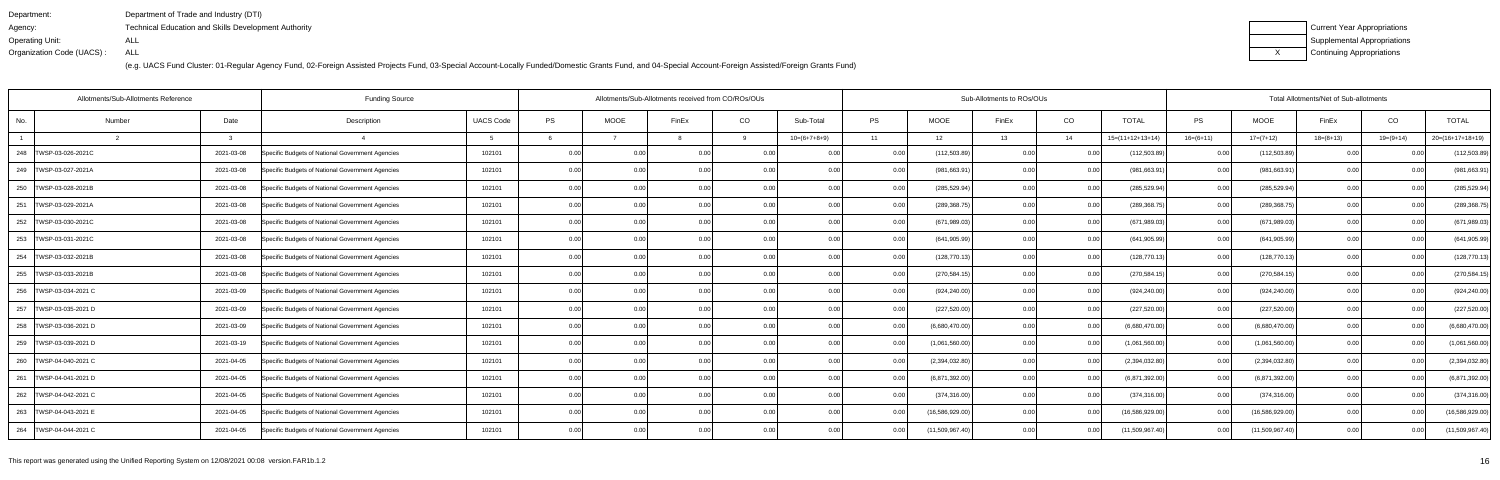| Department:               | Department of Trade and Industry (DTI)                      |
|---------------------------|-------------------------------------------------------------|
| Agency:                   | <b>Technical Education and Skills Development Authority</b> |
| Operating Unit:           | ALL                                                         |
| Organization Code (UACS): | ALL                                                         |

| Current Year Appropriations |
|-----------------------------|
| Supplemental Appropriations |
| Continuing Appropriations   |

| Allotments/Sub-Allotments Reference |        |            | <b>Funding Source</b>                            |                  |      | Allotments/Sub-Allotments received from CO/ROs/OUs |                |                |                |           |                 | Sub-Allotments to ROs/OUs |      |                    | Total Allotments/Net of Sub-allotments |                   |                |                |                    |  |
|-------------------------------------|--------|------------|--------------------------------------------------|------------------|------|----------------------------------------------------|----------------|----------------|----------------|-----------|-----------------|---------------------------|------|--------------------|----------------------------------------|-------------------|----------------|----------------|--------------------|--|
| No.                                 | Number | Date       | Description                                      | <b>UACS Code</b> | PS   | <b>MOOE</b>                                        | FinEx          | CO             | Sub-Total      | <b>PS</b> | <b>MOOE</b>     | FinEx                     | CO   | <b>TOTAL</b>       | PS                                     | <b>MOOE</b>       | FinEx          | CO             | <b>TOTAL</b>       |  |
|                                     |        |            |                                                  |                  |      |                                                    |                |                | $10=(6+7+8+9)$ | 11        | 12              | 13                        | 14   | $15=(11+12+13+14)$ | $16=(6+11)$                            | $17=(7+12)$       | $18=(8+13)$    | $19=(9+14)$    | $20=(16+17+18+19)$ |  |
| 248   TWSP-03-026-2021C             |        | 2021-03-08 | Specific Budgets of National Government Agencies | 102101           | 0.00 | 0.00                                               | 0.00           |                | . റ റ          | 0.00      | (112, 503.89)   | n nc                      | 0.0  | (112,503.89)       | 0.00                                   | (112, 503.89)     | 0 <sub>0</sub> |                | (112, 503.89)      |  |
| 249 TWSP-03-027-2021A               |        | 2021-03-08 | Specific Budgets of National Government Agencies | 102101           | 0.00 | 0.00                                               |                | 0.00           |                | 0.00      | (981, 663.9     | 0.OC                      | 0.0  | (981,663.91        | 0.00                                   | (981,663.91       | 0.00           |                | (981, 663.91)      |  |
| 250 TWSP-03-028-2021B               |        | 2021-03-08 | Specific Budgets of National Government Agencies | 102101           | 0.00 | 0.00                                               |                | 0.00           | 0.00           | 0.00      | (285, 529.94)   | 0.OC                      | 0.00 | (285, 529.94)      | 0.00                                   | (285, 529.94)     | 0.00           |                | (285, 529.94)      |  |
| 251   TWSP-03-029-2021A             |        | 2021-03-08 | Specific Budgets of National Government Agencies | 102101           | 0.00 | 0.00                                               | 0.00           | 0.00           | 0.00           | 0.00      | (289,368.75)    | 0.00                      | 0.00 | (289,368.75        | 0.00 <sub>l</sub>                      | (289, 368.75)     | 0.00           | 0 <sub>0</sub> | (289, 368.75)      |  |
| 252<br>TWSP-03-030-2021C            |        | 2021-03-08 | Specific Budgets of National Government Agencies | 102101           | 0.00 | 0 <sub>0</sub>                                     | 0 <sub>0</sub> | 0 <sub>0</sub> | -0.00          | 0.00      | (671,989.03     | 0.OC                      | 0.0  | (671,989.03        | 0.00                                   | (671,989.03       | 0.00           | 0 <sub>0</sub> | (671, 989.03)      |  |
| 253 TWSP-03-031-2021C               |        | 2021-03-08 | Specific Budgets of National Government Agencies | 102101           | 0.00 | 0.00                                               | 0.00           | 0.00           | 0.00           | 0.00      | (641, 905.99)   | 0.00                      | 0.00 | (641, 905.99)      | 0.00                                   | (641, 905.99)     | 0.00           | 0.0(           | (641, 905.99)      |  |
| 254 TWSP-03-032-2021B               |        | 2021-03-08 | Specific Budgets of National Government Agencies | 102101           | 0.00 | 0.00                                               | 0.00           | 0.001          | 0.00           | 0.00      | (128, 770.13)   | 0.00                      | 0.00 | (128, 770.13)      | 0.00                                   | (128, 770.13)     | 0.00           | 0.00           | (128, 770.13)      |  |
| 255 TWSP-03-033-2021B               |        | 2021-03-08 | Specific Budgets of National Government Agencies | 102101           | 0.00 | 0.00                                               | 0.0(           |                | 0.00           |           | (270, 584.15)   | 0.00                      | 0.0  | (270,584.15        | 0.00                                   | (270,584.15       | 0.00           | 0 <sub>0</sub> | (270, 584.15)      |  |
| 256   TWSP-03-034-2021 C            |        | 2021-03-09 | Specific Budgets of National Government Agencies | 102101           | 0.00 | 0.00                                               | 0.00           | 0.00           | 0.00           | 0.00      | (924, 240.00)   | 0.00                      | 0.0  | (924, 240.00)      | 0.00 <sub>l</sub>                      | (924, 240.00)     | 0.00           | 0.00           | (924, 240.00)      |  |
| 257   TWSP-03-035-2021 D            |        | 2021-03-09 | Specific Budgets of National Government Agencies | 102101           | 0.00 | 0.00                                               | 0.00           | 0.00           | 0.00           | 0.00      | (227, 520.00)   | 0.00                      | 0.00 | (227, 520.00)      | 0.00                                   | (227, 520.00)     | 0.00           | 0.00           | (227, 520.00)      |  |
| 258   TWSP-03-036-2021 D            |        | 2021-03-09 | Specific Budgets of National Government Agencies | 102101           | 0.00 | 0.00                                               | 0.00           | 0.00           | 0.00           | 0.00      | (6,680,470.00)  | 0.00                      | 0.0  | (6,680,470.00)     | 0.00                                   | (6,680,470.00)    | 0.00           | 0.00           | (6,680,470.00)     |  |
| 259   TWSP-03-039-2021 D            |        | 2021-03-19 | Specific Budgets of National Government Agencies | 102101           | 0.00 | 0.00                                               | 0 <sub>0</sub> | 0.00           | 0.00           | 0.00      | (1,061,560.00)  | 0.00                      | 0.0  | (1,061,560.00)     | 0.00                                   | (1,061,560.00)    | 0.00           | 0 <sub>0</sub> | (1,061,560.00)     |  |
| 260   TWSP-04-040-2021 C            |        | 2021-04-05 | Specific Budgets of National Government Agencies | 102101           | 0.00 | 0.00                                               | 0.00           | 0.00           | 0.00           | 0.00      | (2,394,032.80)  | 0.00                      | 0.0  | (2,394,032.80)     | 0.00                                   | (2,394,032.80)    | 0.00           | 0.00           | (2,394,032.80)     |  |
| 261   TWSP-04-041-2021 D            |        | 2021-04-05 | Specific Budgets of National Government Agencies | 102101           | 0.00 | 0.00                                               | 0.00           | 0.00           | 0.00           | 0.00      | (6,871,392.00)  | 0.00                      | 0.0  | (6,871,392.00)     | 0.00                                   | (6,871,392.00)    | 0.00           | 0.00           | (6,871,392.00)     |  |
| 262   TWSP-04-042-2021 C            |        | 2021-04-05 | Specific Budgets of National Government Agencies | 102101           | 0.00 | 0.00                                               | 0.00           | 0.00           | 0.00           | 0.00      | (374, 316.00)   | 0.00                      | 0.0  | (374,316.00        | 0.00                                   | (374, 316.00)     | 0.00           | 0 <sub>0</sub> | (374, 316.00)      |  |
| 263   TWSP-04-043-2021 E            |        | 2021-04-05 | Specific Budgets of National Government Agencies | 102101           | 0.00 | 0.00                                               | 0.00           | 0.00           | 0.00           | 0.00      | (16,586,929.00) | 0.001                     | 0.00 | (16,586,929.00     | 0.00 <sub>l</sub>                      | (16, 586, 929.00) | 0.00           | 0.00           | (16,586,929.00)    |  |
| 264   TWSP-04-044-2021 C            |        | 2021-04-05 | Specific Budgets of National Government Agencies | 102101           | 0.00 | 0.00                                               | 0.00           | 0.001          | 0.00           | 0.00      | (11,509,967.40) | 0.00                      | 0.00 | (11,509,967.40)    | 0.00 <sub>1</sub>                      | (11,509,967.40)   | 0.00           | 0.00           | (11,509,967.40)    |  |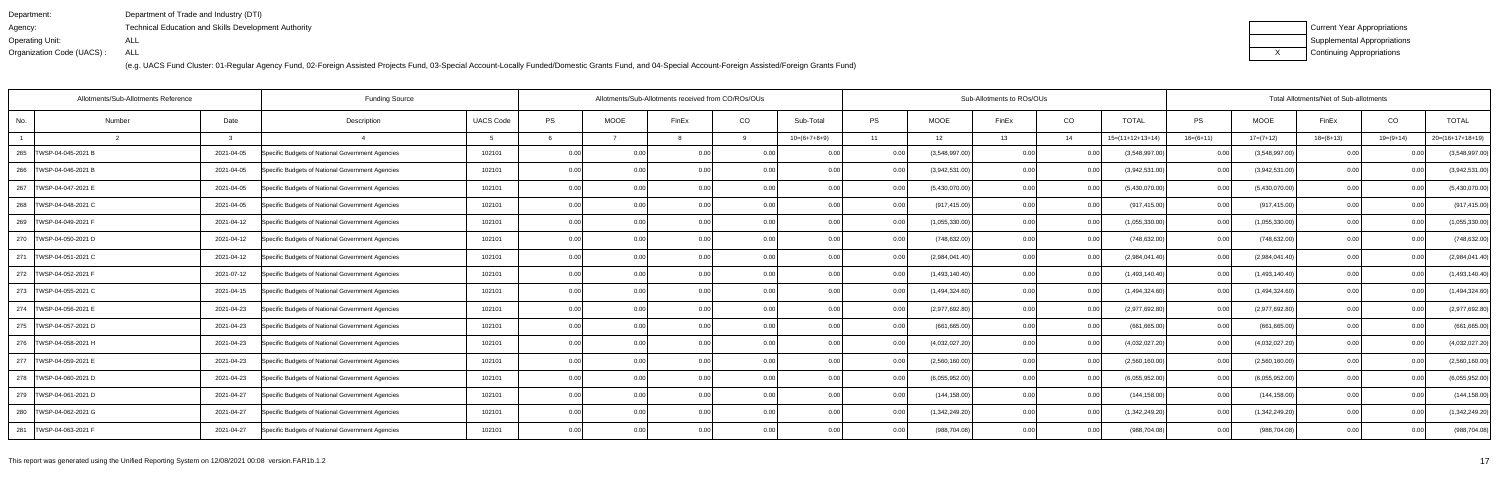| Department:               | Department of Trade and Industry (DTI)                      |
|---------------------------|-------------------------------------------------------------|
| Agency:                   | <b>Technical Education and Skills Development Authority</b> |
| Operating Unit:           | ALL                                                         |
| Organization Code (UACS): | ALL                                                         |

| Current Year Appropriations |
|-----------------------------|
| Supplemental Appropriations |
| Continuing Appropriations   |

|                           | Allotments/Sub-Allotments Reference | <b>Funding Source</b>                            | Allotments/Sub-Allotments received from CO/ROs/OUs |      |                   |                |       |                |      | Sub-Allotments to ROs/OUs |       | Total Allotments/Net of Sub-allotments |                    |             |                |             |           |                    |
|---------------------------|-------------------------------------|--------------------------------------------------|----------------------------------------------------|------|-------------------|----------------|-------|----------------|------|---------------------------|-------|----------------------------------------|--------------------|-------------|----------------|-------------|-----------|--------------------|
| No                        | Date<br>Number                      | Description                                      | <b>UACS Code</b>                                   | PS   | <b>MOOE</b>       | FinEx          | CO    | Sub-Total      | PS   | <b>MOOE</b>               | FinEx | CO                                     | <b>TOTAL</b>       | PS          | <b>MOOE</b>    | FinEx       | CO        | <b>TOTAL</b>       |
|                           | 3                                   |                                                  |                                                    |      |                   |                | Q     | $10=(6+7+8+9)$ | 11   | 12                        | 13    | 14                                     | $15=(11+12+13+14)$ | $16=(6+11)$ | $17=(7+12)$    | $18=(8+13)$ | 19=(9+14) | $20=(16+17+18+19)$ |
| 265<br>TWSP-04-045-2021 B | 2021-04-05                          | Specific Budgets of National Government Agencies | 102101                                             | 0.00 |                   | 0.0            |       |                |      | (3,548,997.00)            | 0.00  |                                        | (3,548,997.00)     | 0.00        | (3,548,997.00) |             |           | (3,548,997.00)     |
| 266   TWSP-04-046-2021 B  | 2021-04-05                          | Specific Budgets of National Government Agencies | 102101                                             | 0.00 | 0.00              | 0 <sub>0</sub> | 0.001 | 0.00           | 0.00 | (3,942,531.00)            | 0.00  | 0.00                                   | (3,942,531.00)     | 0.00        | (3,942,531.00) | 0.00        |           | (3,942,531.00)     |
| 267<br>TWSP-04-047-2021 E | 2021-04-05                          | Specific Budgets of National Government Agencies | 102101                                             | 0.00 | 0.00              | 0.00           | 0.00  | 0.00           | 0.00 | (5,430,070.00)            | 0.00  | 0.00                                   | (5,430,070.00)     | 0.00        | (5,430,070.00) | 0.00        | 0.00      | (5,430,070.00)     |
| 268   TWSP-04-048-2021 C  | 2021-04-05                          | Specific Budgets of National Government Agencies | 102101                                             | 0.00 | 0.00              | 0.0(           | 0.00  | 0.00           | 0.00 | (917, 415.00)             | 0.00  | 0.00                                   | (917, 415.00)      | 0.001       | (917, 415.00)  | 0.00        | 0.00      | (917, 415.00)      |
| 269   TWSP-04-049-2021 F  | 2021-04-12                          | Specific Budgets of National Government Agencies | 102101                                             | 0.00 | 0.00              | 0 <sub>0</sub> | 0.00  | 0.00           | 0.00 | (1,055,330.00)            | 0.00  | 0.00                                   | (1,055,330.00)     | 0.00        | (1,055,330.00) | 0.00        | 0.00      | (1,055,330.00)     |
| 270   TWSP-04-050-2021 D  | 2021-04-12                          | Specific Budgets of National Government Agencies | 102101                                             | 0.00 | 0.00 <sub>1</sub> | 0.0(           | 0.00  | 0.00           | 0.00 | (748, 632.00)             | 0.00  | 0.00                                   | (748, 632.00)      | 0.00        | (748, 632.00)  | 0.00        | 0.00      | (748, 632.00)      |
| 271   TWSP-04-051-2021 C  | 2021-04-12                          | Specific Budgets of National Government Agencies | 102101                                             | 0.00 | 0.00 <sub>1</sub> | 0.00           | 0.00  | 0.00           | 0.00 | (2,984,041.40)            | 0.00  | 0.00                                   | (2,984,041.40)     | 0.001       | (2,984,041.40) | 0.00        | 0.00      | (2,984,041.40)     |
| 272   TWSP-04-052-2021 F  | 2021-07-12                          | Specific Budgets of National Government Agencies | 102101                                             | 0.00 | 0.00              | 0 <sub>0</sub> | 0.00  | 0.00           |      | (1,493,140.40)            | 0.00  | 0.00                                   | (1,493,140.40)     | 0.00        | (1,493,140.40) | 0.00        |           | (1,493,140.40)     |
| 273   TWSP-04-055-2021 C  | 2021-04-15                          | Specific Budgets of National Government Agencies | 102101                                             | 0.00 | 0.00              | 0 <sub>0</sub> | 0.00  | 0.00           | 0.00 | (1,494,324.60)            | 0.00  | 0.00                                   | (1,494,324.60)     | 0.001       | (1,494,324.60) | 0.00        |           | (1,494,324.60)     |
| 274   TWSP-04-056-2021 E  | 2021-04-23                          | Specific Budgets of National Government Agencies | 102101                                             | 0.00 | 0.00              | 0.00           | 0.00  | 0.00           | 0.00 | (2,977,692.80)            | 0.00  | 0.00                                   | (2,977,692.80)     | 0.00        | (2,977,692.80) | 0.00        | 0.00      | (2,977,692.80)     |
| 275   TWSP-04-057-2021 D  | 2021-04-23                          | Specific Budgets of National Government Agencies | 102101                                             | 0.00 | 0.00              | 0.0(           | 0.00  | 0.00           |      | (661, 665.00)             | 0.00  | 0.00                                   | (661, 665.00)      | 0.00        | (661, 665.00)  | 0.00        | -0.00     | (661, 665.00)      |
| 276   TWSP-04-058-2021 H  | 2021-04-23                          | Specific Budgets of National Government Agencies | 102101                                             | 0.00 | 0.00              | 0 <sub>0</sub> | 0.00  | 0.00           | 0.00 | (4,032,027.20)            | 0.00  | 0.00                                   | (4,032,027.20)     | 0.00        | (4,032,027.20) | 0.00        | 0.00      | (4,032,027.20)     |
| 277   TWSP-04-059-2021 E  | 2021-04-23                          | Specific Budgets of National Government Agencies | 102101                                             | 0.00 | 0.00              | 0 <sub>0</sub> | 0.00  | 0.00           | 0.00 | (2,560,160.00)            | 0.00  | 0.00                                   | (2,560,160.00)     | 0.00        | (2,560,160.00) | 0.00        | 0.00      | (2,560,160.00)     |
| 278   TWSP-04-060-2021 D  | 2021-04-23                          | Specific Budgets of National Government Agencies | 102101                                             | 0.00 | 0.00              | 0.00           | 0.00  | 0.00           |      | (6,055,952.00)            | 0.00  | 0.00                                   | (6,055,952.00)     | 0.00        | (6,055,952.00) | 0.00        | 0.00      | (6,055,952.00)     |
| 279   TWSP-04-061-2021 D  | 2021-04-27                          | Specific Budgets of National Government Agencies | 102101                                             | 0.00 | 0.00              | 0.0(           | 0.00  | 0.00           |      | (144, 158.00)             | 0.00  | 0.00                                   | (144, 158.00)      | 0.00        | (144, 158.00)  | 0.00        | -0.00     | (144, 158.00)      |
| 280   TWSP-04-062-2021 G  | 2021-04-27                          | Specific Budgets of National Government Agencies | 102101                                             | 0.00 | 0.00              | 0 <sub>0</sub> | 0.001 | 0.00           |      | (1,342,249.20)            | 0.00  | 0.00                                   | (1,342,249.20)     | 0.00        | (1,342,249.20) | 0.00        |           | (1,342,249.20)     |
| 281   TWSP-04-063-2021 F  | 2021-04-27                          | Specific Budgets of National Government Agencies | 102101                                             | 0.00 | 0.00              | 0.00           | 0.00  | 0.00           | 0.00 | (988, 704.08)             | 0.00  | 0.00                                   | (988, 704.08)      | 0.001       | (988, 704.08)  | 0.00        | n nr      | (988, 704.08)      |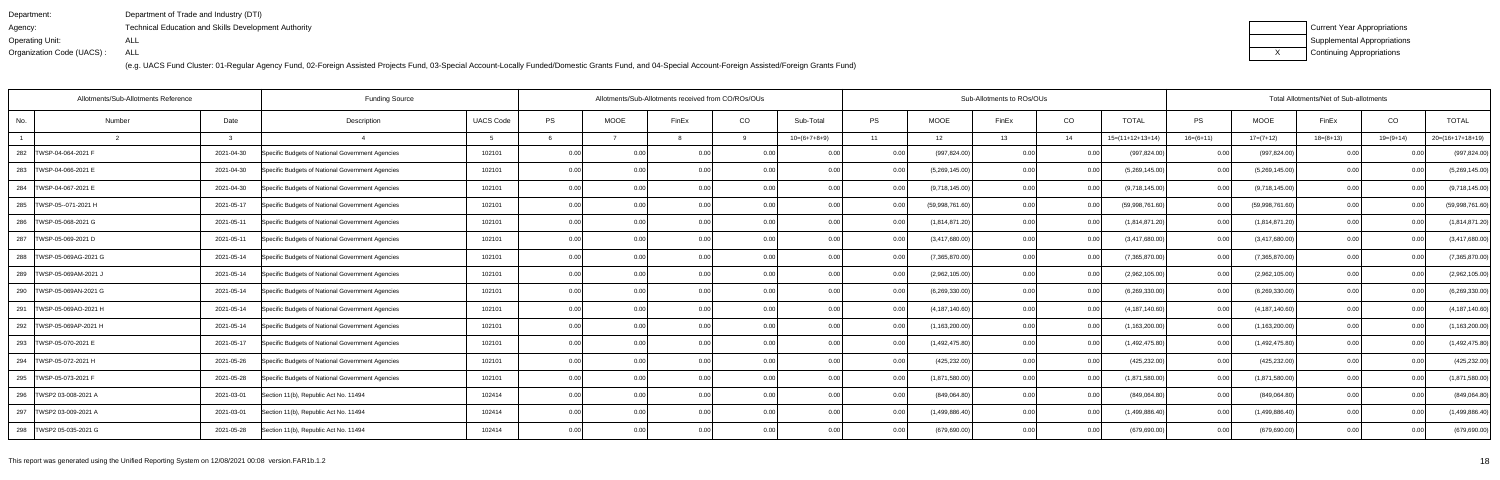| Department:               | Department of Trade and Industry (DTI)                      |
|---------------------------|-------------------------------------------------------------|
| Agency:                   | <b>Technical Education and Skills Development Authority</b> |
| Operating Unit:           | ALL                                                         |
| Organization Code (UACS): | ALL                                                         |

| Current Year Appropriations |
|-----------------------------|
| Supplemental Appropriations |
| Continuing Appropriations   |

|                            | Allotments/Sub-Allotments Reference | <b>Funding Source</b>                            | Allotments/Sub-Allotments received from CO/ROs/OUs |      |                   |                |      |                |           | Sub-Allotments to ROs/OUs |       | Total Allotments/Net of Sub-allotments |                    |             |                  |             |                |                    |
|----------------------------|-------------------------------------|--------------------------------------------------|----------------------------------------------------|------|-------------------|----------------|------|----------------|-----------|---------------------------|-------|----------------------------------------|--------------------|-------------|------------------|-------------|----------------|--------------------|
| No.                        | Date<br>Number                      | Description                                      | <b>UACS Code</b>                                   | PS   | <b>MOOE</b>       | FinEx          | CO   | Sub-Total      | <b>PS</b> | <b>MOOE</b>               | FinEx | CO                                     | <b>TOTAL</b>       | PS          | <b>MOOE</b>      | FinEx       | CO             | <b>TOTAL</b>       |
|                            | $\mathcal{R}$                       |                                                  |                                                    |      |                   |                | q    | $10=(6+7+8+9)$ | 11        | 12                        | 13    | 14                                     | $15=(11+12+13+14)$ | $16=(6+11)$ | $17=(7+12)$      | $18=(8+13)$ | $19=(9+14)$    | $20=(16+17+18+19)$ |
| 282<br>TWSP-04-064-2021 F  | 2021-04-30                          | Specific Budgets of National Government Agencies | 102101                                             | 0.00 |                   | 0.0(           |      |                |           | (997, 824.00)             | 0.00  |                                        | (997, 824.00)      | 0.00        | (997, 824.00)    |             |                | (997, 824.00)      |
| 283   TWSP-04-066-2021 E   | 2021-04-30                          | Specific Budgets of National Government Agencies | 102101                                             | 0.00 | 0.00              | 0 <sub>0</sub> | 0.00 | 0.00           | 0.00      | (5,269,145.00)            | 0.00  | 0.00                                   | (5,269,145.00)     | 0.00        | (5,269,145.00)   | 0.00        |                | (5,269,145.00)     |
| 284   TWSP-04-067-2021 E   | 2021-04-30                          | Specific Budgets of National Government Agencies | 102101                                             | 0.00 | 0.00              | 0.00           | 0.00 | 0.00           | 0.00      | (9,718,145.00)            | 0.00  | 0.00                                   | (9,718,145.00)     | 0.00        | (9,718,145.00)   | 0.00        | 0.00           | (9,718,145.00)     |
| 285   TWSP-05--071-2021 H  | 2021-05-17                          | Specific Budgets of National Government Agencies | 102101                                             | 0.00 | 0.00              | 0.00           | 0.00 | 0.00           |           | (59,998,761.60)           | 0.00  | 0.00                                   | (59,998,761.60)    | 0.00        | (59,998,761.60)  | 0.00        | 0.00           | (59,998,761.60)    |
| 286   TWSP-05-068-2021 G   | 2021-05-11                          | Specific Budgets of National Government Agencies | 102101                                             | 0.00 | 0.00              | 0 <sub>0</sub> | 0.00 | 0.00           | 0.00      | (1,814,871.20)            | 0.00  | 0.00                                   | (1,814,871.20)     | 0.00        | (1,814,871.20)   | 0.00        | 0.00           | (1,814,871.20)     |
| 287   TWSP-05-069-2021 D   | 2021-05-11                          | Specific Budgets of National Government Agencies | 102101                                             | 0.00 | 0.00 <sub>1</sub> | 0.0            | 0.00 | 0.00           | 0.00      | (3,417,680.00)            | 0.00  | 0.00                                   | (3,417,680.00)     | 0.00        | (3,417,680.00)   | 0.00        | 0.00           | (3,417,680.00)     |
| 288   TWSP-05-069AG-2021 G | 2021-05-14                          | Specific Budgets of National Government Agencies | 102101                                             | 0.00 | 0.00              | 0.00           | 0.00 | 0.00           | 0.00      | (7,365,870.00)            | 0.00  | 0.00                                   | (7,365,870.00)     | 0.00        | (7,365,870.00)   | 0.00        | 0.00           | (7,365,870.00)     |
| 289   TWSP-05-069AM-2021 J | 2021-05-14                          | Specific Budgets of National Government Agencies | 102101                                             | 0.00 | 0.00              | 0 <sub>0</sub> | 0.00 | 0.00           |           | (2,962,105.00)            | 0.00  | 0.00                                   | (2,962,105.00)     | 0.00        | (2,962,105.00)   | 0.00        | 0 <sub>0</sub> | (2,962,105.00)     |
| 290   TWSP-05-069AN-2021 G | 2021-05-14                          | Specific Budgets of National Government Agencies | 102101                                             | 0.00 | 0.00              | 0 <sub>0</sub> | 0.00 | 0.00           | 0.00      | (6,269,330.00)            | 0.00  | 0.00                                   | (6,269,330.00)     | 0.00        | (6,269,330.00)   | 0.00        |                | (6,269,330.00)     |
| 291   TWSP-05-069AO-2021 H | 2021-05-14                          | Specific Budgets of National Government Agencies | 102101                                             | 0.00 | 0.00              | 0.00           | 0.00 | 0.00           | 0.00      | (4, 187, 140.60)          | 0.00  | 0.00                                   | (4, 187, 140.60)   | 0.00        | (4, 187, 140.60) | 0.00        | 0.00           | (4, 187, 140.60)   |
| 292   TWSP-05-069AP-2021 H | 2021-05-14                          | Specific Budgets of National Government Agencies | 102101                                             | 0.00 | 0.00              | 0 <sub>0</sub> | 0.00 | 0.00           |           | (1, 163, 200.00)          | 0.00  | 0.00                                   | (1, 163, 200.00)   | 0.00        | (1, 163, 200.00) | 0.00        | 0.00           | (1, 163, 200.00)   |
| 293   TWSP-05-070-2021 E   | 2021-05-17                          | Specific Budgets of National Government Agencies | 102101                                             | 0.00 | 0.00              | 00             | 0.00 | 0.00           |           | (1,492,475.80)            | 0.00  | 0.00                                   | (1,492,475.80)     | 0.00        | (1,492,475.80)   | 0.00        |                | (1,492,475.80)     |
| 294<br>TWSP-05-072-2021 H  | 2021-05-26                          | Specific Budgets of National Government Agencies | 102101                                             | 0.00 | 0.00              | 0 <sub>0</sub> | 0.00 | 0.00           | 0.00      | (425, 232.00)             | 0.00  | 0.00                                   | (425, 232.00)      | 0.00        | (425, 232.00)    | 0.00        | 0.00           | (425, 232.00)      |
| 295   TWSP-05-073-2021 F   | 2021-05-28                          | Specific Budgets of National Government Agencies | 102101                                             | 0.00 | 0.00              | 0.00           | 0.00 | 0.00           |           | (1,871,580.00)            | 0.00  | 0.00                                   | (1,871,580.00)     | 0.00        | (1,871,580.00)   | 0.00        | 0.00           | (1,871,580.00)     |
| 296   TWSP2 03-008-2021 A  | 2021-03-01                          | Section 11(b), Republic Act No. 11494            | 102414                                             | 0.00 | 0.00              | 0 <sub>0</sub> | 0.00 | 0.00           |           | (849,064.80)              | 0.00  | 0.00                                   | (849,064.80)       | 0.00        | (849,064.80)     | 0.00        |                | (849,064.80)       |
| 297   TWSP2 03-009-2021 A  | 2021-03-01                          | Section 11(b), Republic Act No. 11494            | 102414                                             | 0.00 | 0.00              |                | 0.00 | 0.00           |           | (1,499,886.40)            | 0.00  | 0.00                                   | (1,499,886.40)     | 0.00        | (1,499,886.40)   | 0.00        |                | (1,499,886.40)     |
| 298   TWSP2 05-035-2021 G  | 2021-05-28                          | Section 11(b), Republic Act No. 11494            | 102414                                             | 0.00 | 0.00              | 0 <sub>0</sub> | 0.00 | 0.00           |           | (679, 690.00)             | 0.00  | 0.00                                   | (679, 690.00)      | 0.00        | (679, 690.00)    | 0.00        | 0 <sub>0</sub> | (679, 690.00)      |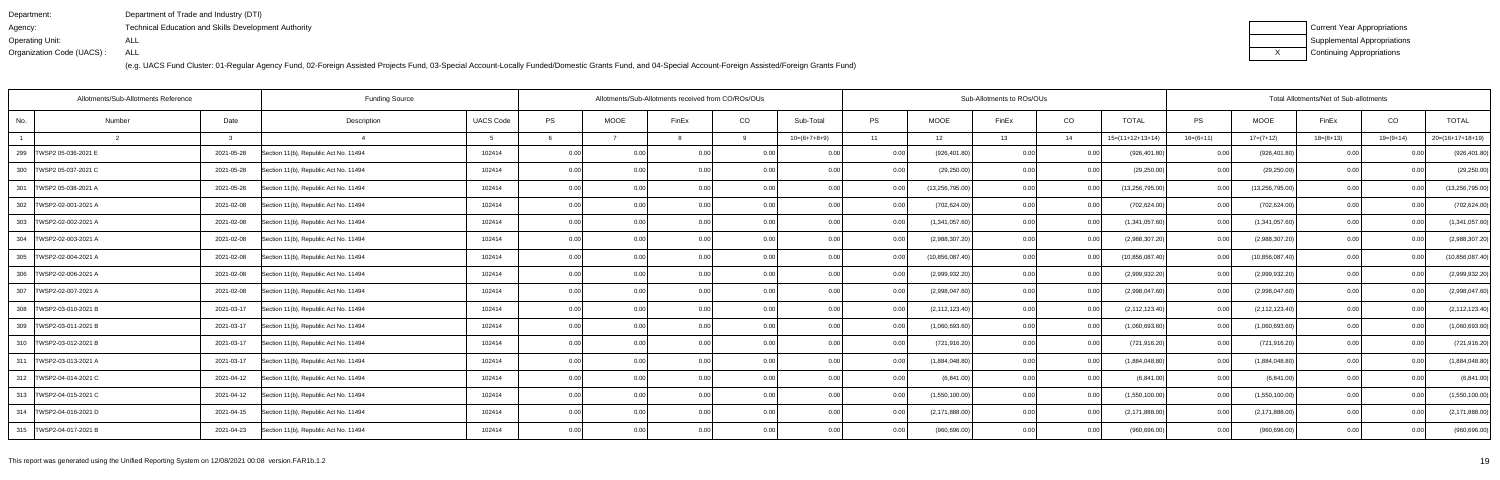| Department:               | Department of Trade and Industry (DTI)               |
|---------------------------|------------------------------------------------------|
| Agency:                   | Technical Education and Skills Development Authority |
| Operating Unit:           | ALL                                                  |
| Organization Code (UACS): | ALL                                                  |

| Current Year Appropriations |
|-----------------------------|
| Supplemental Appropriations |
| Continuing Appropriations   |

| Allotments/Sub-Allotments Reference<br><b>Funding Source</b> |        |            |                                       |                  | Allotments/Sub-Allotments received from CO/ROs/OUs |             |                |      |                |           | Sub-Allotments to ROs/OUs |       |      |                    | Total Allotments/Net of Sub-allotments |                   |             |                |                    |  |
|--------------------------------------------------------------|--------|------------|---------------------------------------|------------------|----------------------------------------------------|-------------|----------------|------|----------------|-----------|---------------------------|-------|------|--------------------|----------------------------------------|-------------------|-------------|----------------|--------------------|--|
| No.                                                          | Number | Date       | Description                           | <b>UACS Code</b> | PS                                                 | <b>MOOE</b> | FinEx          | CO   | Sub-Total      | <b>PS</b> | <b>MOOE</b>               | FinEx | CO   | <b>TOTAL</b>       | <b>PS</b>                              | <b>MOOE</b>       | FinEx       | CO             | <b>TOTAL</b>       |  |
|                                                              |        | ્વ         |                                       |                  |                                                    |             |                | q    | $10=(6+7+8+9)$ | 11        | 12                        | 13    | 14   | $15=(11+12+13+14)$ | $16=(6+11)$                            | $17=(7+12)$       | $18=(8+13)$ | $19=(9+14)$    | $20=(16+17+18+19)$ |  |
| 299<br>TWSP2 05-036-2021 E                                   |        | 2021-05-28 | Section 11(b), Republic Act No. 11494 | 102414           | 0.00                                               |             | 0.0(           |      |                | 0.00      | (926, 401.80)             | 0.00  |      | (926, 401.80)      | 0.00                                   | (926, 401.80)     |             |                | (926, 401.80)      |  |
| 300   TWSP2 05-037-2021 C                                    |        | 2021-05-28 | Section 11(b), Republic Act No. 11494 | 102414           | 0.00                                               | 0.00        | 0.00           | 0.00 | 0.00           | 0.001     | (29, 250.00)              | 0.00  | 0.00 | (29, 250.00)       | 0.001                                  | (29, 250.00)      | 0.001       | 0.00           | (29, 250.00)       |  |
| 301   TWSP2 05-038-2021 A                                    |        | 2021-05-28 | Section 11(b), Republic Act No. 11494 | 102414           | 0.00                                               | 0.00        | 0.00           | 0.00 | 0.00           | 0.001     | (13, 256, 795.00)         | 0.00  | 0.00 | (13, 256, 795.00)  | 0.00                                   | (13, 256, 795.00) | 0.00        | 0.00           | (13, 256, 795.00)  |  |
| 302   TWSP2-02-001-2021 A                                    |        | 2021-02-08 | Section 11(b), Republic Act No. 11494 | 102414           | 0.00                                               | 0.00        | 0.00           | 0.00 | 0.00           | 0.00      | (702, 624.00)             | 0.00  | 0.00 | (702, 624.00)      | 0.00                                   | (702, 624.00)     | 0.00        | 0.00           | (702, 624.00)      |  |
| 303 TWSP2-02-002-2021 A                                      |        | 2021-02-08 | Section 11(b), Republic Act No. 11494 | 102414           | 0.00                                               | 0.00        | 0 <sub>0</sub> | 0.00 | 0.00           | 0.00      | (1,341,057.60)            | 0.00  | 0.00 | (1,341,057.60)     | 0.00                                   | (1,341,057.60)    | 0.001       | 0.00           | (1,341,057.60)     |  |
| 304 TWSP2-02-003-2021 A                                      |        | 2021-02-08 | Section 11(b), Republic Act No. 11494 | 102414           | 0.00                                               | 0.00        | 0.00           | 0.00 | 0.00           | 0.00      | (2,988,307.20)            | 0.00  | 0.00 | (2,988,307.20)     | 0.001                                  | (2,988,307.20)    | 0.00        | 0.00           | (2,988,307.20)     |  |
| 305 TWSP2-02-004-2021 A                                      |        | 2021-02-08 | Section 11(b), Republic Act No. 11494 | 102414           | 0.00                                               | 0.00        | 0.00           | 0.00 | 0.00           | 0.001     | (10, 856, 087.40)         | 0.00  | 0.00 | (10,856,087.40)    | 0.001                                  | (10, 856, 087.40) | 0.00        | 0.00           | (10, 856, 087.40)  |  |
| 306 TWSP2-02-006-2021 A                                      |        | 2021-02-08 | Section 11(b), Republic Act No. 11494 | 102414           | 0.00                                               | 0.00        | 0.00           | 0.00 | 0.00           |           | (2,999,932.20)            | 0.00  | 0.00 | (2,999,932.20)     | 0.00                                   | (2,999,932.20)    | 0.00        | 0 <sub>0</sub> | (2,999,932.20)     |  |
| 307   TWSP2-02-007-2021 A                                    |        | 2021-02-08 | Section 11(b), Republic Act No. 11494 | 102414           | 0.00                                               | 0.00        | 0.00           | 0.00 | 0.00           | 0.00      | (2,998,047.60)            | 0.00  | 0.00 | (2,998,047.60)     | 0.001                                  | (2,998,047.60)    | 0.00        | 0.00           | (2,998,047.60)     |  |
| 308   TWSP2-03-010-2021 B                                    |        | 2021-03-17 | Section 11(b), Republic Act No. 11494 | 102414           | 0.00                                               | 0.00        | 0.00           | 0.00 | 0.00           | 0.00      | (2, 112, 123.40)          | 0.00  | 0.00 | (2, 112, 123.40)   | 0.00                                   | (2, 112, 123.40)  | 0.00        | 0.00           | (2, 112, 123.40)   |  |
| 309   TWSP2-03-011-2021 B                                    |        | 2021-03-17 | Section 11(b), Republic Act No. 11494 | 102414           | 0.00                                               | 0.00        | 0.00           | 0.00 | 0.00           |           | (1,060,693.60)            | 0.00  | 0.00 | (1,060,693.60)     | 0.00                                   | (1,060,693.60)    | 0.00        | 0.00           | (1,060,693.60)     |  |
| 310 TWSP2-03-012-2021 B                                      |        | 2021-03-17 | Section 11(b), Republic Act No. 11494 | 102414           | 0.00                                               | 0.00        | 0.00           | 0.00 | 0.00           | 0.00      | (721, 916.20)             | 0.00  | 0.00 | (721, 916.20)      | 0.00                                   | (721, 916.20)     | 0.00        | -0.00          | (721, 916.20)      |  |
| 311 TWSP2-03-013-2021 A                                      |        | 2021-03-17 | Section 11(b), Republic Act No. 11494 | 102414           | 0.00                                               | 0.00        | 0.00           | 0.00 | 0.00           | 0.00      | (1,884,048.80)            | 0.00  | 0.00 | (1,884,048.80)     | 0.00                                   | (1,884,048.80)    | 0.00        | 0.00           | (1,884,048.80)     |  |
| 312   TWSP2-04-014-2021 C                                    |        | 2021-04-12 | Section 11(b), Republic Act No. 11494 | 102414           | 0.00                                               | 0.00        | 0.00           | 0.00 | 0.00           | 0.001     | (6,841.00)                | 0.00  | 0.00 | (6,841.00)         | 0.001                                  | (6,841.00)        | 0.00        | 0.00           | (6,841.00)         |  |
| 313   TWSP2-04-015-2021 C                                    |        | 2021-04-12 | Section 11(b), Republic Act No. 11494 | 102414           | 0.00                                               | 0.00        | 0.00           | 0.00 | 0.00           | 0.00      | (1,550,100.00)            | 0.00  | 0.00 | (1,550,100.00)     | 0.001                                  | (1,550,100.00)    | 0.00        | 0.00           | (1,550,100.00)     |  |
| 314   TWSP2-04-016-2021 D                                    |        | 2021-04-15 | Section 11(b), Republic Act No. 11494 | 102414           | 0.00                                               | 0.00        | 0.00           | 0.00 | 0.00           | 0.00      | (2, 171, 888.00)          | 0.00  | 0.00 | (2, 171, 888.00)   | 0.001                                  | (2, 171, 888.00)  | 0.00        |                | (2, 171, 888.00)   |  |
| 315 TWSP2-04-017-2021 B                                      |        | 2021-04-23 | Section 11(b), Republic Act No. 11494 | 102414           | 0.00                                               | 0.00        | 0.00           | 0.00 | 0.00           | 0.001     | (960, 696.00)             | 0.00  | 0.00 | (960, 696.00)      | 0.001                                  | (960, 696.00)     | 0.00        | 0.00           | (960, 696.00)      |  |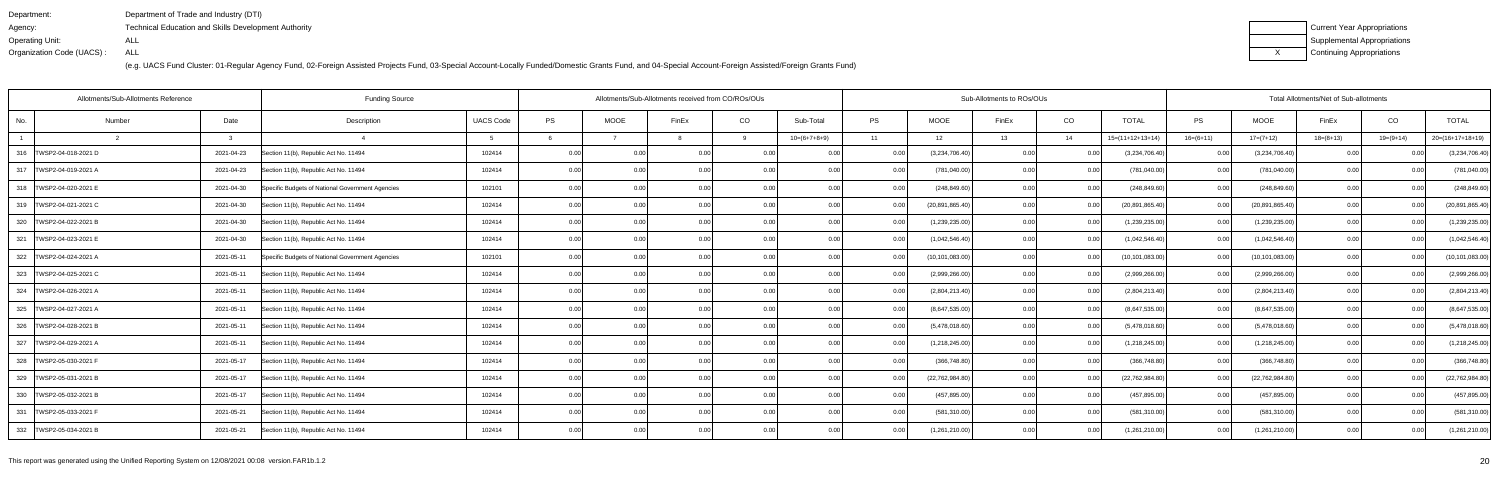| Department:               | Department of Trade and Industry (DTI)                      |
|---------------------------|-------------------------------------------------------------|
| Agency:                   | <b>Technical Education and Skills Development Authority</b> |
| Operating Unit:           | ALL                                                         |
| Organization Code (UACS): | ALL                                                         |

| Current Year Appropriations |
|-----------------------------|
| Supplemental Appropriations |
| Continuing Appropriations   |

|                           | Allotments/Sub-Allotments Reference | <b>Funding Source</b>                            |                  |           | Allotments/Sub-Allotments received from CO/ROs/OUs |                |       |                |           | Sub-Allotments to ROs/OUs |       | Total Allotments/Net of Sub-allotments |                    |             |                   |             |                |                    |
|---------------------------|-------------------------------------|--------------------------------------------------|------------------|-----------|----------------------------------------------------|----------------|-------|----------------|-----------|---------------------------|-------|----------------------------------------|--------------------|-------------|-------------------|-------------|----------------|--------------------|
| No.<br>Number             | Date                                | Description                                      | <b>UACS Code</b> | <b>PS</b> | <b>MOOE</b>                                        | FinEx          | CO    | Sub-Total      | <b>PS</b> | <b>MOOE</b>               | FinEx | CO                                     | <b>TOTAL</b>       | PS          | <b>MOOE</b>       | FinEx       | CO             | <b>TOTAL</b>       |
|                           | $\mathbf{B}$                        |                                                  |                  |           |                                                    |                | -9    | $10=(6+7+8+9)$ | 11        | 12                        | 13    | 14                                     | $15=(11+12+13+14)$ | $16=(6+11)$ | $17=(7+12)$       | $18=(8+13)$ | $19=(9+14)$    | $20=(16+17+18+19)$ |
| 316   TWSP2-04-018-2021 D | 2021-04-23                          | Section 11(b), Republic Act No. 11494            | 102414           | 0.00      |                                                    | 0.0(           |       | 0.00           |           | (3,234,706.40)            | 0.00  |                                        | (3,234,706.40)     | 0.00        | (3,234,706.40)    |             |                | (3,234,706.40)     |
| 317   TWSP2-04-019-2021 A | 2021-04-23                          | Section 11(b), Republic Act No. 11494            | 102414           | 0.00      | 0.00                                               | 0 <sub>0</sub> | 0.00  | 0.00           | 0.00      | (781,040.00)              | 0.00  | 0.00                                   | (781, 040.00)      | 0.001       | (781, 040.00)     | 0.00        |                | (781, 040.00)      |
| 318   TWSP2-04-020-2021 E | 2021-04-30                          | Specific Budgets of National Government Agencies | 102101           | 0.00      | 0.00                                               | 0.00           | 0.00  | 0.00           | 0.00      | (248, 849.60)             | 0.00  | 0.00                                   | (248, 849.60)      | 0.00        | (248, 849.60)     | 0.00        | 0.00           | (248, 849.60)      |
| 319   TWSP2-04-021-2021 C | 2021-04-30                          | Section 11(b), Republic Act No. 11494            | 102414           | 0.00      | 0.00                                               | 0.00           | 0.00  | 0.00           |           | (20, 891, 865.40)         | 0.00  | 0.00                                   | (20, 891, 865.40)  | 0.001       | (20,891,865.40)   | 0.00        | 0.00           | (20, 891, 865.40)  |
| 320 TWSP2-04-022-2021 B   | 2021-04-30                          | Section 11(b), Republic Act No. 11494            | 102414           | 0.00      | 0.001                                              | 0 <sub>0</sub> | 0.00  | 0.00           | 0.00      | (1,239,235.00)            | 0.00  | 0.00                                   | (1,239,235.00)     | 0.00        | (1,239,235.00)    | 0.001       | 0.00           | (1,239,235.00)     |
| 321   TWSP2-04-023-2021 E | 2021-04-30                          | Section 11(b), Republic Act No. 11494            | 102414           | 0.00      | 0.00                                               | 0.00           | 0.00  | 0.00           | 0.00      | (1,042,546.40)            | 0.00  | 0.00                                   | (1,042,546.40)     | 0.00        | (1,042,546.40)    | 0.00        | 0.00           | (1,042,546.40)     |
| 322 TWSP2-04-024-2021 A   | 2021-05-11                          | Specific Budgets of National Government Agencies | 102101           | 0.00      | 0.00                                               | 0.00           | 0.00  | 0.00           |           | (10, 101, 083.00)         | 0.00  | 0.00                                   | (10, 101, 083.00)  | 0.00        | (10, 101, 083.00) | 0.00        | 0.00           | (10, 101, 083.00)  |
| 323 TWSP2-04-025-2021 C   | 2021-05-11                          | Section 11(b), Republic Act No. 11494            | 102414           | 0.00      | 0.00                                               | 0 <sub>0</sub> | 0.00  | 0.00           |           | (2,999,266.00)            | 0.00  | 0.00                                   | (2,999,266.00)     | 0.00        | (2,999,266.00)    | 0.00        |                | (2,999,266.00)     |
| 324   TWSP2-04-026-2021 A | 2021-05-11                          | Section 11(b), Republic Act No. 11494            | 102414           | 0.00      | 0.00                                               | 0 <sub>0</sub> | 0.00  | 0.00           |           | (2,804,213.40)            | 0.00  | 0.00                                   | (2,804,213.40)     | 0.00        | (2,804,213.40)    | 0.00        |                | (2,804,213.40)     |
| 325 TWSP2-04-027-2021 A   | 2021-05-11                          | Section 11(b), Republic Act No. 11494            | 102414           | 0.00      | 0.00                                               | 0.00           | 0.00  | 0.00           | 0.00      | (8,647,535.00)            | 0.00  | 0.00                                   | (8,647,535.00)     | 0.00        | (8,647,535.00)    | 0.00        | 0.00           | (8,647,535.00)     |
| 326   TWSP2-04-028-2021 B | 2021-05-11                          | Section 11(b), Republic Act No. 11494            | 102414           | 0.00      | 0.00                                               | 0 <sub>0</sub> | 0.00  | 0.00           |           | (5,478,018.60)            | 0.00  | 0.00                                   | (5,478,018.60)     | 0.00        | (5,478,018.60)    | 0.00        | 0 <sub>0</sub> | (5,478,018.60)     |
| 327   TWSP2-04-029-2021 A | 2021-05-11                          | Section 11(b), Republic Act No. 11494            | 102414           | 0.00      | 0.00                                               | 00             | 0.001 | 0.00           |           | (1,218,245.00)            | 0.00  | 0.00                                   | (1,218,245.00)     | 0.00        | (1,218,245.00)    | 0.00        |                | (1,218,245.00)     |
| 328   TWSP2-05-030-2021 F | 2021-05-17                          | Section 11(b), Republic Act No. 11494            | 102414           | 0.00      | 0.001                                              | 0.00           | 0.00  | 0.00           | 0.00      | (366, 748.80)             | 0.00  | 0.00                                   | (366, 748.80)      | 0.00        | (366, 748.80)     | 0.00        | 0.00           | (366, 748.80)      |
| 329   TWSP2-05-031-2021 B | 2021-05-17                          | Section 11(b), Republic Act No. 11494            | 102414           | 0.00      | 0.00                                               | 0.00           | 0.00  | 0.00           |           | (22, 762, 984.80)         | 0.00  | 0.00                                   | (22, 762, 984.80)  | 0.001       | (22, 762, 984.80) | 0.00        | 0.00           | (22, 762, 984.80)  |
| 330   TWSP2-05-032-2021 B | 2021-05-17                          | Section 11(b), Republic Act No. 11494            | 102414           | 0.00      | 0.001                                              | 00             | 0.00  | 0.00           |           | (457, 895.00)             | 0.00  | 0.OO                                   | (457, 895.00)      | 0.00        | (457, 895.00)     | 0.00        |                | (457, 895.00)      |
| 331   TWSP2-05-033-2021 F | 2021-05-21                          | Section 11(b), Republic Act No. 11494            | 102414           | 0.00      | 0.00                                               |                | 0.00  | 0.00           |           | (581,310.00)              | 0.00  | 0.00                                   | (581, 310.00)      | 0.00        | (581, 310.00)     | 0.00        |                | (581, 310.00)      |
| 332  TWSP2-05-034-2021 B  | 2021-05-21                          | Section 11(b), Republic Act No. 11494            | 102414           | 0.00      | 0.00                                               | 0.00           | 0.00  | 0.00           |           | (1,261,210.00)            | 0.00  | 0.00                                   | (1,261,210.00)     | 0.00        | (1,261,210.00)    | 0.00        | 0.00           | (1,261,210.00)     |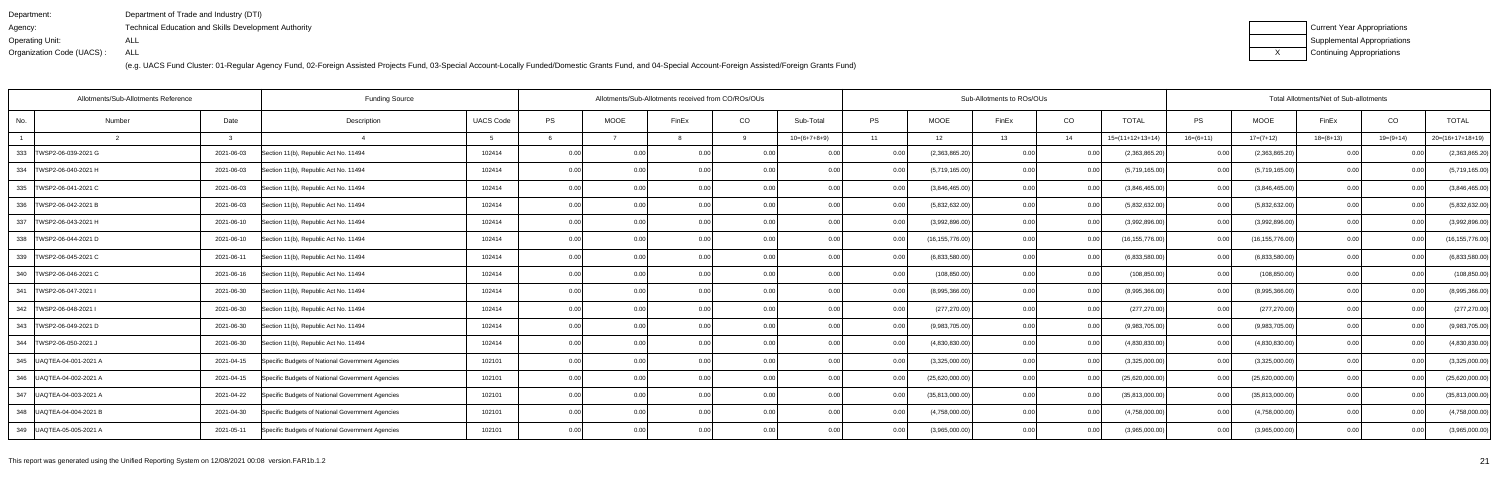| Department:               | Department of Trade and Industry (DTI)               |
|---------------------------|------------------------------------------------------|
| Agency:                   | Technical Education and Skills Development Authority |
| Operating Unit:           | ALL                                                  |
| Organization Code (UACS): | ALL                                                  |

| Current Year Appropriations |
|-----------------------------|
| Supplemental Appropriations |
| Continuing Appropriations   |

| Allotments/Sub-Allotments Reference<br><b>Funding Source</b> |               |            |                                                  |                  | Allotments/Sub-Allotments received from CO/ROs/OUs |                |                |      |                |           | Sub-Allotments to ROs/OUs |       | Total Allotments/Net of Sub-allotments |                    |             |                   |             |             |                    |
|--------------------------------------------------------------|---------------|------------|--------------------------------------------------|------------------|----------------------------------------------------|----------------|----------------|------|----------------|-----------|---------------------------|-------|----------------------------------------|--------------------|-------------|-------------------|-------------|-------------|--------------------|
| No.                                                          | Number        | Date       | Description                                      | <b>UACS Code</b> | PS                                                 | <b>MOOE</b>    | FinEx          | CO   | Sub-Total      | <b>PS</b> | <b>MOOE</b>               | FinEx | CO                                     | <b>TOTAL</b>       | <b>PS</b>   | <b>MOOE</b>       | FinEx       | CO          | <b>TOTAL</b>       |
|                                                              | $\mathcal{R}$ |            |                                                  |                  |                                                    |                |                | 9    | $10=(6+7+8+9)$ | 11        | 12                        | 13    | 14                                     | $15=(11+12+13+14)$ | $16=(6+11)$ | $17=(7+12)$       | $18=(8+13)$ | $19=(9+14)$ | $20=(16+17+18+19)$ |
| 333<br>TWSP2-06-039-2021 G                                   |               | 2021-06-03 | Section 11(b), Republic Act No. 11494            | 102414           | 0.00                                               | 0 <sub>0</sub> | 0.0(           |      | 0.00           |           | (2,363,865.20)            | 0.00  |                                        | (2,363,865.20)     | 0.00        | (2,363,865.20)    |             |             | (2,363,865.20)     |
| 334   TWSP2-06-040-2021 H                                    |               | 2021-06-03 | Section 11(b), Republic Act No. 11494            | 102414           | 0.00                                               | 0.00           | 0.00           | 0.00 | 0.00           | 0.00      | (5,719,165.00)            | 0.00  | 0.00                                   | (5,719,165.00)     | 0.001       | (5,719,165.00)    | 0.001       | 0.00        | (5,719,165.00)     |
| 335 TWSP2-06-041-2021 C                                      |               | 2021-06-03 | Section 11(b), Republic Act No. 11494            | 102414           | 0.00                                               | 0.00           | 0.00           | 0.00 | 0.00           | 0.00      | (3,846,465.00)            | 0.00  | 0.00                                   | (3,846,465.00)     | 0.00        | (3,846,465.00)    | 0.00        | 0.00        | (3,846,465.00)     |
| 336   TWSP2-06-042-2021 B                                    |               | 2021-06-03 | Section 11(b), Republic Act No. 11494            | 102414           | 0.00                                               | 0.00           | 0.00           | 0.00 | 0.00           | 0.00      | (5,832,632.00)            | 0.00  | 0.00                                   | (5,832,632.00)     | 0.00        | (5,832,632.00)    | 0.00        | 0.00        | (5,832,632.00)     |
| 337   TWSP2-06-043-2021 H                                    |               | 2021-06-10 | Section 11(b), Republic Act No. 11494            | 102414           | 0.00                                               | 0.00           | 0 <sub>0</sub> | 0.00 | 0.00           | 0.00      | (3,992,896.00)            | 0.00  | 0.00                                   | (3,992,896.00)     | 0.00        | (3,992,896.00)    | 0.00        | 0.00        | (3,992,896.00)     |
| 338   TWSP2-06-044-2021 D                                    |               | 2021-06-10 | Section 11(b), Republic Act No. 11494            | 102414           | 0.00                                               | 0.00           | 0.00           | 0.00 | 0.00           | 0.00      | (16, 155, 776.00)         | 0.00  | 0.00                                   | (16, 155, 776.00)  | 0.001       | (16, 155, 776.00) | 0.00        | 0.00        | (16, 155, 776.00)  |
| 339   TWSP2-06-045-2021 C                                    |               | 2021-06-11 | Section 11(b), Republic Act No. 11494            | 102414           | 0.00                                               | 0.00           | 0.00           | 0.00 | 0.00           | 0.00      | (6,833,580.00)            | 0.00  | 0.00                                   | (6,833,580.00)     | 0.00        | (6,833,580.00)    | 0.00        | 0.00        | (6,833,580.00)     |
| 340   TWSP2-06-046-2021 C                                    |               | 2021-06-16 | Section 11(b), Republic Act No. 11494            | 102414           | 0.00                                               | 0.00           | 0.00           | 0.00 | 0.00           | 0.00      | (108, 850.00)             | 0.00  | 0.00                                   | (108, 850.00)      | 0.001       | (108, 850.00)     | 0.00        | -0.00       | (108, 850.00)      |
| 341   TWSP2-06-047-2021                                      |               | 2021-06-30 | Section 11(b), Republic Act No. 11494            | 102414           | 0.00                                               | 0.00           | 0.00           | 0.00 | 0.00           | 0.00      | (8,995,366.00)            | 0.00  | 0.00                                   | (8,995,366.00)     | 0.00        | (8,995,366.00)    | 0.001       | -0.00       | (8,995,366.00)     |
| 342   TWSP2-06-048-2021                                      |               | 2021-06-30 | Section 11(b), Republic Act No. 11494            | 102414           | 0.00                                               | 0.00           | 0.00           | 0.00 | 0.00           | 0.00      | (277, 270.00)             | 0.00  | 0.00                                   | (277, 270.00)      | 0.00        | (277, 270.00)     | 0.00        | 0.00        | (277, 270.00)      |
| 343<br>TWSP2-06-049-2021 D                                   |               | 2021-06-30 | Section 11(b), Republic Act No. 11494            | 102414           | 0.00                                               |                | 0 <sub>0</sub> | 0.00 | 0.00           |           | (9,983,705.00)            | 0.00  | 0.00                                   | (9,983,705.00)     | 0.00        | (9,983,705.00)    | 0.00        | n nr        | (9,983,705.00)     |
| 344   TWSP2-06-050-2021                                      |               | 2021-06-30 | Section 11(b), Republic Act No. 11494            | 102414           | 0.00                                               | 0.00           | 0 <sub>0</sub> | 0.00 | 0.00           |           | (4,830,830.00)            | 0.00  | 0.00                                   | (4,830,830.00)     | 0.00        | (4,830,830.00)    | 0.00        |             | (4,830,830.00)     |
| 345   UAQTEA-04-001-2021 A                                   |               | 2021-04-15 | Specific Budgets of National Government Agencies | 102101           | 0.00                                               | 0.00           | 0.00           | 0.00 | 0.00           | 0.001     | (3,325,000.00)            | 0.00  | 0.00                                   | (3,325,000.00)     | 0.00        | (3,325,000.00)    | 0.00        | 0.00        | (3,325,000.00)     |
| 346   UAQTEA-04-002-2021 A                                   |               | 2021-04-15 | Specific Budgets of National Government Agencies | 102101           | 0.00                                               | 0.00           | 0.0(           | 0.00 | 0.00           |           | (25,620,000.00)           | 0.00  | 0.00                                   | (25,620,000.00)    | 0.00        | (25,620,000.00)   | 0.00        |             | (25,620,000.00)    |
| 347 UAQTEA-04-003-2021 A                                     |               | 2021-04-22 | Specific Budgets of National Government Agencies | 102101           | 0.00                                               | 0.00           | 0 <sub>0</sub> | 0.00 | 0.00           |           | (35,813,000.00)           | 0.00  | 0.00                                   | (35,813,000.00)    | 0.00        | (35,813,000.00)   | 0.00        |             | (35,813,000.00)    |
| 348   UAQTEA-04-004-2021 B                                   |               | 2021-04-30 | Specific Budgets of National Government Agencies | 102101           | 0.00                                               | 0.00           |                | 0.00 | 0.00           | 0.00      | (4,758,000.00)            | 0.00  | 0.00                                   | (4,758,000.00)     | 0.00        | (4,758,000.00)    | 0.00        |             | (4,758,000.00)     |
| 349   UAQTEA-05-005-2021 A                                   |               | 2021-05-11 | Specific Budgets of National Government Agencies | 102101           | 0.00                                               | 0.00           |                | 0.00 | 0.00           |           | (3,965,000.00)            | 0.00  |                                        | (3,965,000.00)     | 0.00        | (3,965,000.00)    | 0.00        |             | (3,965,000.00)     |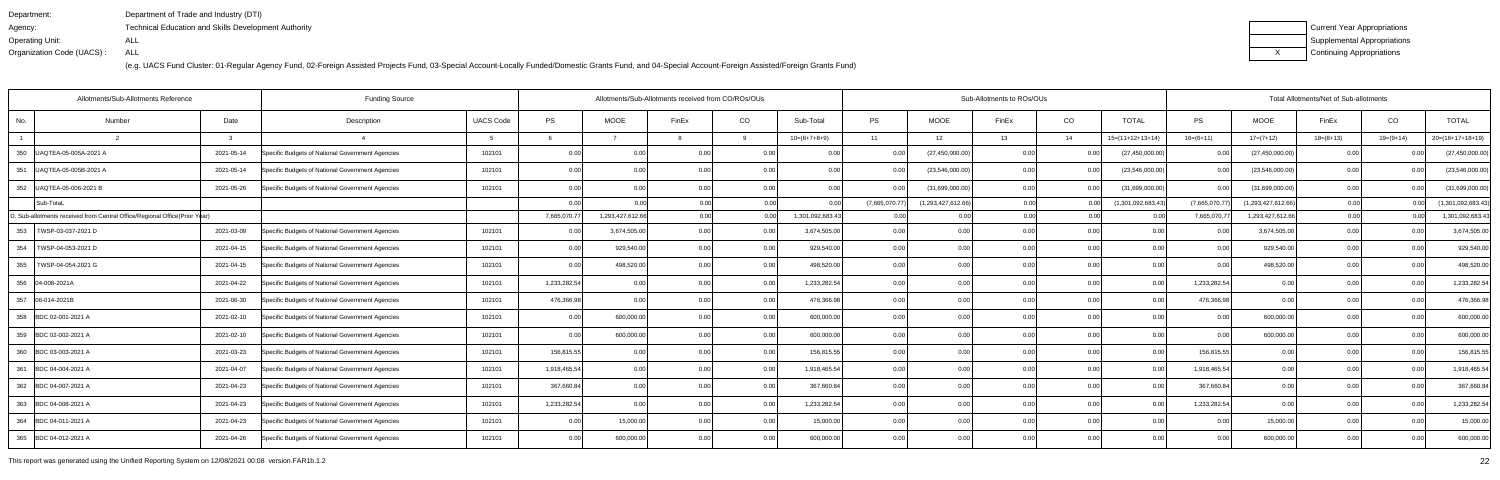| Department:               | Department of Trade and Industry (DTI)                      |
|---------------------------|-------------------------------------------------------------|
| Agency:                   | <b>Technical Education and Skills Development Authority</b> |
| Operating Unit:           | ALL                                                         |
| Organization Code (UACS): | ALL                                                         |

| Current Year Appropriations |
|-----------------------------|
| Supplemental Appropriations |
| Continuing Appropriations   |

| Allotments/Sub-Allotments Reference |                                                                            |              | <b>Funding Source</b>                            |                  |              |                   | Allotments/Sub-Allotments received from CO/ROs/OUs |      |                  |                |                    | Sub-Allotments to ROs/OUs |      |                    |                |                    | Total Allotments/Net of Sub-allotments |             |                    |  |  |  |  |
|-------------------------------------|----------------------------------------------------------------------------|--------------|--------------------------------------------------|------------------|--------------|-------------------|----------------------------------------------------|------|------------------|----------------|--------------------|---------------------------|------|--------------------|----------------|--------------------|----------------------------------------|-------------|--------------------|--|--|--|--|
| No.                                 | Number                                                                     | Date         | Description                                      | <b>UACS Code</b> | PS           | <b>MOOE</b>       | FinEx                                              | CO   | Sub-Total        | <b>PS</b>      | <b>MOOE</b>        | FinEx                     | CO   | <b>TOTAL</b>       | PS             | <b>MOOE</b>        | FinEx                                  | CO          | <b>TOTAL</b>       |  |  |  |  |
|                                     |                                                                            | $\mathbf{3}$ |                                                  |                  |              |                   |                                                    | -9   | $10=(6+7+8+9)$   | 11             | 12                 | 13                        | 14   | $15=(11+12+13+14)$ | $16=(6+11)$    | $17=(7+12)$        | $18=(8+13)$                            | $19=(9+14)$ | $20=(16+17+18+19)$ |  |  |  |  |
| 350                                 | UAQTEA-05-005A-2021 A                                                      | 2021-05-14   | Specific Budgets of National Government Agencies | 102101           | 0.00         | 0.00              | 0.0                                                | 0.00 | 0.00             | 0.00           | (27, 450, 000.00)  | 0.00                      |      | (27, 450, 000.00)  | 0.00           | (27, 450, 000.00)  | 0 <sub>0</sub>                         |             | (27, 450, 000.00)  |  |  |  |  |
| 351                                 | UAQTEA-05-005B-2021 A                                                      | 2021-05-14   | Specific Budgets of National Government Agencies | 102101           | 0.00         | 0.00 <sub>l</sub> | 0.00                                               | 0.00 | 0.00             | 0.00           | (23,546,000.00)    | 0.00 <sub>l</sub>         | 0.00 | (23,546,000.00)    | 0.00           | (23,546,000.00)    | 0.00                                   | 0.00        | (23,546,000.00)    |  |  |  |  |
| 352                                 | UAQTEA-05-006-2021 B                                                       | 2021-05-26   | Specific Budgets of National Government Agencies | 102101           | 0.00         | 0.00              | 0 <sub>0</sub>                                     | 0.00 | 0.00             |                | (31,699,000.00)    | 0.00                      | 0.00 | (31,699,000.00)    | 0.00           | (31,699,000.00)    | 0.00                                   | 0.00        | (31,699,000.00)    |  |  |  |  |
|                                     | Sub-TotaL                                                                  |              |                                                  |                  | 0.00         |                   |                                                    | 0.00 |                  | (7,665,070.77) | (1,293,427,612.66) | 0.00                      |      | (1,301,092,683.43) | (7,665,070.77) | (1,293,427,612.66) | 0.00                                   |             | (1,301,092,683.43) |  |  |  |  |
|                                     | D. Sub-allotments received from Central Office/Regional Office(Prior Year) |              |                                                  |                  | 7,665,070.77 | 1,293,427,612.66  | 0.00l                                              | 0.00 | 1,301,092,683.43 | 0.00           | 0.00               | 0.00                      | 0.00 | 0.00               | 7,665,070.77   | 1,293,427,612.66   | 0.00                                   |             | 1,301,092,683.43   |  |  |  |  |
|                                     | 353   TWSP-03-037-2021 D                                                   | 2021-03-09   | Specific Budgets of National Government Agencies | 102101           | 0.00         | 3,674,505.00      | 0 <sub>0</sub>                                     | 0.00 | 3,674,505.00     | 0.00           | 0.00               | 0.00                      | 0.00 | 0.00               | 0 <sub>0</sub> | 3,674,505.00       | 0.0                                    |             | 3,674,505.00       |  |  |  |  |
| 354                                 | TWSP-04-053-2021 D                                                         | 2021-04-15   | Specific Budgets of National Government Agencies | 102101           | 0.00         | 929,540.00        | 0.00                                               | 0.00 | 929,540.00       | 0.00           | 0.00               | 0.00                      | 0.00 | 0.00               | 0.00           | 929,540.00         | 0.00                                   | 0.00        | 929,540.00         |  |  |  |  |
| 355                                 | TWSP-04-054-2021 G                                                         | 2021-04-15   | Specific Budgets of National Government Agencies | 102101           | 0.00         | 498,520.00        | 0.00                                               | 0.00 | 498,520.00       | 0.00           | 0.00               | 0.00                      | 0.00 | 0.00               | 0.00           | 498,520.00         | 0.00                                   | 0.00        | 498,520.00         |  |  |  |  |
|                                     | 356 04-008-2021A                                                           | 2021-04-22   | Specific Budgets of National Government Agencies | 102101           | 1,233,282.54 | 0.00              | 0 <sub>0</sub>                                     | 0.00 | 1,233,282.54     | 0.00           | 0.00               | 0.00                      | 0.00 | 0.00               | 1,233,282.54   | 0.00               | 0.00                                   | 0.00        | 1,233,282.54       |  |  |  |  |
|                                     | 357 06-014-2021B                                                           | 2021-06-30   | Specific Budgets of National Government Agencies | 102101           | 476,366.98   | 0.00              | 0.00                                               | 0.00 | 476,366.98       | 0.00           | 0.00               | 0.00                      | 0.00 | 0.00               | 476,366.98     | 0.00               | 0.00                                   | 0.00        | 476,366.98         |  |  |  |  |
|                                     | 358 BDC 02-001-2021 A                                                      | 2021-02-10   | Specific Budgets of National Government Agencies | 102101           | 0.00         | 600,000.00        | 0.0                                                | 0.00 | 600,000.00       | 0.00           | 0.00               | 0.00                      | 0.00 | 0.00               | 0.00           | 600,000.00         | 0.00                                   | 0.00        | 600,000.00         |  |  |  |  |
|                                     | 359 BDC 02-002-2021 A                                                      | 2021-02-10   | Specific Budgets of National Government Agencies | 102101           | 0.00         | 600,000.00        | 0 <sub>0</sub>                                     | 0.00 | 600,000.00       | 0.00           | 0.00               | 0.00                      | 0.00 | 0.00               | 0.00           | 600,000.00         | 0.00                                   | 0.00        | 600,000.00         |  |  |  |  |
|                                     | 360 BDC 03-003-2021 A                                                      | 2021-03-23   | Specific Budgets of National Government Agencies | 102101           | 156,815.55   | 0.00              | 0.00                                               | 0.00 | 156,815.55       | 0.00           | 0.00               | 0.00                      | 0.00 | 0.00               | 156,815.55     | 0.00               | 0.00                                   | 0.00        | 156,815.55         |  |  |  |  |
|                                     | 361 BDC 04-004-2021 A                                                      | 2021-04-07   | Specific Budgets of National Government Agencies | 102101           | 1,918,465.54 | 0.00 <sub>l</sub> | 0 <sub>0</sub>                                     | 0.00 | 1,918,465.54     | 0.00           | 0.00               | 0.00                      | 0.00 | 0.00               | 1,918,465.54   | 0.00               | 0.00                                   | 0.00        | 1,918,465.54       |  |  |  |  |
|                                     | 362 BDC 04-007-2021 A                                                      | 2021-04-23   | Specific Budgets of National Government Agencies | 102101           | 367,660.84   | 0.00              | 0.00                                               | 0.00 | 367,660.84       | 0.00           | 0.00               | 0.00                      | 0.00 | 0.00               | 367,660.84     | 0.00               | 0.00                                   | 0.00        | 367,660.84         |  |  |  |  |
|                                     | 363 BDC 04-008-2021 A                                                      | 2021-04-23   | Specific Budgets of National Government Agencies | 102101           | 1,233,282.54 | 0.00              | 0 <sub>0</sub>                                     | 0.00 | 1,233,282.54     | 0.00           | 0.00               | 0.00                      | 0.00 | 0.OC               | 1,233,282.54   | 0.00               | 0.00                                   | 0.00        | 1,233,282.54       |  |  |  |  |
|                                     | 364 BDC 04-011-2021 A                                                      | 2021-04-23   | Specific Budgets of National Government Agencies | 102101           | 0.00         | 15,000.00         | 0 <sub>0</sub>                                     | 0.00 | 15,000.00        | 0.00           | 0.00               | 0.00                      | 0.00 | 0.00               | 0.00           | 15,000.00          | 0.00                                   | 0.00        | 15,000.00          |  |  |  |  |
|                                     | 365 BDC 04-012-2021 A                                                      | 2021-04-26   | Specific Budgets of National Government Agencies | 102101           | 0.00         | 600,000.00        | 0.00                                               | 0.00 | 600,000.00       | 0.00           | 0.00               | 0.00                      | 0.00 | 0.00               | 0.00           | 600,000.00         | 0.00                                   | 0.00        | 600,000.00         |  |  |  |  |

This report was generated using the Unified Reporting System on 12/08/2021 00:08 version.FAR1b.1.2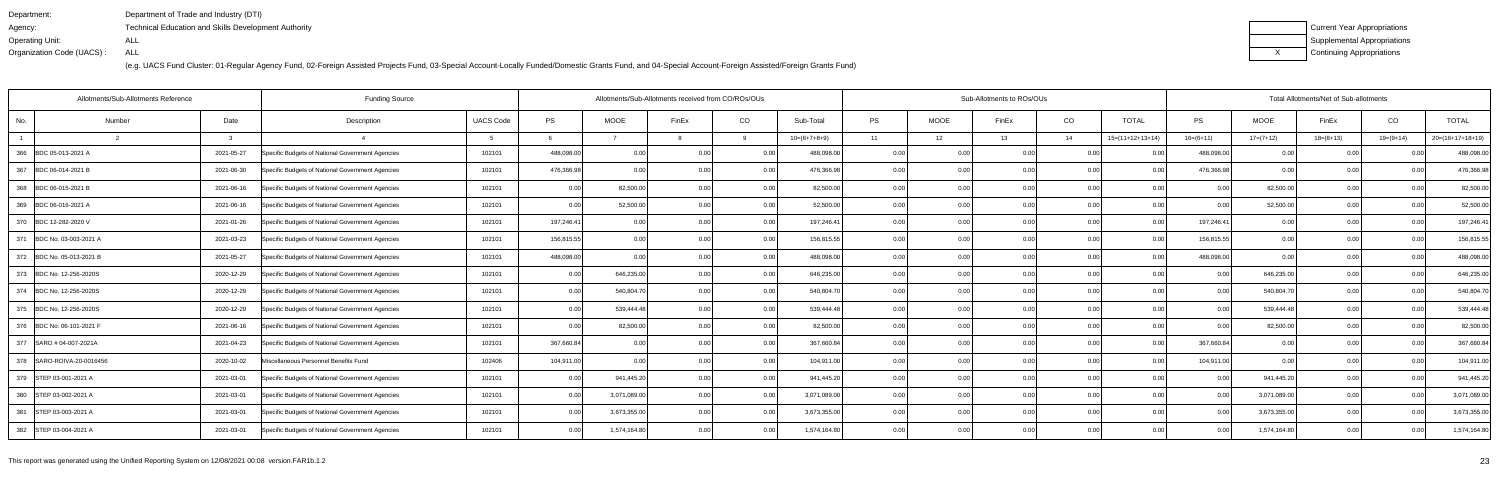| Department:               | Department of Trade and Industry (DTI)                      |
|---------------------------|-------------------------------------------------------------|
| Agency:                   | <b>Technical Education and Skills Development Authority</b> |
| Operating Unit:           | ALL                                                         |
| Organization Code (UACS): | ALL                                                         |

| Current Year Appropriations |
|-----------------------------|
| Supplemental Appropriations |
| Continuing Appropriations   |

| <b>Funding Source</b><br>Allotments/Sub-Allotments Reference |        |            |                                                  |                  |            |              | Sub-Allotments to ROs/OUs<br>Allotments/Sub-Allotments received from CO/ROs/OUs |      |                |           |             |       |      |                    | Total Allotments/Net of Sub-allotments |              |             |                |                    |
|--------------------------------------------------------------|--------|------------|--------------------------------------------------|------------------|------------|--------------|---------------------------------------------------------------------------------|------|----------------|-----------|-------------|-------|------|--------------------|----------------------------------------|--------------|-------------|----------------|--------------------|
| No.                                                          | Number | Date       | Description                                      | <b>UACS Code</b> | <b>PS</b>  | <b>MOOE</b>  | FinEx                                                                           | CO   | Sub-Total      | <b>PS</b> | <b>MOOE</b> | FinEx | CO   | <b>TOTAL</b>       | <b>PS</b>                              | <b>MOOE</b>  | FinEx       | CO             | <b>TOTAL</b>       |
|                                                              |        |            |                                                  |                  |            |              |                                                                                 |      | $10=(6+7+8+9)$ | 11        | 12          | 13    | 14   | $15=(11+12+13+14)$ | $16=(6+11)$                            | $17=(7+12)$  | $18=(8+13)$ | $19=(9+14)$    | $20=(16+17+18+19)$ |
| 366 BDC 05-013-2021 A                                        |        | 2021-05-27 | Specific Budgets of National Government Agencies | 102101           | 488,098.00 | 0.00         | 0.00                                                                            | 0.00 | 488,098.00     | 0.00      | 0.0         | 0.00  | 0.00 | 0.00               | 488,098.00                             | 0.00         | 0.00        |                | 488,098.00         |
| 367 BDC 06-014-2021 B                                        |        | 2021-06-30 | Specific Budgets of National Government Agencies | 102101           | 476,366.98 | 0.00         | 0.00                                                                            | 0.00 | 476,366.98     | 0.00      | 0.00        |       | 0.00 | 0.00               | 476,366.98                             | 0.00         | 0.00        | 0 <sub>0</sub> | 476,366.9          |
| 368 BDC 06-015-2021 B                                        |        | 2021-06-16 | Specific Budgets of National Government Agencies | 102101           | 0.00       | 82,500.00    | 0.00                                                                            | 0.00 | 82,500.00      | 0.00      | 0.00        | 0.00  | 0.00 | 0.00               | 0.00                                   | 82,500.00    | 0.00        | 0.00           | 82,500.00          |
| 369 BDC 06-016-2021 A                                        |        | 2021-06-16 | Specific Budgets of National Government Agencies | 102101           | 0.00       | 52,500.00    | 0.00                                                                            | 0.00 | 52,500.00      | 0.00      | 0.00        | 0.00  | 0.00 | 0.00               | 0.00                                   | 52,500.00    | 0.00        | 0.00           | 52,500.00          |
| 370 BDC 12-282-2020 V                                        |        | 2021-01-26 | Specific Budgets of National Government Agencies | 102101           | 197,246.4  | 0.00         | 0.00                                                                            | 0.00 | 197,246.41     | 0.00      | 0.00        |       | 0.00 | 0.00               | 197,246.41                             | 0.00         | 0.00        |                | 197,246.4          |
| 371 BDC No. 03-003-2021 A                                    |        | 2021-03-23 | Specific Budgets of National Government Agencies | 102101           | 156,815.55 | 0.00         | 0.00                                                                            | 0.00 | 156,815.55     | 0.00      | 0.00        | 0.00  | 0.00 | 0.00               | 156,815.55                             | 0.00         | 0.00        | 0.00           | 156,815.55         |
| 372 BDC No. 05-013-2021 B                                    |        | 2021-05-27 | Specific Budgets of National Government Agencies | 102101           | 488,098.00 | 0.00         | 0.00                                                                            | 0.00 | 488,098.00     | 0.00      | 0.00        | 0.00  | 0.00 | 0.00               | 488,098.00                             | 0.00         | 0.00        | 0.00           | 488,098.00         |
| 373 BDC No. 12-256-2020S                                     |        | 2020-12-29 | Specific Budgets of National Government Agencies | 102101           | 0.00       | 646,235.00   | 0.00                                                                            | 0.00 | 646,235.00     | 0.00      | 0.00        | 0.00  | 0.00 | 0.00               | 0.00                                   | 646,235.00   | 0.00        |                | 646,235.00         |
| 374 BDC No. 12-256-2020S                                     |        | 2020-12-29 | Specific Budgets of National Government Agencies | 102101           | 0.00       | 540,804.70   | 0.00                                                                            | 0.00 | 540,804.70     | 0.00      | 0.00        | 0.00  | 0.00 | 0.00               | 0.00                                   | 540,804.70   | 0.00        | 0 <sub>0</sub> | 540,804.7          |
| 375 BDC No. 12-256-2020S                                     |        | 2020-12-29 | Specific Budgets of National Government Agencies | 102101           | 0.00       | 539,444.48   | 0.00                                                                            | 0.00 | 539,444.48     | 0.00      | 0.00        | 0.00  | 0.00 | 0.00               | 0.00                                   | 539,444.48   | 0.00        | 0.00           | 539,444.48         |
| 376 BDC No: 06-101-2021 F                                    |        | 2021-06-16 | Specific Budgets of National Government Agencies | 102101           | 0.00       | 82,500.00    | 0.00                                                                            | 0.00 | 82,500.00      | 0.00      | 0.00        | 0.00  | 0.00 | 0.00               | 0.00                                   | 82,500.00    | 0.00        |                | 82,500.00          |
| 377 SARO # 04-007-2021A                                      |        | 2021-04-23 | Specific Budgets of National Government Agencies | 102101           | 367,660.84 | 0.00         | 0.00                                                                            | 0.00 | 367,660.84     | 0.00      | 0.00        | n nn  | 0.00 | 0.00               | 367,660.84                             | 0.00         | 0.0         | 0 <sub>0</sub> | 367,660.84         |
| 378 SARO-ROIVA-20-0016456                                    |        | 2020-10-02 | Miscellaneous Personnel Benefits Fund            | 102406           | 104,911.00 | 0.00         | 0.00                                                                            | 0.00 | 104,911.00     | 0.00      | 0.00        |       | 0.00 | 0.00               | 104,911.00                             | 0.00         | 0.00        | 0.00           | 104,911.00         |
| 379 STEP 03-001-2021 A                                       |        | 2021-03-01 | Specific Budgets of National Government Agencies | 102101           | 0.00       | 941,445.20   | 0.OC                                                                            | 0.00 | 941,445.20     | 0.00      | 0.00        | 0.00  | 0.00 | 0.00               | 0.00                                   | 941,445.20   | 0.00        |                | 941,445.20         |
| 380 STEP 03-002-2021 A                                       |        | 2021-03-01 | Specific Budgets of National Government Agencies | 102101           | 0.00       | 3,071,089.00 | 0.00                                                                            | 0.00 | 3,071,089.00   | 0.001     | 0.00        | 0.00  | 0.00 | 0.001              | 0 <sub>0</sub>                         | 3,071,089.00 | 0.00        | 0 <sub>0</sub> | 3,071,089.00       |
| 381 STEP 03-003-2021 A                                       |        | 2021-03-01 | Specific Budgets of National Government Agencies | 102101           | 0.00       | 3,673,355.00 | 0.00                                                                            | 0.00 | 3,673,355.00   | 0.00      | 0.00        |       | 0.00 | 0.00               | 0.00                                   | 3,673,355.00 | 0.00        |                | 3,673,355.00       |
| 382 STEP 03-004-2021 A                                       |        | 2021-03-01 | Specific Budgets of National Government Agencies | 102101           | 0.00       | 1,574,164.80 | n nr                                                                            | 0.00 | 1,574,164.80   | 0.00      | 0.00        | 0.00  | 0.00 | 0.00               | 0.00                                   | 1,574,164.80 | 0.00        |                | 1,574,164.80       |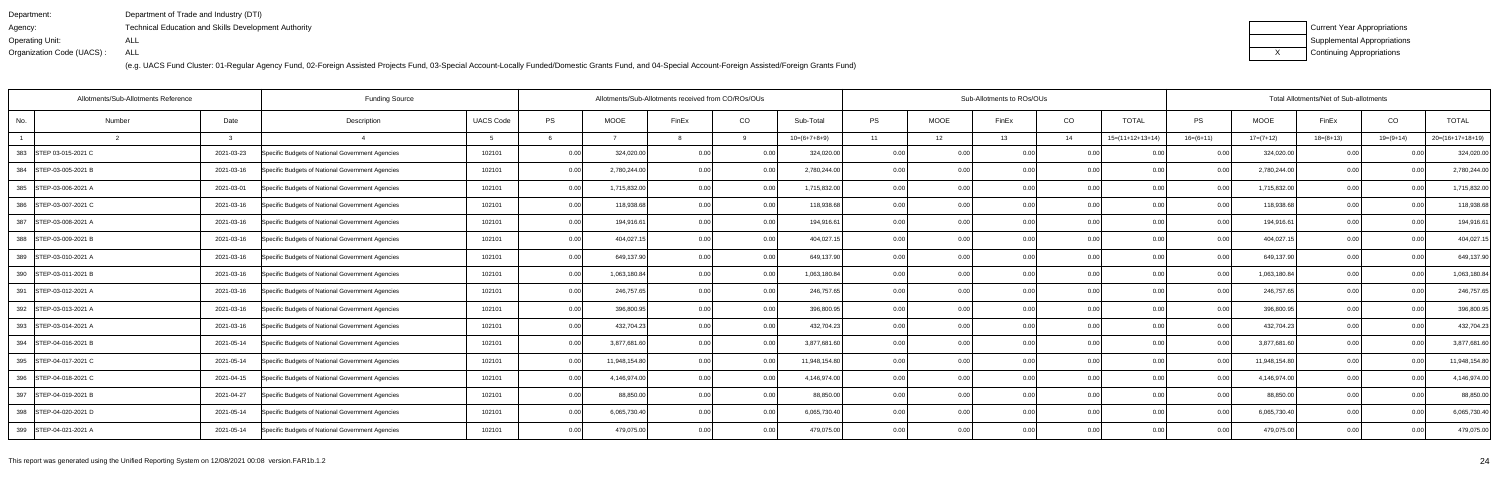| Department:               | Department of Trade and Industry (DTI)                      |
|---------------------------|-------------------------------------------------------------|
| Agency:                   | <b>Technical Education and Skills Development Authority</b> |
| Operating Unit:           | ALL                                                         |
| Organization Code (UACS): | ALL                                                         |

| Current Year Appropriations |
|-----------------------------|
| Supplemental Appropriations |
| Continuing Appropriations   |

| <b>Funding Source</b><br>Allotments/Sub-Allotments Reference |        |            |                                                  |                  | Allotments/Sub-Allotments received from CO/ROs/OUs |               |       |      |                | Sub-Allotments to ROs/OUs |      | Total Allotments/Net of Sub-allotments |      |                    |             |               |             |                |                    |
|--------------------------------------------------------------|--------|------------|--------------------------------------------------|------------------|----------------------------------------------------|---------------|-------|------|----------------|---------------------------|------|----------------------------------------|------|--------------------|-------------|---------------|-------------|----------------|--------------------|
| No.                                                          | Number | Date       | Description                                      | <b>UACS Code</b> | PS                                                 | <b>MOOE</b>   | FinEx | CO   | Sub-Total      | <b>PS</b>                 | MOOE | FinEx                                  | CO   | <b>TOTAL</b>       | PS          | <b>MOOE</b>   | FinEx       | CO             | <b>TOTAL</b>       |
|                                                              |        |            |                                                  |                  |                                                    |               |       | q    | $10=(6+7+8+9)$ | 11                        | 12   | 13                                     | 14   | $15=(11+12+13+14)$ | $16=(6+11)$ | $17=(7+12)$   | $18=(8+13)$ | $19=(9+14)$    | $20=(16+17+18+19)$ |
| 383 STEP 03-015-2021 C                                       |        | 2021-03-23 | Specific Budgets of National Government Agencies | 102101           | 0.00                                               | 324,020.00    | 0.00  | 0.00 | 324,020.00     | 0.00                      | 0.00 | 0.00                                   | 0.0  |                    | 0.00        | 324,020.00    | 0.00        | 0.0(           | 324,020.00         |
| 384 STEP-03-005-2021 B                                       |        | 2021-03-16 | Specific Budgets of National Government Agencies | 102101           | 0.00                                               | 2,780,244.00  | 0.00  | 0.00 | 2,780,244.00   | 0.00                      | 0.00 | ი იი                                   | 0.00 | 0.00               | 0.00        | 2,780,244.00  | 0.00        | 0 <sub>0</sub> | 2,780,244.00       |
| 385 STEP-03-006-2021 A                                       |        | 2021-03-01 | Specific Budgets of National Government Agencies | 102101           | 0.00                                               | 1,715,832.00  | 0.00  | 0.00 | 1,715,832.00   | 0.00                      | 0.00 | ስ በ(                                   | 0.00 | 0.00               | 0.00        | 1,715,832.00  | 0.00        | 0.00           | 1,715,832.00       |
| 386 STEP-03-007-2021 C                                       |        | 2021-03-16 | Specific Budgets of National Government Agencies | 102101           | 0.00                                               | 118,938.68    | 0.00  | 0.00 | 118,938.68     | 0.00                      | 0.00 | 0.00                                   | 0.00 | 0.00               | 0.00        | 118,938.68    | 0.00        | 0.00           | 118,938.68         |
| 387<br>STEP-03-008-2021 A                                    |        | 2021-03-16 | Specific Budgets of National Government Agencies | 102101           | 0.00                                               | 194,916.61    | 0.00  | 0.00 | 194,916.61     | 0.00                      | 0.00 | ስ በ(                                   | 0.0  | 0.00               | 0.00        | 194,916.6     | 0.00        | 0 <sub>0</sub> | 194,916.61         |
| 388 STEP-03-009-2021 B                                       |        | 2021-03-16 | Specific Budgets of National Government Agencies | 102101           | 0.00                                               | 404,027.15    | 0.00  | 0.00 | 404,027.15     | 0.00                      | 0.00 |                                        | 0.0  | 0.00               | 0.00        | 404,027.15    | 0.00        | 0.0(           | 404,027.15         |
| 389 STEP-03-010-2021 A                                       |        | 2021-03-16 | Specific Budgets of National Government Agencies | 102101           | 0.00                                               | 649,137.90    | 0.00  | 0.00 | 649,137.90     | 0.00                      | 0.00 | 0.00                                   | 0.00 | 0.00               | 0.00        | 649,137.90    | 0.00        | 0.00           | 649,137.90         |
| 390 STEP-03-011-2021 B                                       |        | 2021-03-16 | Specific Budgets of National Government Agencies | 102101           | 0.00                                               | 1,063,180.84  |       | 0.00 | 1,063,180.84   | 0.00                      | 0.00 |                                        | 0.0  | 0.00               | 0.00        | 1,063,180.84  | 0.00        | 0 <sub>0</sub> | 1,063,180.84       |
| 391<br>STEP-03-012-2021 A                                    |        | 2021-03-16 | Specific Budgets of National Government Agencies | 102101           | 0.00                                               | 246,757.65    |       | 0.00 | 246,757.65     | 0.00                      | 0.00 | ი იი                                   | 0.0  | 0.00               | 0.00        | 246,757.65    | 0.00        |                | 246,757.65         |
| 392 STEP-03-013-2021 A                                       |        | 2021-03-16 | Specific Budgets of National Government Agencies | 102101           | 0.00                                               | 396,800.95    | 0.00  | 0.00 | 396,800.95     | 0.00                      | 0.00 | 0.00                                   | 0.00 | 0.00               | 0.00        | 396,800.95    | 0.00        | 0.00           | 396,800.95         |
| 393 STEP-03-014-2021 A                                       |        | 2021-03-16 | Specific Budgets of National Government Agencies | 102101           | 0.00                                               | 432,704.23    |       | 0.00 | 432,704.23     | 0.00                      | 0.0  |                                        | 0.0  |                    | 0.00        | 432,704.23    | 0.00        | 0 <sub>0</sub> | 432,704.23         |
| 394 STEP-04-016-2021 B                                       |        | 2021-05-14 | Specific Budgets of National Government Agencies | 102101           | 0.00                                               | 3,877,681.60  |       | 0.00 | 3,877,681.60   | 0.00                      | 0.00 | n nr                                   | 0.0  | 0.00               | 0.00        | 3,877,681.60  | 0.00        | 0 <sub>0</sub> | 3,877,681.60       |
| 395 STEP-04-017-2021 C                                       |        | 2021-05-14 | Specific Budgets of National Government Agencies | 102101           | 0.00                                               | 11,948,154.80 | 0.00  | 0.00 | 11,948,154.80  | 0.00                      | 0.00 | ი იი                                   | 0.00 | 0.00               | 0.00        | 11,948,154.80 | 0.00        | 0.00           | 11,948,154.80      |
| 396 STEP-04-018-2021 C                                       |        | 2021-04-15 | Specific Budgets of National Government Agencies | 102101           | 0.00                                               | 4,146,974.00  |       | 0.00 | 4,146,974.00   | 0.00                      | 0.00 | 0.00                                   | 0.0  | 0.00               | 0.00        | 4,146,974.00  | 0.00        | 0.00           | 4,146,974.00       |
| 397 STEP-04-019-2021 B                                       |        | 2021-04-27 | Specific Budgets of National Government Agencies | 102101           | 0.00                                               | 88,850.00     |       | 0.00 | 88,850.00      | 0.00                      | 0.00 | n nn                                   | 0.0  | 0.00               | 0.00        | 88,850.00     | 0.00        | 0 <sub>0</sub> | 88,850.00          |
| 398 STEP-04-020-2021 D                                       |        | 2021-05-14 | Specific Budgets of National Government Agencies | 102101           | 0.00                                               | 6,065,730.40  |       | 0.00 | 6,065,730.40   | 0.00                      | 0.00 |                                        | 0.00 | 0.00               | 0.00        | 6,065,730.40  | 0.00        | 0 <sub>0</sub> | 6,065,730.40       |
| 399 STEP-04-021-2021 A                                       |        | 2021-05-14 | Specific Budgets of National Government Agencies | 102101           | 0.00                                               | 479,075.00    | 0.00  | 0.00 | 479,075.00     | 0.001                     | 0.00 | 0.00                                   | 0.00 | 0.00               | 0.001       | 479,075.00    | 0.00        | 0.00           | 479,075.00         |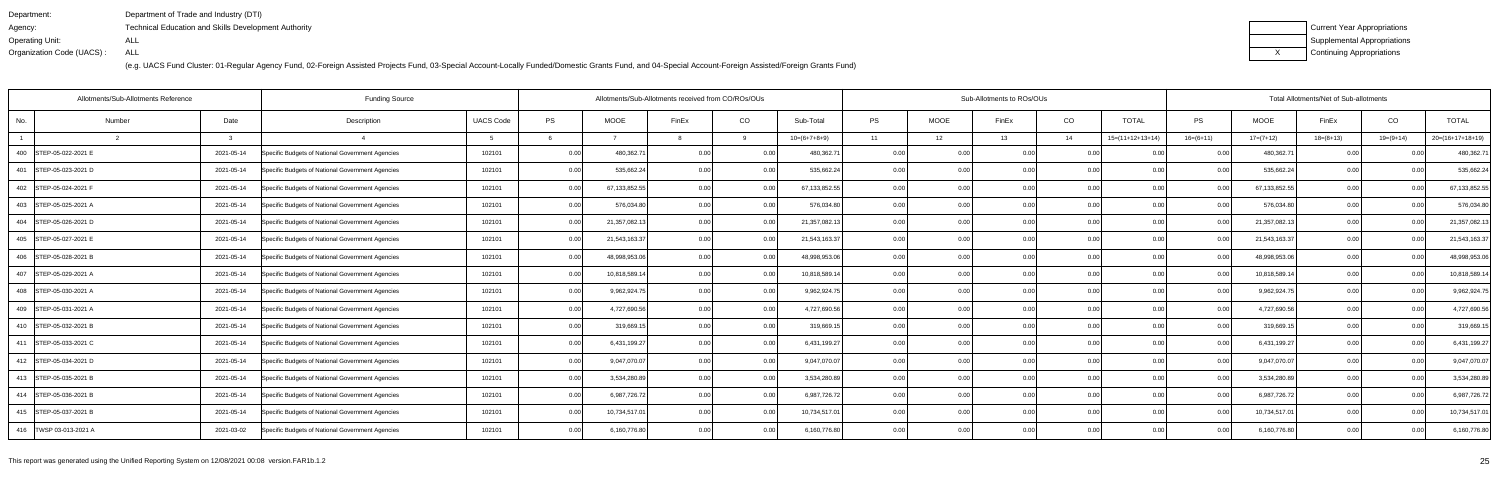| Department:               | Department of Trade and Industry (DTI)                      |
|---------------------------|-------------------------------------------------------------|
| Agency:                   | <b>Technical Education and Skills Development Authority</b> |
| Operating Unit:           | ALL                                                         |
| Organization Code (UACS): | ALL                                                         |

| Current Year Appropriations |
|-----------------------------|
| Supplemental Appropriations |
| Continuing Appropriations   |

| Allotments/Sub-Allotments Reference |        |              | <b>Funding Source</b>                            | Allotments/Sub-Allotments received from CO/ROs/OUs |      |               |                |       |                 | Sub-Allotments to ROs/OUs |             |       |                |                    | Total Allotments/Net of Sub-allotments |               |             |                |                    |
|-------------------------------------|--------|--------------|--------------------------------------------------|----------------------------------------------------|------|---------------|----------------|-------|-----------------|---------------------------|-------------|-------|----------------|--------------------|----------------------------------------|---------------|-------------|----------------|--------------------|
| No.                                 | Number | Date         | Description                                      | <b>UACS Code</b>                                   | PS   | <b>MOOE</b>   | FinEx          | CO    | Sub-Total       | <b>PS</b>                 | <b>MOOE</b> | FinEx | CO             | <b>TOTAL</b>       | PS                                     | <b>MOOE</b>   | FinEx       | CO             | <b>TOTAL</b>       |
|                                     |        | $\mathbf{r}$ |                                                  |                                                    |      |               |                | Q     | $10=(6+7+8+9)$  | 11                        | 12          | 13    | 14             | $15=(11+12+13+14)$ | $16=(6+11)$                            | $17=(7+12)$   | $18=(8+13)$ | $19=(9+14)$    | $20=(16+17+18+19)$ |
| 400 STEP-05-022-2021 E              |        | 2021-05-14   | Specific Budgets of National Government Agencies | 102101                                             | 0.00 | 480,362.7     | 0.00           | 0.00  | 480,362.7       | 0.00                      | 0.00        | 0.00  | 0.0            |                    | 0.00                                   | 480,362.7     | 0.00        |                | 480,362.71         |
| 401 STEP-05-023-2021 D              |        | 2021-05-14   | Specific Budgets of National Government Agencies | 102101                                             | 0.00 | 535,662.24    | 0.00           | 0.00  | 535,662.24      | 0.00                      | 0.00        | n nc  | 0.00           | 0.00               | 0.00                                   | 535,662.24    | 0.00        | 0 <sub>0</sub> | 535,662.24         |
| 402 STEP-05-024-2021 F              |        | 2021-05-14   | Specific Budgets of National Government Agencies | 102101                                             | 0.00 | 67,133,852.55 | 0 <sub>0</sub> | 0.00  | 67, 133, 852.55 | 0.00                      | 0.00        | n nc  | 0.00           | 0.00               | 0.00                                   | 67,133,852.55 | 0.00        | 0.00           | 67,133,852.55      |
| 403 STEP-05-025-2021 A              |        | 2021-05-14   | Specific Budgets of National Government Agencies | 102101                                             | 0.00 | 576,034.80    | 0.00           | 0.001 | 576,034.80      | 0.00                      | 0.00        | 0.00  | 0.00           | 0.00               | 0.00                                   | 576,034.80    | 0.00        | 0.00           | 576,034.80         |
| 404 STEP-05-026-2021 D              |        | 2021-05-14   | Specific Budgets of National Government Agencies | 102101                                             | 0.00 | 21,357,082.13 | 0.00           | 0.00  | 21,357,082.13   | 0.00                      | 0.00        | n nr  | 0.0            | 0.00               | 0.00                                   | 21,357,082.13 | 0.00        | 0 <sub>0</sub> | 21,357,082.13      |
| 405 STEP-05-027-2021 E              |        | 2021-05-14   | Specific Budgets of National Government Agencies | 102101                                             | 0.00 | 21,543,163.37 | 0.00           | 0.00  | 21,543,163.37   | 0.00                      | 0.00        | n nr  | 0.0            | 0.00               | 0.00                                   | 21,543,163.37 | 0.00        | 0.00           | 21,543,163.37      |
| 406   STEP-05-028-2021 B            |        | 2021-05-14   | Specific Budgets of National Government Agencies | 102101                                             | 0.00 | 48,998,953.06 | 0.00           | 0.00  | 48,998,953.06   | 0.00                      | 0.00        | 0.00  | 0.00           | 0.00               | 0.00                                   | 48,998,953.06 | 0.00        | 0.00           | 48,998,953.06      |
| 407 STEP-05-029-2021 A              |        | 2021-05-14   | Specific Budgets of National Government Agencies | 102101                                             | 0.00 | 10,818,589.14 | $\cap$ $\cap$  | 0.00  | 10,818,589.14   | 0.00                      | 0.00        |       | 0.0            | 0.00               |                                        | 10,818,589.14 | 0.00        |                | 10,818,589.14      |
| 408 STEP-05-030-2021 A              |        | 2021-05-14   | Specific Budgets of National Government Agencies | 102101                                             | 0.00 | 9,962,924.75  |                | 0.00  | 9,962,924.75    | 0.001                     | 0.00        | 0.OC  | 0.0            | 0.00               | 0.00                                   | 9,962,924.75  | 0.00        |                | 9,962,924.75       |
| 409 STEP-05-031-2021 A              |        | 2021-05-14   | Specific Budgets of National Government Agencies | 102101                                             | 0.00 | 4,727,690.56  | 0.00           | 0.00  | 4,727,690.56    | 0.001                     | 0.00        | 0.00  | 0.00           | 0.00               | 0.00                                   | 4,727,690.56  | 0.00        | 0.00           | 4,727,690.56       |
| 410 STEP-05-032-2021 B              |        | 2021-05-14   | Specific Budgets of National Government Agencies | 102101                                             | 0.00 | 319,669.15    |                | 0.00  | 319,669.1       | 0.00                      | 0.0         |       | $\Omega$       |                    | 0.00                                   | 319,669.1     | 0.00        | 0 <sub>0</sub> | 319,669.15         |
| 411 STEP-05-033-2021 C              |        | 2021-05-14   | Specific Budgets of National Government Agencies | 102101                                             | 0.00 | 6,431,199.27  |                | 0.00  | 6,431,199.27    | 0.00                      | 0.00        | n nr  | 0 <sub>0</sub> | ი იი               | 0.00                                   | 6,431,199.27  | 0.00        | 0 <sub>0</sub> | 6,431,199.27       |
| 412 STEP-05-034-2021 D              |        | 2021-05-14   | Specific Budgets of National Government Agencies | 102101                                             | 0.00 | 9,047,070.07  | 0.00           | 0.00  | 9,047,070.07    | 0.001                     | 0.00        | 0.OC  | 0.00           | 0.00               | 0.00                                   | 9,047,070.07  | 0.00        | 0.00           | 9,047,070.07       |
| 413 STEP-05-035-2021 B              |        | 2021-05-14   | Specific Budgets of National Government Agencies | 102101                                             | 0.00 | 3,534,280.89  |                | 0.00  | 3,534,280.89    | 0.00                      | 0.00        | 0.00  | 0.0            | 0.00               | 0.00                                   | 3,534,280.89  | 0.00        | 0 <sub>0</sub> | 3,534,280.89       |
| 414 STEP-05-036-2021 B              |        | 2021-05-14   | Specific Budgets of National Government Agencies | 102101                                             | 0.00 | 6,987,726.72  |                | 0.00  | 6,987,726.72    | 0.001                     | 0.00        | n nr  | 0.0            | 0.00               | n nr                                   | 6,987,726.72  | 0.00        |                | 6,987,726.72       |
| 415 STEP-05-037-2021 B              |        | 2021-05-14   | Specific Budgets of National Government Agencies | 102101                                             | 0.00 | 10,734,517.01 |                | 0.00  | 10,734,517.01   | 0.00                      | 0.00        | n nr  | 0.00           | 0.00               | 0.00                                   | 10,734,517.01 | 0.00        |                | 10,734,517.01      |
| 416   TWSP 03-013-2021 A            |        | 2021-03-02   | Specific Budgets of National Government Agencies | 102101                                             | 0.00 | 6,160,776.80  | 0.00           | 0.00  | 6,160,776.80    | 0.001                     | 0.00        | 0.00  | 0.00           | 0.00               | 0.001                                  | 6,160,776.80  | 0.00        | 0.00           | 6,160,776.80       |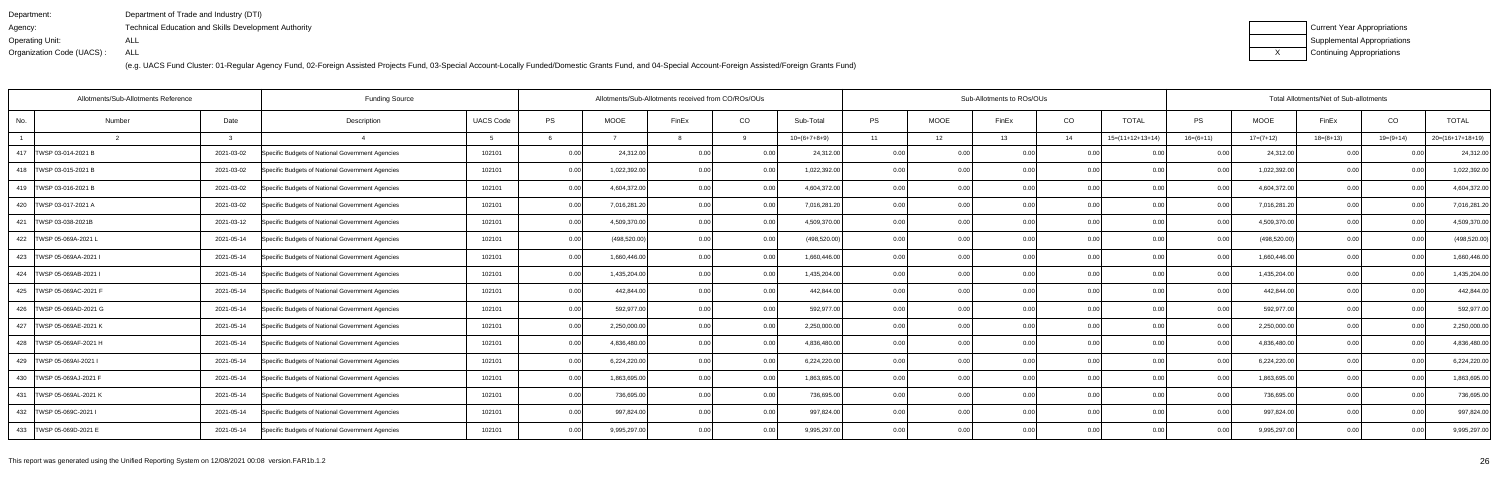| Department:               | Department of Trade and Industry (DTI)                      |
|---------------------------|-------------------------------------------------------------|
| Agency:                   | <b>Technical Education and Skills Development Authority</b> |
| Operating Unit:           | ALL                                                         |
| Organization Code (UACS): | ALL                                                         |

| Current Year Appropriations |
|-----------------------------|
| Supplemental Appropriations |
| Continuing Appropriations   |

| Allotments/Sub-Allotments Reference |        |            | <b>Funding Source</b>                            | Allotments/Sub-Allotments received from CO/ROs/OUs |      |               |                |       |                | Sub-Allotments to ROs/OUs |      |       |                |                    | Total Allotments/Net of Sub-allotments |               |                |                |                    |
|-------------------------------------|--------|------------|--------------------------------------------------|----------------------------------------------------|------|---------------|----------------|-------|----------------|---------------------------|------|-------|----------------|--------------------|----------------------------------------|---------------|----------------|----------------|--------------------|
| No.                                 | Number | Date       | Description                                      | <b>UACS Code</b>                                   | PS   | <b>MOOE</b>   | FinEx          | CO    | Sub-Total      | <b>PS</b>                 | MOOE | FinEx | CO             | <b>TOTAL</b>       | PS                                     | <b>MOOE</b>   | FinEx          | CO             | <b>TOTAL</b>       |
|                                     |        |            |                                                  |                                                    |      |               |                |       | $10=(6+7+8+9)$ | 11                        | 12   | 13    | 14             | $15=(11+12+13+14)$ | $16=(6+11)$                            | $17=(7+12)$   | $18=(8+13)$    | $19=(9+14)$    | $20=(16+17+18+19)$ |
| 417   TWSP 03-014-2021 B            |        | 2021-03-02 | Specific Budgets of National Government Agencies | 102101                                             | 0.00 | 24,312.00     | 0.00           | 0.00  | 24,312.00      | 0.00                      |      | 0.00  | 0.0            |                    | 0.00                                   | 24,312.00     | 0.00           |                | 24,312.00          |
| 418   TWSP 03-015-2021 B            |        | 2021-03-02 | Specific Budgets of National Government Agencies | 102101                                             | 0.00 | 1,022,392.00  |                | 0.00  | 1,022,392.00   | 0.001                     | 0.00 | n nr  | 0.0            | በ በበ               | n nr                                   | 1,022,392.00  | 0.00           | 0 <sub>0</sub> | 1,022,392.00       |
| 419   TWSP 03-016-2021 B            |        | 2021-03-02 | Specific Budgets of National Government Agencies | 102101                                             | 0.00 | 4,604,372.00  |                | 0.00  | 4,604,372.00   | 0.00                      | 0.00 |       | 0.00           | 0.00               | 0.00                                   | 4,604,372.00  | 0.00           | 0 <sub>0</sub> | 4,604,372.00       |
| 420   TWSP 03-017-2021 A            |        | 2021-03-02 | Specific Budgets of National Government Agencies | 102101                                             | 0.00 | 7,016,281.20  | 0.00           | 0.00  | 7,016,281.20   | 0.00                      | 0.00 | 0.00  | 0.00           | 0.00               | 0.00                                   | 7,016,281.20  | 0.00           | 0.00           | 7,016,281.20       |
| 421   TWSP 03-038-2021B             |        | 2021-03-12 | Specific Budgets of National Government Agencies | 102101                                             | 0.00 | 4,509,370.00  | 0 <sub>0</sub> | 0.00  | 4,509,370.00   | 0.00                      | 0.0  |       | 0.0            |                    |                                        | 4,509,370.00  | 0.00           | 0 <sub>0</sub> | 4,509,370.00       |
| 422   TWSP 05-069A-2021 L           |        | 2021-05-14 | Specific Budgets of National Government Agencies | 102101                                             | 0.00 | (498, 520.00) | 0.00           | 0.00  | (498, 520.00)  | 0.001                     | 0.00 | 0.OC  | 0.0            | ი იი               | 0.00                                   | (498, 520.00) | 0.00           | 0.0(           | (498, 520.00)      |
| 423   TWSP 05-069AA-2021 I          |        | 2021-05-14 | Specific Budgets of National Government Agencies | 102101                                             | 0.00 | 1,660,446.00  | 0.00           | 0.00  | 1,660,446.00   | 0.001                     | 0.00 | 0.00  | 0.00           | 0.00               | 0.00                                   | 1,660,446.00  | 0.00           | 0.00           | 1,660,446.00       |
| 424   TWSP 05-069AB-2021 I          |        | 2021-05-14 | Specific Budgets of National Government Agencies | 102101                                             | 0.00 | 1,435,204.00  | 0 <sub>0</sub> | 0.00  | 1,435,204.00   | 0.00                      | 0.00 |       | 0 <sub>0</sub> |                    |                                        | 1,435,204.00  | 0 <sub>0</sub> | 0 <sub>0</sub> | 1,435,204.00       |
| 425   TWSP 05-069AC-2021 F          |        | 2021-05-14 | Specific Budgets of National Government Agencies | 102101                                             | 0.00 | 442,844.00    | 0.00           | 0.00  | 442,844.00     | 0.00                      | 0.00 | 0.00  | 0.0            | 0.00               | 0.00                                   | 442,844.00    | 0.00           | 0 <sub>0</sub> | 442,844.00         |
| 426   TWSP 05-069AD-2021 G          |        | 2021-05-14 | Specific Budgets of National Government Agencies | 102101                                             | 0.00 | 592,977.00    | 0.00           | 0.00  | 592,977.00     | 0.001                     | 0.00 | 0.00  | 0.00           | 0.00               | 0.00                                   | 592,977.00    | 0.00           | 0.00           | 592,977.00         |
| 427 TWSP 05-069AE-2021 K            |        | 2021-05-14 | Specific Budgets of National Government Agencies | 102101                                             | 0.00 | 2,250,000.00  | 0.00           | 0.00  | 2,250,000.00   | 0.00                      | 0.00 | 0.00  | 0.0            | 0.00               | 0.00                                   | 2,250,000.00  | 0.00           | 0.00           | 2,250,000.00       |
| 428 TWSP 05-069AF-2021 H            |        | 2021-05-14 | Specific Budgets of National Government Agencies | 102101                                             | 0.00 | 4,836,480.00  | 0.00           | 0.00  | 4.836.480.00   | 0.00                      | 0.00 | 0.00  | 0.0            | 0.00               | 0.00                                   | 4,836,480.00  | 0.00           | 0.0(           | 4,836,480.00       |
| 429 TWSP 05-069AI-2021 I            |        | 2021-05-14 | Specific Budgets of National Government Agencies | 102101                                             | 0.00 | 6,224,220.00  | 0.00           | 0.00  | 6,224,220.00   | 0.00                      | 0.00 | 0.OC  | 0.0            | 0.00               | 0.00                                   | 6,224,220.00  | 0.00           | 0.00           | 6,224,220.00       |
| 430   TWSP 05-069AJ-2021 F          |        | 2021-05-14 | Specific Budgets of National Government Agencies | 102101                                             | 0.00 | 1,863,695.00  | 0.00           | 0.00  | 1,863,695.00   | 0.00                      | 0.00 | 0.00  | 0.00           | 0.00               | 0.00                                   | 1,863,695.00  | 0.00           | 0.00           | 1,863,695.00       |
| 431   TWSP 05-069AL-2021 K          |        | 2021-05-14 | Specific Budgets of National Government Agencies | 102101                                             | 0.00 | 736,695.00    | 0.00           | 0.00  | 736,695.00     | 0.001                     | 0.00 | 0.00  | 0.0            | 0.00               | 0.00                                   | 736,695.00    | 0.00           | 0.00           | 736,695.00         |
| 432   TWSP 05-069C-2021 I           |        | 2021-05-14 | Specific Budgets of National Government Agencies | 102101                                             | 0.00 | 997,824.00    | 0.00           | 0.00  | 997,824.00     | 0.00                      | 0.00 | 0.00  | 0.0            | 0.00               | 0.00                                   | 997,824.00    | 0.00           | 0.00           | 997,824.00         |
| 433   TWSP 05-069D-2021 E           |        | 2021-05-14 | Specific Budgets of National Government Agencies | 102101                                             | 0.00 | 9,995,297.00  | 0.00           | 0.001 | 9,995,297.00   | 0.001                     | 0.00 | 0.00  | 0.00           | 0.00               | 0.00 <sub>l</sub>                      | 9,995,297.00  | 0.00           | 0.00           | 9,995,297.00       |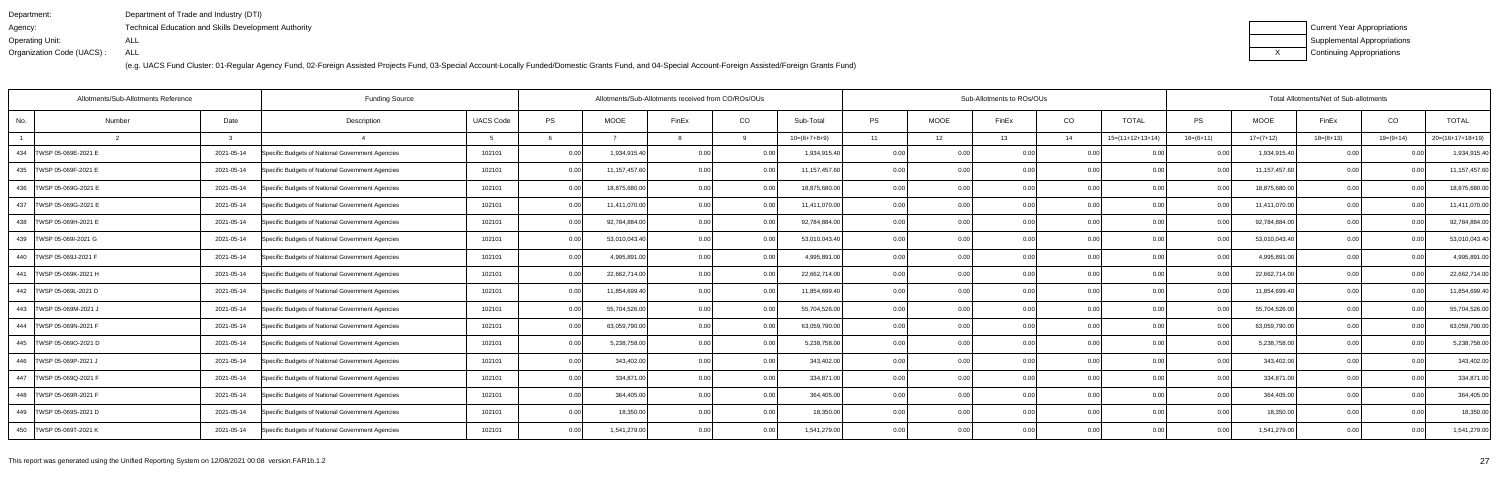| Department:               | Department of Trade and Industry (DTI)               |
|---------------------------|------------------------------------------------------|
| Agency:                   | Technical Education and Skills Development Authority |
| Operating Unit:           | ALL                                                  |
| Organization Code (UACS): | ALL                                                  |

| Current Year Appropriations |
|-----------------------------|
| Supplemental Appropriations |
| Continuing Appropriations   |

| Allotments/Sub-Allotments Reference |              | <b>Funding Source</b>                            |                  |      |               | Allotments/Sub-Allotments received from CO/ROs/OUs |       |                |           |             | Sub-Allotments to ROs/OUs |      |                    | Total Allotments/Net of Sub-allotments |                 |             |                |                    |  |
|-------------------------------------|--------------|--------------------------------------------------|------------------|------|---------------|----------------------------------------------------|-------|----------------|-----------|-------------|---------------------------|------|--------------------|----------------------------------------|-----------------|-------------|----------------|--------------------|--|
| No.<br>Number                       | Date         | Description                                      | <b>UACS Code</b> | PS   | <b>MOOE</b>   | FinEx                                              | CO    | Sub-Total      | <b>PS</b> | <b>MOOE</b> | FinEx                     | CO   | <b>TOTAL</b>       | PS                                     | <b>MOOE</b>     | FinEx       | CO             | <b>TOTAL</b>       |  |
|                                     | $\mathbf{R}$ |                                                  |                  |      |               |                                                    |       | $10=(6+7+8+9)$ | 11        | 12          | 13                        | 14   | $15=(11+12+13+14)$ | $16=(6+11)$                            | $17=(7+12)$     | $18=(8+13)$ | $19=(9+14)$    | $20=(16+17+18+19)$ |  |
| 434   TWSP 05-069E-2021 E           | 2021-05-14   | Specific Budgets of National Government Agencies | 102101           | 0.00 | 1,934,915.40  | 0 <sub>0</sub>                                     | 0.001 | 1,934,915.40   | 0.00      |             | 0.00                      |      |                    |                                        | 1,934,915.40    |             |                | 1,934,915.40       |  |
| 435   TWSP 05-069F-2021 E           | 2021-05-14   | Specific Budgets of National Government Agencies | 102101           | 0.00 | 11,157,457.60 | 0 <sub>0</sub>                                     | 0.00  | 11,157,457.60  | 0.00      | 0.00        | 0.00                      | 0.00 | 0.00               | 0 <sub>0</sub>                         | 11, 157, 457.60 | 0.001       |                | 11,157,457.60      |  |
| 436   TWSP 05-069G-2021 E           | 2021-05-14   | Specific Budgets of National Government Agencies | 102101           | 0.00 | 18,875,680.00 | 0.00                                               | 0.00  | 18,875,680.00  | 0.00      | 0.00        | 0.00                      | 0.00 | 0.00               | 0.00                                   | 18,875,680.00   | 0.00        | 0.00           | 18,875,680.00      |  |
| 437   TWSP 05-069G-2021 E           | 2021-05-14   | Specific Budgets of National Government Agencies | 102101           | 0.00 | 11,411,070.00 | 0.00                                               | 0.00  | 11,411,070.00  | 0.00      | 0.00        | 0.00                      | 0.00 | 0.00               | 0.00                                   | 11,411,070.00   | 0.00        | 0.00           | 11,411,070.00      |  |
| 438   TWSP 05-069H-2021 E           | 2021-05-14   | Specific Budgets of National Government Agencies | 102101           | 0.00 | 92,784,884.00 | 0 <sub>0</sub>                                     | 0.00  | 92,784,884.00  | 0.00      | 0.00        | 0.00                      | 0.00 | 0.00               | 0 <sub>0</sub>                         | 92,784,884.00   | 0.00        | 0.00           | 92,784,884.00      |  |
| 439   TWSP 05-069I-2021 G           | 2021-05-14   | Specific Budgets of National Government Agencies | 102101           | 0.00 | 53,010,043.40 | 0.00                                               | 0.00  | 53,010,043.40  | 0.00      | 0.00        | 0.00                      | 0.00 | 0.00               | 0.00                                   | 53,010,043.40   | 0.00        | 0.00           | 53,010,043.40      |  |
| 440 TWSP 05-069J-2021 F             | 2021-05-14   | Specific Budgets of National Government Agencies | 102101           | 0.00 | 4,995,891.00  | 0.00                                               | 0.00  | 4,995,891.00   | 0.00      | 0.00        | 0.00                      | 0.00 | 0.00               | 0.00                                   | 4,995,891.00    | 0.00        | 0.00           | 4,995,891.00       |  |
| 441   TWSP 05-069K-2021 H           | 2021-05-14   | Specific Budgets of National Government Agencies | 102101           | 0.00 | 22,662,714.00 | 0.00                                               | 0.00  | 22,662,714.00  | 0.00      | 0.00        | 0.00                      | 0.00 | 0.00               | 0 <sub>0</sub>                         | 22,662,714.00   | 0.00        | 0 <sub>0</sub> | 22,662,714.00      |  |
| 442   TWSP 05-069L-2021 D           | 2021-05-14   | Specific Budgets of National Government Agencies | 102101           | 0.00 | 11,854,699.40 | 0.00                                               | 0.00  | 11,854,699.40  | 0.00      | 0.00        | 0.00                      | 0.00 | 0.00               | 0.00                                   | 11,854,699.40   | 0.00        | 0.00           | 11,854,699.40      |  |
| 443   TWSP 05-069M-2021 J           | 2021-05-14   | Specific Budgets of National Government Agencies | 102101           | 0.00 | 55,704,526.00 | 0.00                                               | 0.00  | 55,704,526.00  | 0.00      | 0.00        | 0.00                      | 0.00 | 0.00               | 0.00                                   | 55,704,526.00   | 0.00        | 0.00           | 55,704,526.00      |  |
| 444   TWSP 05-069N-2021 F           | 2021-05-14   | Specific Budgets of National Government Agencies | 102101           | 0.00 | 63,059,790.00 | 0.00                                               | 0.00  | 63,059,790.00  | 0.00      | 0.00        | 0.00                      | 0.00 | 0.00               | 0.00                                   | 63,059,790.00   | 0.00        | 0.00           | 63,059,790.00      |  |
| 445   TWSP 05-069O-2021 D           | 2021-05-14   | Specific Budgets of National Government Agencies | 102101           | 0.00 | 5,238,758.00  | 0 <sub>0</sub>                                     | 0.00  | 5,238,758.00   | 0.00      | 0.00        | 0.00                      | 0.00 | 0.00               | 0.00                                   | 5,238,758.00    | 0.00        | 0 <sub>0</sub> | 5,238,758.00       |  |
| 446 TWSP 05-069P-2021 J             | 2021-05-14   | Specific Budgets of National Government Agencies | 102101           | 0.00 | 343,402.00    | 0.00                                               | 0.00  | 343,402.00     | 0.00      | 0.00        | 0.00                      | 0.00 | 0.00               | 0.00                                   | 343,402.00      | 0.00        | 0.00           | 343,402.00         |  |
| 447   TWSP 05-069Q-2021 F           | 2021-05-14   | Specific Budgets of National Government Agencies | 102101           | 0.00 | 334,871.00    | 0.00                                               | 0.00  | 334,871.00     | 0.00      | 0.00        | 0.00                      | 0.00 | 0.00               | 0.00                                   | 334,871.00      | 0.00        | 0.00           | 334,871.00         |  |
| 448   TWSP 05-069R-2021 F           | 2021-05-14   | Specific Budgets of National Government Agencies | 102101           | 0.00 | 364,405.00    | $\Omega$                                           | 0.00  | 364,405.00     | 0.00      | 0.00        | 0.00                      | 0.00 | 0.00               | 0.00                                   | 364,405.00      | 0.00        | 0.00           | 364,405.00         |  |
| 449   TWSP 05-069S-2021 D           | 2021-05-14   | Specific Budgets of National Government Agencies | 102101           | 0.00 | 18,350.00     |                                                    | 0.00  | 18,350.00      | 0.00      | 0.00        | 0.00                      | 0.00 | 0.00               | 0.00                                   | 18,350.00       | 0.00        |                | 18,350.00          |  |
| 450 TWSP 05-069T-2021 K             | 2021-05-14   | Specific Budgets of National Government Agencies | 102101           | 0.00 | 1,541,279.00  |                                                    | 0.00  | 1,541,279.00   | 0.00      | 0.00        | 0.00                      | 0.00 | 0.00               | 0.00                                   | 1,541,279.00    | 0.00        | 0.00           | 1,541,279.00       |  |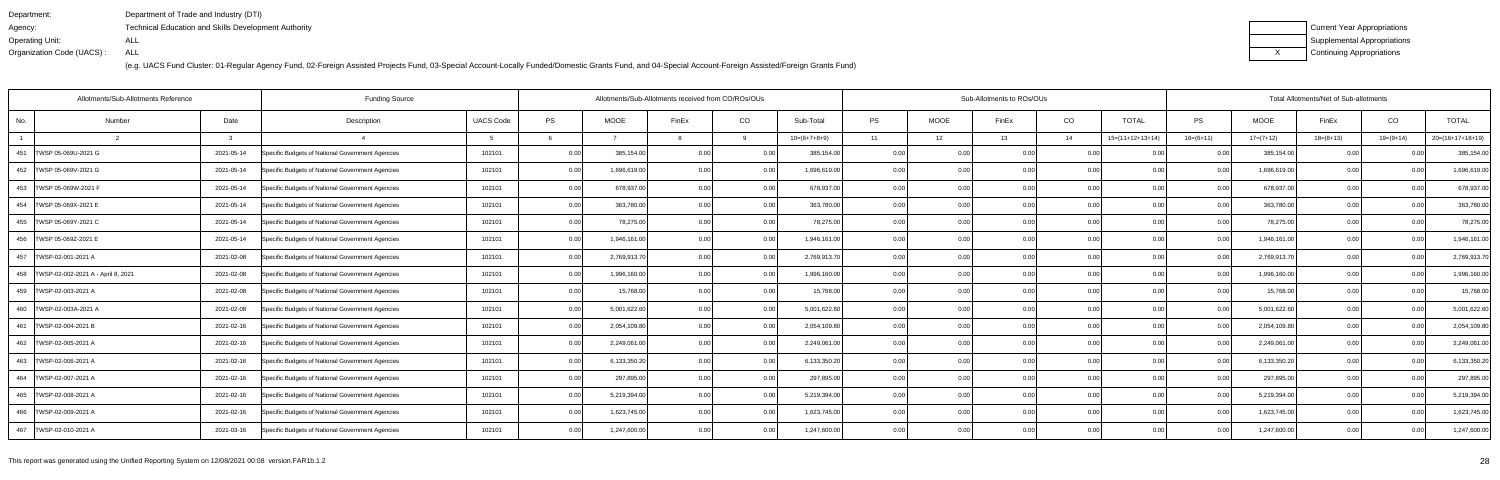| Department:               | Department of Trade and Industry (DTI)                      |
|---------------------------|-------------------------------------------------------------|
| Agency:                   | <b>Technical Education and Skills Development Authority</b> |
| Operating Unit:           | ALL                                                         |
| Organization Code (UACS): | ALL                                                         |

| Current Year Appropriations |
|-----------------------------|
| Supplemental Appropriations |
| Continuing Appropriations   |

| <b>Funding Source</b><br>Allotments/Sub-Allotments Reference |            |                                                  |                  |      |              | Allotments/Sub-Allotments received from CO/ROs/OUs |          |                |      |             | Sub-Allotments to ROs/OUs |      |                    |                |              | Total Allotments/Net of Sub-allotments |             |                    |  |  |  |
|--------------------------------------------------------------|------------|--------------------------------------------------|------------------|------|--------------|----------------------------------------------------|----------|----------------|------|-------------|---------------------------|------|--------------------|----------------|--------------|----------------------------------------|-------------|--------------------|--|--|--|
| Number<br>No.                                                | Date       | Description                                      | <b>UACS Code</b> | PS   | <b>MOOE</b>  | FinEx                                              | CO       | Sub-Total      | PS   | <b>MOOE</b> | FinEx                     | CO   | <b>TOTAL</b>       | <b>PS</b>      | MOOE         | FinEx                                  | CO          | <b>TOTAL</b>       |  |  |  |
|                                                              |            |                                                  |                  |      |              |                                                    | $\alpha$ | $10=(6+7+8+9)$ | 11   | 12          | 13                        | 14   | $15=(11+12+13+14)$ | $16=(6+11)$    | $17=(7+12)$  | $18=(8+13)$                            | $19=(9+14)$ | $20=(16+17+18+19)$ |  |  |  |
| 451   TWSP 05-069U-2021 G                                    | 2021-05-14 | Specific Budgets of National Government Agencies | 102101           | 0.00 | 385,154.00   | 0.00                                               | 0.00     | 385,154.00     | 0.00 | 0.00        | 0.00                      | 0.00 |                    | 0.00           | 385,154.00   | 0.00                                   | 0.00        | 385,154.00         |  |  |  |
| 452   TWSP 05-069V-2021 G                                    | 2021-05-14 | Specific Budgets of National Government Agencies | 102101           | 0.00 | 1,696,619.00 | 0.00                                               | 0.00     | 1,696,619.00   | 0.00 | 0.00        | 0.00                      | 0.00 | 0.00               | 0.00           | 1,696,619.00 | 0.00                                   | 0.00        | 1,696,619.00       |  |  |  |
| 453   TWSP 05-069W-2021 F                                    | 2021-05-14 | Specific Budgets of National Government Agencies | 102101           | 0.00 | 678,937.00   | 0.00                                               | 0.00     | 678,937.00     | 0.00 | 0.00        | 0.00                      | 0.00 | 0.00               | 0.00           | 678,937.00   | 0.00                                   | 0.00        | 678,937.00         |  |  |  |
| 454   TWSP 05-069X-2021 E                                    | 2021-05-14 | Specific Budgets of National Government Agencies | 102101           | 0.00 | 363,780.00   | 0.00                                               | 0.00     | 363,780.00     | 0.00 | 0.00        | 0.00                      | 0.00 | 0.00               | 0.00           | 363,780.00   | 0.00                                   | 0.00        | 363,780.00         |  |  |  |
| 455   TWSP 05-069Y-2021 C                                    | 2021-05-14 | Specific Budgets of National Government Agencies | 102101           | 0.00 | 78,275.00    | 0.00                                               | 0.00     | 78,275.00      | 0.0( | 0.00        | 0.00                      | 0.00 |                    | 0.00           | 78,275.00    | 0.00                                   | 0.00        | 78,275.00          |  |  |  |
| 456   TWSP 05-069Z-2021 E                                    | 2021-05-14 | Specific Budgets of National Government Agencies | 102101           | 0.00 | 1,946,161.00 | 0 <sub>0</sub>                                     | 0.00     | 1,946,161.00   | 0.00 | 0.00        | 0.00                      | 0.00 | 0 <sub>0</sub>     | 0 <sub>0</sub> | 1,946,161.00 | 0.00                                   | 0.00        | 1,946,161.00       |  |  |  |
| 457   TWSP-02-001-2021 A                                     | 2021-02-08 | Specific Budgets of National Government Agencies | 102101           | 0.00 | 2,769,913.70 | 0.00                                               | 0.00     | 2,769,913.70   | 0.00 | 0.00        | 0.00                      | 0.00 | 0.00               | 0.00           | 2,769,913.7  | 0.00                                   | 0.00        | 2,769,913.70       |  |  |  |
| 458   TWSP-02-002-2021 A - April 8, 2021                     | 2021-02-08 | Specific Budgets of National Government Agencies | 102101           | 0.00 | 1,996,160.00 | 0 <sub>0</sub>                                     | 0.00     | 1,996,160.00   | 0.00 | 0.00        | 0.00                      | 0.00 |                    | 0 <sub>0</sub> | 1,996,160.00 | 0.00                                   | 0.00        | 1,996,160.00       |  |  |  |
| 459   TWSP-02-003-2021 A                                     | 2021-02-08 | Specific Budgets of National Government Agencies | 102101           | 0.00 | 15,768.00    | n nr                                               | 0.00     | 15,768.00      | 0.00 | 0.00        | 0.00                      | 0.00 | 0.00               |                | 15,768.00    | 0.00                                   | 0.OC        | 15,768.00          |  |  |  |
| 460   TWSP-02-003A-2021 A                                    | 2021-02-08 | Specific Budgets of National Government Agencies | 102101           | 0.00 | 5,001,622.60 | 0 <sub>0</sub>                                     | 0.00     | 5,001,622.60   | 0.00 | 0.00        | 0.00                      | 0.00 | 0.00               | 0.00           | 5,001,622.60 | 0.00                                   | 0.00        | 5,001,622.60       |  |  |  |
| 461   TWSP-02-004-2021 B                                     | 2021-02-16 | Specific Budgets of National Government Agencies | 102101           | 0.00 | 2,054,109.80 | 0 <sub>0</sub>                                     | 0.00     | 2,054,109.80   | 0.00 | 0.00        | 0.00                      | 0.00 | 0.00               | 0.00           | 2,054,109.80 | 0.00                                   | 0.00        | 2,054,109.80       |  |  |  |
| 462   TWSP-02-005-2021 A                                     | 2021-02-16 | Specific Budgets of National Government Agencies | 102101           | 0.00 | 2,249,061.00 | 0 <sub>0</sub>                                     | 0.00     | 2,249,061.00   | 0.00 | 0.00        | 0.00                      | 0.00 | 0.00               | 0 <sub>0</sub> | 2,249,061.00 | 0.00                                   | 0.00        | 2,249,061.00       |  |  |  |
| 463 TWSP-02-006-2021 A                                       | 2021-02-16 | Specific Budgets of National Government Agencies | 102101           | 0.00 | 6,133,350.20 | 0.00                                               | 0.00     | 6,133,350.20   | 0.00 | 0.00        | 0.00                      | 0.00 | 0 <sub>0</sub>     | 0 <sub>0</sub> | 6,133,350.20 | 0.00                                   | 0.00        | 6,133,350.20       |  |  |  |
| 464   TWSP-02-007-2021 A                                     | 2021-02-16 | Specific Budgets of National Government Agencies | 102101           | 0.00 | 297,895.00   | 0.00                                               | 0.00     | 297,895.00     | 0.00 | 0.00        | 0.001                     | 0.00 | 0.00               | 0.00           | 297,895.00   | 0.00                                   | 0.00        | 297,895.00         |  |  |  |
| 465   TWSP-02-008-2021 A                                     | 2021-02-16 | Specific Budgets of National Government Agencies | 102101           | 0.00 | 5,219,394.00 | 0.00                                               | 0.00     | 5,219,394.00   | 0.00 | 0.00        | 0.00                      | 0.00 | 0.00               | 0.00           | 5,219,394.00 | 0.00                                   | 0.00        | 5,219,394.00       |  |  |  |
| 466   TWSP-02-009-2021 A                                     | 2021-02-16 | Specific Budgets of National Government Agencies | 102101           | 0.00 | 1,623,745.00 | 0.00                                               | 0.00     | 1,623,745.00   | 0.00 | 0.00        | 0.00                      | 0.00 | 0.00               | 0 <sub>0</sub> | 1,623,745.00 | 0.00                                   | 0.00        | 1,623,745.00       |  |  |  |
| 467 TWSP-02-010-2021 A                                       | 2021-03-16 | Specific Budgets of National Government Agencies | 102101           | 0.00 | 1,247,600.00 | 0.00                                               | 0.00     | 1,247,600.00   | 0.00 | 0.00        | 0.00                      | 0.00 | 0.00               | 0.00           | 1,247,600.00 | 0.00                                   | 0.00        | 1,247,600.00       |  |  |  |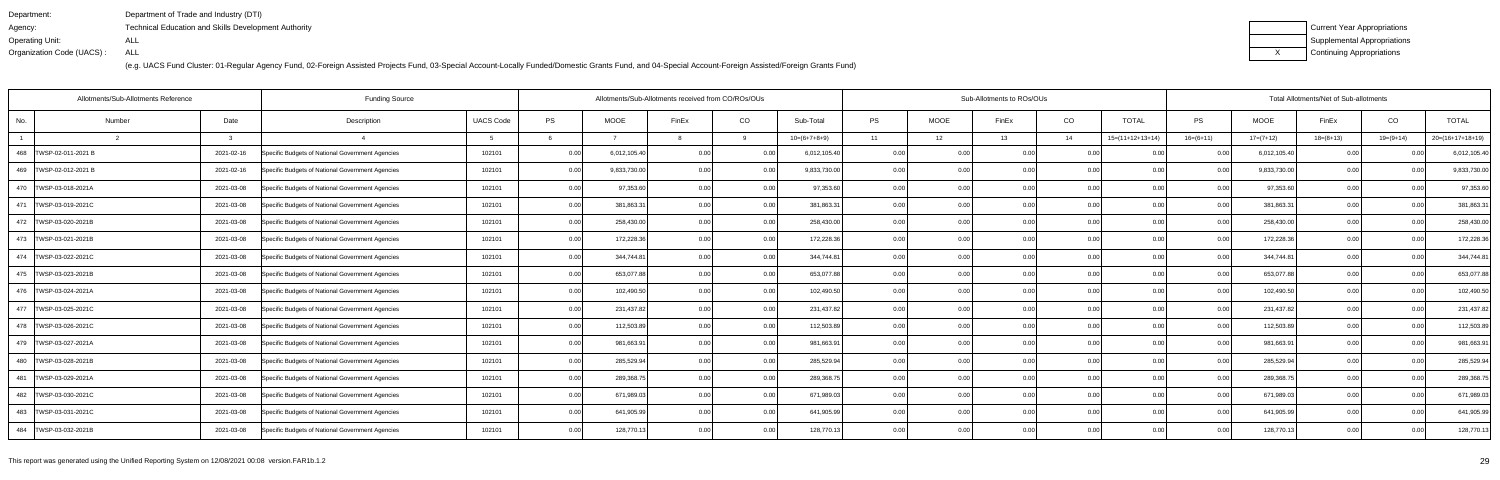| Department:               | Department of Trade and Industry (DTI)                      |
|---------------------------|-------------------------------------------------------------|
| Agency:                   | <b>Technical Education and Skills Development Authority</b> |
| Operating Unit:           | ALL                                                         |
| Organization Code (UACS): | ALL                                                         |

| Current Year Appropriations |
|-----------------------------|
| Supplemental Appropriations |
| Continuing Appropriations   |

| <b>Funding Source</b><br>Allotments/Sub-Allotments Reference |        |            |                                                  |                  |      |              | Allotments/Sub-Allotments received from CO/ROs/OUs |      |                |       |             | Sub-Allotments to ROs/OUs |      |                    |                |              | Total Allotments/Net of Sub-allotments |                |                    |
|--------------------------------------------------------------|--------|------------|--------------------------------------------------|------------------|------|--------------|----------------------------------------------------|------|----------------|-------|-------------|---------------------------|------|--------------------|----------------|--------------|----------------------------------------|----------------|--------------------|
| No.                                                          | Number | Date       | Description                                      | <b>UACS Code</b> | PS   | <b>MOOE</b>  | FinEx                                              | CO   | Sub-Total      | PS    | <b>MOOE</b> | FinEx                     | CO   | <b>TOTAL</b>       | <b>PS</b>      | MOOE         | FinEx                                  | CO             | <b>TOTAL</b>       |
|                                                              |        |            |                                                  |                  |      |              |                                                    | റ    | $10=(6+7+8+9)$ | 11    | 12          | 13                        | 14   | $15=(11+12+13+14)$ | $16=(6+11)$    | $17=(7+12)$  | $18=(8+13)$                            | $19=(9+14)$    | $20=(16+17+18+19)$ |
| 468   TWSP-02-011-2021 B                                     |        | 2021-02-16 | Specific Budgets of National Government Agencies | 102101           | 0.00 | 6,012,105.40 | 0.00                                               | 0.00 | 6,012,105.40   | 0.00  | 0.00        | 0.00                      | 0.00 | 0.00               | 0.00           | 6,012,105.40 | 0.00                                   |                | 6,012,105.40       |
| 469   TWSP-02-012-2021 B                                     |        | 2021-02-16 | Specific Budgets of National Government Agencies | 102101           | 0.00 | 9,833,730.00 | 0.00                                               | 0.00 | 9,833,730.00   | 0.00  | 0.00        | 0.00                      | 0.00 | 0.00               | 0 Q            | 9,833,730.00 | 0.00                                   | ი იი           | 9,833,730.00       |
| 470   TWSP-03-018-2021A                                      |        | 2021-03-08 | Specific Budgets of National Government Agencies | 102101           | 0.00 | 97,353.60    | 0.00                                               | 0.00 | 97,353.60      | 0.00  | 0.00        | 0.00                      | 0.00 | 0.00               | 0 <sub>0</sub> | 97,353.60    | 0.00                                   | 0.00           | 97,353.60          |
| 471   TWSP-03-019-2021C                                      |        | 2021-03-08 | Specific Budgets of National Government Agencies | 102101           | 0.00 | 381,863.3    | 0.00                                               | 0.00 | 381,863.31     | 0.00  | 0.00        | 0.00                      | 0.00 | 0.00               | 0.00           | 381,863.31   | 0.00                                   | 0.00           | 381,863.31         |
| 472   TWSP-03-020-2021B                                      |        | 2021-03-08 | Specific Budgets of National Government Agencies | 102101           | 0.00 | 258,430.00   | 0 <sub>0</sub>                                     | 0.00 | 258,430.00     | 0.0(  | 0.00        |                           | 0.00 | 0.00               |                | 258,430.00   | 0.0                                    |                | 258,430.00         |
| 473   TWSP-03-021-2021B                                      |        | 2021-03-08 | Specific Budgets of National Government Agencies | 102101           | 0.00 | 172,228.36   | 0.OC                                               | 0.00 | 172,228.36     | 0.00  | 0.00        | 0.00                      | 0.00 | 0.00               |                | 172,228.36   | 0.00                                   | ი იი           | 172,228.36         |
| 474   TWSP-03-022-2021C                                      |        | 2021-03-08 | Specific Budgets of National Government Agencies | 102101           | 0.00 | 344,744.8    | 0.00                                               | 0.00 | 344,744.81     | 0.00  | 0.00        | 0.00                      | 0.00 | 0.001              | 0.00           | 344,744.81   | 0.00                                   | 0.00           | 344,744.81         |
| 475   TWSP-03-023-2021B                                      |        | 2021-03-08 | Specific Budgets of National Government Agencies | 102101           | 0.00 | 653,077.88   | 0 <sub>0</sub>                                     | 0.00 | 653,077.88     | 0.0(  | 0.00        |                           | 0.00 |                    |                | 653,077.88   | 0.0                                    |                | 653,077.88         |
| 476   TWSP-03-024-2021A                                      |        | 2021-03-08 | Specific Budgets of National Government Agencies | 102101           | 0.00 | 102,490.50   | 0 <sub>0</sub>                                     | 0.00 | 102,490.50     | 0.00  | 0.00        | 0.00                      | 0.00 | 0.00               |                | 102,490.50   | 0.00                                   | n nn           | 102,490.50         |
| 477   TWSP-03-025-2021C                                      |        | 2021-03-08 | Specific Budgets of National Government Agencies | 102101           | 0.00 | 231,437.82   | 0.00                                               | 0.00 | 231,437.82     | 0.00  | 0.00        | 0.00 <sub>1</sub>         | 0.00 | 0.00               | 0.00           | 231,437.82   | 0.00                                   | 0.00           | 231,437.82         |
| 478   TWSP-03-026-2021C                                      |        | 2021-03-08 | Specific Budgets of National Government Agencies | 102101           | 0.00 | 112,503.89   | 0.00                                               | 0.00 | 112,503.89     | 0.00  | 0.00        | 0.00                      | 0.00 | 0.00               | 0.00           | 112,503.89   | 0.00                                   | ი იი           | 112,503.89         |
| 479   TWSP-03-027-2021A                                      |        | 2021-03-08 | Specific Budgets of National Government Agencies | 102101           | 0.00 | 981,663.9    | 0.00                                               | 0.00 | 981,663.91     | 0.00  | 0.00        | 0.00                      | 0.00 | 0.00               | 0 <sub>0</sub> | 981,663.91   | 0.00                                   | 0 <sub>0</sub> | 981,663.91         |
| 480 TWSP-03-028-2021B                                        |        | 2021-03-08 | Specific Budgets of National Government Agencies | 102101           | 0.00 | 285,529.94   | 0.00                                               | 0.00 | 285,529.94     | 0.00  | 0.00        | 0.00                      | 0.00 | 0.00               | 0 <sub>0</sub> | 285,529.94   | 0.00                                   | 0.00           | 285,529.94         |
| 481   TWSP-03-029-2021A                                      |        | 2021-03-08 | Specific Budgets of National Government Agencies | 102101           | 0.00 | 289,368.7    | 0.00                                               | 0.00 | 289,368.75     | 0.001 | 0.00        | 0.00                      | 0.00 | 0.00               | 0.00           | 289,368.75   | 0.00                                   | 0.00           | 289,368.75         |
| 482   TWSP-03-030-2021C                                      |        | 2021-03-08 | Specific Budgets of National Government Agencies | 102101           | 0.00 | 671,989.03   | 0.00                                               | 0.00 | 671,989.0      | 0.00  | 0.00        | 0.00                      | 0.00 | 0.00               | 0 <sub>0</sub> | 671,989.0    | 0.00                                   | n nn           | 671,989.03         |
| 483   TWSP-03-031-2021C                                      |        | 2021-03-08 | Specific Budgets of National Government Agencies | 102101           | 0.00 | 641,905.99   | 0.00                                               | 0.00 | 641,905.99     | 0.00  | 0.00        | 0.00                      | 0.00 | 0.00               |                | 641,905.99   | 0.00                                   | 0.00           | 641,905.99         |
| 484   TWSP-03-032-2021B                                      |        | 2021-03-08 | Specific Budgets of National Government Agencies | 102101           | 0.00 | 128,770.13   | 0.00                                               | 0.00 | 128,770.13     | 0.00  | 0.00        | 0.00                      | 0.00 | 0.00               | 0.00           | 128,770.13   | 0.00                                   | 0.00           | 128,770.13         |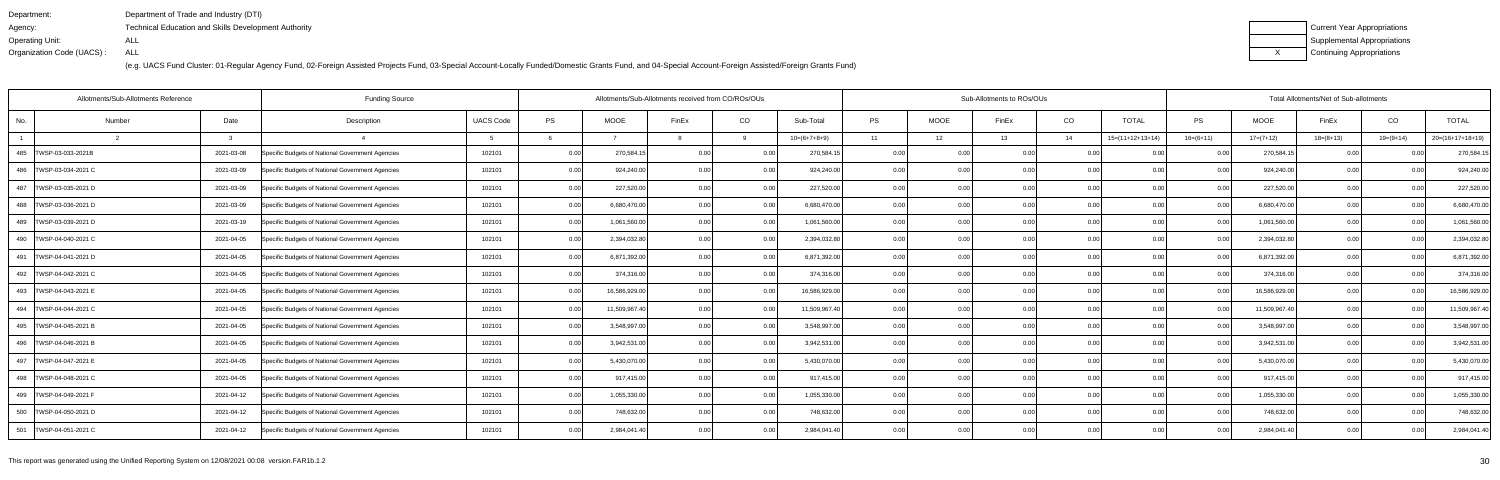| Department:               | Department of Trade and Industry (DTI)                      |
|---------------------------|-------------------------------------------------------------|
| Agency:                   | <b>Technical Education and Skills Development Authority</b> |
| Operating Unit:           | ALL                                                         |
| Organization Code (UACS): | ALL                                                         |

| Current Year Appropriations |
|-----------------------------|
| Supplemental Appropriations |
| Continuing Appropriations   |

| Allotments/Sub-Allotments Reference |        |            | <b>Funding Source</b>                            |                  |      | Allotments/Sub-Allotments received from CO/ROs/OUs |                |       |                |           |      | Sub-Allotments to ROs/OUs |      |                    |                   |               | Total Allotments/Net of Sub-allotments |                |                    |
|-------------------------------------|--------|------------|--------------------------------------------------|------------------|------|----------------------------------------------------|----------------|-------|----------------|-----------|------|---------------------------|------|--------------------|-------------------|---------------|----------------------------------------|----------------|--------------------|
| No.                                 | Number | Date       | Description                                      | <b>UACS Code</b> | PS   | <b>MOOE</b>                                        | FinEx          | CO    | Sub-Total      | <b>PS</b> | MOOE | FinEx                     | CO   | <b>TOTAL</b>       | PS                | <b>MOOE</b>   | FinEx                                  | CO             | <b>TOTAL</b>       |
|                                     |        |            |                                                  |                  |      |                                                    |                |       | $10=(6+7+8+9)$ | 11        | 12   | 13                        | 14   | $15=(11+12+13+14)$ | $16=(6+11)$       | $17=(7+12)$   | $18=(8+13)$                            | $19=(9+14)$    | $20=(16+17+18+19)$ |
| 485   TWSP-03-033-2021B             |        | 2021-03-08 | Specific Budgets of National Government Agencies | 102101           | 0.00 | 270,584.1                                          | 0.00           | 0.00  | 270,584.15     | 0.00      |      | 0.00                      | 0.0  |                    | 0.00              | 270,584.1     | 0.00                                   |                | 270,584.15         |
| 486   TWSP-03-034-2021 C            |        | 2021-03-09 | Specific Budgets of National Government Agencies | 102101           | 0.00 | 924,240.00                                         |                | 0.00  | 924,240.00     | 0.001     | 0.00 | n nr                      | 0.0  | 0.00               | 0.00              | 924,240.00    | 0.00                                   | 0 <sub>0</sub> | 924,240.00         |
| 487   TWSP-03-035-2021 D            |        | 2021-03-09 | Specific Budgets of National Government Agencies | 102101           | 0.00 | 227,520.00                                         |                | 0.00  | 227,520.00     | 0.00      | 0.00 | n nc                      | 0.00 | 0.00               | 0.00              | 227,520.00    | 0.00                                   | 0 <sub>0</sub> | 227,520.00         |
| 488   TWSP-03-036-2021 D            |        | 2021-03-09 | Specific Budgets of National Government Agencies | 102101           | 0.00 | 6,680,470.00                                       | 0.00           | 0.00  | 6,680,470.00   | 0.001     | 0.00 | 0.00                      | 0.00 | 0.00               | 0.00              | 6,680,470.00  | 0.00                                   | 0 <sub>0</sub> | 6,680,470.00       |
| 489   TWSP-03-039-2021 D            |        | 2021-03-19 | Specific Budgets of National Government Agencies | 102101           | 0.00 | 1,061,560.00                                       | 0 <sub>0</sub> | 0.00  | 1,061,560.00   | 0.00      | 0.0  |                           | 0.0  | 0.00               |                   | 1,061,560.00  | 0.00                                   | 0 <sub>0</sub> | 1,061,560.00       |
| 490   TWSP-04-040-2021 C            |        | 2021-04-05 | Specific Budgets of National Government Agencies | 102101           | 0.00 | 2,394,032.80                                       | 0.00           | 0.00  | 2,394,032.80   | 0.00      | 0.00 | 0.OC                      | 0.0  | ი იი               | 0.00              | 2,394,032.80  | 0.00                                   | 0.0(           | 2,394,032.80       |
| 491   TWSP-04-041-2021 D            |        | 2021-04-05 | Specific Budgets of National Government Agencies | 102101           | 0.00 | 6,871,392.00                                       | 0.00           | 0.00  | 6,871,392.00   | 0.001     | 0.00 | 0.00                      | 0.00 | 0.00               | 0.00              | 6,871,392.00  | 0.00                                   | 0.00           | 6,871,392.00       |
| 492   TWSP-04-042-2021 C            |        | 2021-04-05 | Specific Budgets of National Government Agencies | 102101           | 0.00 | 374,316.00                                         | 0 <sub>0</sub> | 0.00  | 374,316.00     | 0.00      | 0.00 |                           | 0.0  |                    | 0.OC              | 374,316.00    | 0.00                                   | 0 <sub>0</sub> | 374,316.00         |
| 493   TWSP-04-043-2021 E            |        | 2021-04-05 | Specific Budgets of National Government Agencies | 102101           | 0.00 | 16,586,929.00                                      | 0.00           | 0.00  | 16,586,929.00  | 0.00      | 0.00 | 0.00                      | 0.0  | 0.00               | 0.00              | 16,586,929.00 | 0.00                                   | 0 <sub>0</sub> | 16,586,929.00      |
| 494   TWSP-04-044-2021 C            |        | 2021-04-05 | Specific Budgets of National Government Agencies | 102101           | 0.00 | 11,509,967.40                                      | 0.00           | 0.00  | 11,509,967.40  | 0.00      | 0.00 | 0.00                      | 0.00 | 0.00               | 0.00              | 11,509,967.40 | 0.00                                   | 0.00           | 11,509,967.40      |
| 495   TWSP-04-045-2021 B            |        | 2021-04-05 | Specific Budgets of National Government Agencies | 102101           | 0.00 | 3,548,997.00                                       | 0.00           | 0.00  | 3,548,997.00   | 0.00      | 0.00 | 0.00                      | 0.0  | 0.00               | 0.00              | 3,548,997.00  | 0.00                                   | 0.00           | 3,548,997.00       |
| 496   TWSP-04-046-2021 B            |        | 2021-04-05 | Specific Budgets of National Government Agencies | 102101           | 0.00 | 3,942,531.00                                       | 0.00           | 0.00  | 3,942,531.00   | 0.00      | 0.00 | 0.00                      | 0.0  | 0.00               | 0.00              | 3,942,531.00  | 0.00                                   | 0.00           | 3,942,531.00       |
| 497   TWSP-04-047-2021 E            |        | 2021-04-05 | Specific Budgets of National Government Agencies | 102101           | 0.00 | 5,430,070.00                                       | 0.00           | 0.00  | 5,430,070.00   | 0.00      | 0.00 | 0.OC                      | 0.0  | 0.00               | 0.00              | 5,430,070.00  | 0.00                                   | 0.00           | 5,430,070.00       |
| 498   TWSP-04-048-2021 C            |        | 2021-04-05 | Specific Budgets of National Government Agencies | 102101           | 0.00 | 917,415.00                                         | 0.00           | 0.00  | 917,415.00     | 0.00      | 0.00 | 0.00                      | 0.00 | 0.00               | 0.00              | 917,415.00    | 0.00                                   | 0.00           | 917,415.00         |
| 499   TWSP-04-049-2021 F            |        | 2021-04-12 | Specific Budgets of National Government Agencies | 102101           | 0.00 | 1,055,330.00                                       | 0.00           | 0.00  | 1,055,330.00   | 0.00      | 0.00 | 0.00                      | 0.00 | 0.00               | 0.00              | 1,055,330.00  | 0.00                                   | 0.00           | 1,055,330.00       |
| 500   TWSP-04-050-2021 D            |        | 2021-04-12 | Specific Budgets of National Government Agencies | 102101           | 0.00 | 748,632.00                                         | 0.00           | 0.00  | 748,632.00     | 0.00      | 0.00 | 0.00                      | 0.0  | 0.00               | 0.00              | 748,632.00    | 0.00                                   | 0.00           | 748,632.00         |
| 501   TWSP-04-051-2021 C            |        | 2021-04-12 | Specific Budgets of National Government Agencies | 102101           | 0.00 | 2,984,041.40                                       | 0.00           | 0.001 | 2,984,041.40   | 0.001     | 0.00 | 0.00                      | 0.00 | 0.00               | 0.00 <sub>l</sub> | 2,984,041.40  | 0.00                                   | 0.00           | 2,984,041.40       |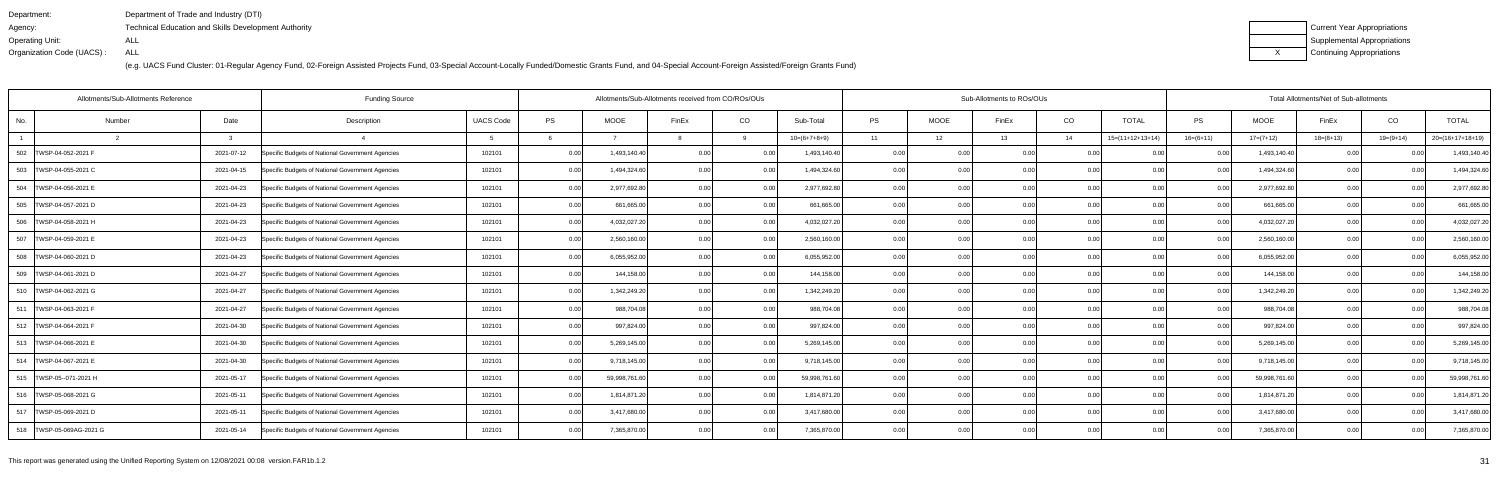| Department:               | Department of Trade and Industry (DTI)                      |
|---------------------------|-------------------------------------------------------------|
| Agency:                   | <b>Technical Education and Skills Development Authority</b> |
| Operating Unit:           | ALL                                                         |
| Organization Code (UACS): | ALL                                                         |

| Current Year Appropriations |
|-----------------------------|
| Supplemental Appropriations |
| Continuing Appropriations   |

| Allotments/Sub-Allotments Reference |        |            | <b>Funding Source</b>                            |                  |      | Allotments/Sub-Allotments received from CO/ROs/OUs |                |       |                |           |      | Sub-Allotments to ROs/OUs |      |                    |             |               | Total Allotments/Net of Sub-allotments |                |                    |
|-------------------------------------|--------|------------|--------------------------------------------------|------------------|------|----------------------------------------------------|----------------|-------|----------------|-----------|------|---------------------------|------|--------------------|-------------|---------------|----------------------------------------|----------------|--------------------|
| No.                                 | Number | Date       | Description                                      | <b>UACS Code</b> | PS   | <b>MOOE</b>                                        | FinEx          | CO    | Sub-Total      | <b>PS</b> | MOOE | FinEx                     | CO   | <b>TOTAL</b>       | PS          | <b>MOOE</b>   | FinEx                                  | CO             | <b>TOTAL</b>       |
|                                     |        |            |                                                  |                  |      |                                                    |                | Q     | $10=(6+7+8+9)$ | 11        | 12   | 13                        | 14   | $15=(11+12+13+14)$ | $16=(6+11)$ | $17=(7+12)$   | $18=(8+13)$                            | $19=(9+14)$    | $20=(16+17+18+19)$ |
| 502   TWSP-04-052-2021 F            |        | 2021-07-12 | Specific Budgets of National Government Agencies | 102101           | 0.00 | 1,493,140.40                                       | 0.00           | 0.00  | 1,493,140.40   | 0.00      |      | 0.00                      | 0.0  |                    | 0.00        | 1,493,140.40  | 0.00                                   |                | 1,493,140.40       |
| 503<br>TWSP-04-055-2021 C           |        | 2021-04-15 | Specific Budgets of National Government Agencies | 102101           | 0.00 | 1,494,324.60                                       | 0.00           | 0.00  | 1,494,324.60   | 0.001     | 0.00 | n nr                      | 0.0  | 0.00               | 0.OC        | 1,494,324.60  | 0.00                                   | 0 <sub>0</sub> | 1,494,324.60       |
| 504 TWSP-04-056-2021 E              |        | 2021-04-23 | Specific Budgets of National Government Agencies | 102101           | 0.00 | 2,977,692.80                                       |                | 0.00  | 2,977,692.80   | 0.00      | 0.00 |                           | 0.00 | 0.00               | 0.00        | 2,977,692.80  | 0.00                                   | 0 <sub>0</sub> | 2,977,692.80       |
| 505   TWSP-04-057-2021 D            |        | 2021-04-23 | Specific Budgets of National Government Agencies | 102101           | 0.00 | 661,665.00                                         | 0.00           | 0.00  | 661,665.00     | 0.001     | 0.00 | 0.00                      | 0.00 | 0.00               | 0.00        | 661,665.00    | 0.00                                   | 0 <sub>0</sub> | 661,665.00         |
| 506 TWSP-04-058-2021 H              |        | 2021-04-23 | Specific Budgets of National Government Agencies | 102101           | 0.00 | 4,032,027.20                                       | 0 <sub>0</sub> | 0.00  | 4,032,027.20   | 0.00      | 0.0  |                           | 0.0  | 0.00               |             | 4,032,027.20  | 0.00                                   | 0 <sub>0</sub> | 4,032,027.20       |
| 507   TWSP-04-059-2021 E            |        | 2021-04-23 | Specific Budgets of National Government Agencies | 102101           | 0.00 | 2,560,160.00                                       | 0.00           | 0.00  | 2,560,160.00   | 0.001     | 0.00 | 0.OC                      | 0.0  | ი იი               | 0.00        | 2,560,160.00  | 0.00                                   | 0.0(           | 2,560,160.00       |
| 508   TWSP-04-060-2021 D            |        | 2021-04-23 | Specific Budgets of National Government Agencies | 102101           | 0.00 | 6,055,952.00                                       | 0.00           | 0.00  | 6,055,952.00   | 0.001     | 0.00 | 0.00                      | 0.00 | 0.00               | 0.00        | 6,055,952.00  | 0.00                                   | 0.00           | 6,055,952.00       |
| 509   TWSP-04-061-2021 D            |        | 2021-04-27 | Specific Budgets of National Government Agencies | 102101           | 0.00 | 144,158.00                                         | 0 <sub>0</sub> | 0.00  | 144,158.00     | 0.00      | 0.00 |                           | 0.0  |                    |             | 144,158.00    | 0.00                                   |                | 144,158.00         |
| 510   TWSP-04-062-2021 G            |        | 2021-04-27 | Specific Budgets of National Government Agencies | 102101           | 0.00 | 1,342,249.20                                       | 0.00           | 0.00  | 1,342,249.20   | 0.00      | 0.00 | 0.00                      | 0.0  | 0.00               | 0.00        | 1,342,249.20  | 0.00                                   | 0.00           | 1,342,249.20       |
| 511   TWSP-04-063-2021 F            |        | 2021-04-27 | Specific Budgets of National Government Agencies | 102101           | 0.00 | 988,704.08                                         | 0.00           | 0.00  | 988,704.08     | 0.001     | 0.00 | 0.00                      | 0.00 | 0.00               | 0.00        | 988,704.08    | 0.00                                   | 0.00           | 988,704.08         |
| 512   TWSP-04-064-2021 F            |        | 2021-04-30 | Specific Budgets of National Government Agencies | 102101           | 0.00 | 997,824.00                                         | 0.00           | 0.00  | 997,824.00     | 0.00      | 0.00 | 0.00                      | 0.0  | 0.00               | 0.00        | 997,824.00    | 0.00                                   | 0.00           | 997,824.00         |
| 513   TWSP-04-066-2021 E            |        | 2021-04-30 | Specific Budgets of National Government Agencies | 102101           | 0.00 | 5,269,145.00                                       | 0.00           | 0.00  | 5,269,145.00   | 0.00      | 0.00 | 0.00                      | 0.0  | 0.00               | 0.00        | 5,269,145.00  | 0.00                                   | 0.0(           | 5,269,145.00       |
| 514   TWSP-04-067-2021 E            |        | 2021-04-30 | Specific Budgets of National Government Agencies | 102101           | 0.00 | 9,718,145.00                                       | 0.00           | 0.00  | 9,718,145.00   | 0.00      | 0.00 | 0.OC                      | 0.0  | 0.00               | 0.00        | 9,718,145.00  | 0.00                                   | 0.00           | 9,718,145.00       |
| 515   TWSP-05--071-2021 H           |        | 2021-05-17 | Specific Budgets of National Government Agencies | 102101           | 0.00 | 59,998,761.60                                      | 0.00           | 0.00  | 59,998,761.60  | 0.00      | 0.00 | 0.00                      | 0.00 | 0.00               | 0.00        | 59,998,761.60 | 0.00                                   | 0.00           | 59,998,761.60      |
| 516   TWSP-05-068-2021 G            |        | 2021-05-11 | Specific Budgets of National Government Agencies | 102101           | 0.00 | 1,814,871.20                                       | 0.00           | 0.00  | 1,814,871.20   | 0.00      | 0.00 | 0.00                      | 0.00 | 0.00               | 0.00        | 1,814,871.20  | 0.00                                   | 0.00           | 1,814,871.20       |
| 517   TWSP-05-069-2021 D            |        | 2021-05-11 | Specific Budgets of National Government Agencies | 102101           | 0.00 | 3,417,680.00                                       | 0.00           | 0.00  | 3,417,680.00   | 0.00      | 0.00 | 0.00                      | 0.00 | 0.00               | 0.00        | 3,417,680.00  | 0.00                                   | 0.00           | 3,417,680.00       |
| 518   TWSP-05-069AG-2021 G          |        | 2021-05-14 | Specific Budgets of National Government Agencies | 102101           | 0.00 | 7,365,870.00                                       | 0.00           | 0.001 | 7,365,870.00   | 0.001     | 0.00 | 0.00                      | 0.00 | 0.00               | 0.00        | 7,365,870.00  | 0.00                                   | 0.00           | 7,365,870.00       |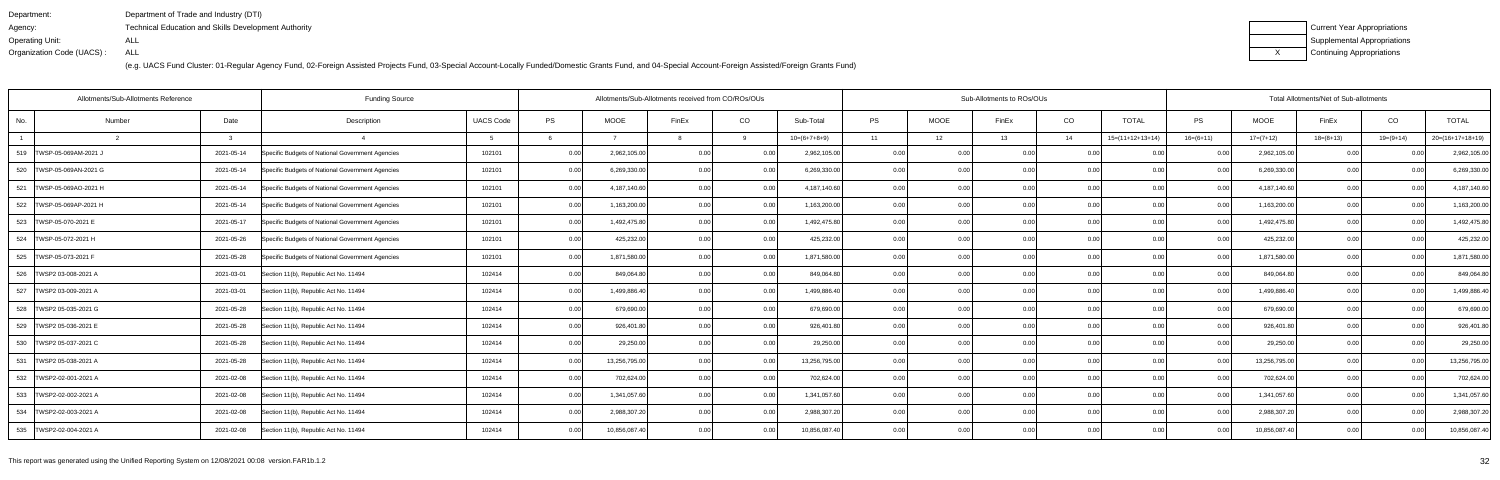| Department:               | Department of Trade and Industry (DTI)               |
|---------------------------|------------------------------------------------------|
| Agency:                   | Technical Education and Skills Development Authority |
| Operating Unit:           | ALL                                                  |
| Organization Code (UACS): | ALL                                                  |

| Current Year Appropriations |
|-----------------------------|
| Supplemental Appropriations |
| Continuing Appropriations   |

|                            | Allotments/Sub-Allotments Reference | <b>Funding Source</b>                            |                  |      | Allotments/Sub-Allotments received from CO/ROs/OUs |                |       |                |           |             | Sub-Allotments to ROs/OUs |                |                    |                   |               | Total Allotments/Net of Sub-allotments |                |                  |
|----------------------------|-------------------------------------|--------------------------------------------------|------------------|------|----------------------------------------------------|----------------|-------|----------------|-----------|-------------|---------------------------|----------------|--------------------|-------------------|---------------|----------------------------------------|----------------|------------------|
| No.                        | Date<br>Number                      | Description                                      | <b>UACS Code</b> | PS   | <b>MOOE</b>                                        | FinEx          | CO    | Sub-Total      | <b>PS</b> | <b>MOOE</b> | FinEx                     | CO             | <b>TOTAL</b>       | PS                | <b>MOOE</b>   | FinEx                                  | CO             | <b>TOTAL</b>     |
|                            | $\mathbf{r}$                        |                                                  |                  |      |                                                    |                | Q     | $10=(6+7+8+9)$ | 11        | 12          | 13                        | 14             | $15=(11+12+13+14)$ | $16=(6+11)$       | $17=(7+12)$   | $18=(8+13)$                            | $19=(9+14)$    | 20=(16+17+18+19) |
| 519   TWSP-05-069AM-2021 J | 2021-05-14                          | Specific Budgets of National Government Agencies | 102101           | 0.00 | 2,962,105.00                                       | 0.00           | 0.00  | 2,962,105.00   | 0.00      |             | 0.00                      | 0.0            |                    | 0.00              | 2,962,105.00  | 0.00                                   |                | 2,962,105.00     |
| 520   TWSP-05-069AN-2021 G | 2021-05-14                          | Specific Budgets of National Government Agencies | 102101           | 0.00 | 6,269,330.00                                       | 0.00           | 0.00  | 6,269,330.00   | 0.001     | 0.00        | n nr                      | 0.00           | 0.00               | 0.00              | 6,269,330.00  | 0.00                                   | 0 <sub>0</sub> | 6,269,330.00     |
| 521   TWSP-05-069AO-2021 H | 2021-05-14                          | Specific Budgets of National Government Agencies | 102101           | 0.00 | 4,187,140.60                                       |                | 0.00  | 4,187,140.60   | 0.001     | 0.00        | 0.OC                      | 0.00           | 0.00               | 0.00              | 4,187,140.60  | 0.00                                   | 0 <sub>0</sub> | 4,187,140.60     |
| 522  TWSP-05-069AP-2021 H  | 2021-05-14                          | Specific Budgets of National Government Agencies | 102101           | 0.00 | 1,163,200.00                                       | 0.00           | 0.00  | 1,163,200.00   | 0.001     | 0.00        | 0.00                      | 0.00           | 0.00               | 0.00              | 1,163,200.00  | 0.00                                   | 0.00           | 1,163,200.00     |
| 523 TWSP-05-070-2021 E     | 2021-05-17                          | Specific Budgets of National Government Agencies | 102101           | 0.00 | 1,492,475.80                                       | $\cap$ $\cap$  | 0.00  | 1,492,475.80   | 0.00      | 0.0         |                           | 0 <sub>0</sub> | ი იი               |                   | 1,492,475.80  | 0.00                                   | 0 <sub>0</sub> | 1,492,475.80     |
| 524   TWSP-05-072-2021 H   | 2021-05-26                          | Specific Budgets of National Government Agencies | 102101           | 0.00 | 425,232.00                                         | 0.00           | 0.00  | 425,232.00     | 0.001     | 0.00        | 0.OC                      | 0.0            | ი იი               | 0.00              | 425,232.00    | 0.00                                   | 0 <sub>0</sub> | 425,232.00       |
| 525   TWSP-05-073-2021 F   | 2021-05-28                          | Specific Budgets of National Government Agencies | 102101           | 0.00 | 1,871,580.00                                       | 0.00           | 0.00  | 1,871,580.00   | 0.00      | 0.00        | 0.00                      | 0.00           | 0.00               | 0.00              | 1,871,580.00  | 0.00                                   | 0.00           | 1,871,580.00     |
| 526   TWSP2 03-008-2021 A  | 2021-03-01                          | Section 11(b), Republic Act No. 11494            | 102414           | 0.00 | 849,064.80                                         | 0 <sub>0</sub> | 0.00  | 849,064.80     | 0.00      | 0.00        |                           | 0 <sub>0</sub> |                    | 0.OC              | 849,064.80    | 0 <sub>0</sub>                         |                | 849,064.80       |
| 527 TWSP2 03-009-2021 A    | 2021-03-01                          | Section 11(b), Republic Act No. 11494            | 102414           | 0.00 | 1,499,886.40                                       | 0.00           | 0.00  | 1,499,886.40   | 0.001     | 0.00        | 0.00                      | 0.0            | 0.00               | 0.00              | 1,499,886.40  | 0.00                                   | 0.00           | 1,499,886.40     |
| 528   TWSP2 05-035-2021 G  | 2021-05-28                          | Section 11(b), Republic Act No. 11494            | 102414           | 0.00 | 679,690.00                                         | 0.00           | 0.00  | 679,690.00     | 0.00      | 0.00        | 0.00                      | 0.00           | 0.00               | 0.00              | 679,690.00    | 0.00                                   | 0.00           | 679,690.00       |
| 529 TWSP2 05-036-2021 E    | 2021-05-28                          | Section 11(b), Republic Act No. 11494            | 102414           | 0.00 | 926,401.80                                         | 0.00           | 0.00  | 926,401.80     | 0.00      | 0.00        | 0.00                      | 0.0            | 0.00               | 0.00              | 926,401.80    | 0.00                                   | 0.00           | 926,401.80       |
| 530 TWSP2 05-037-2021 C    | 2021-05-28                          | Section 11(b), Republic Act No. 11494            | 102414           | 0.00 | 29,250.00                                          | 0.00           | 0.00  | 29,250.00      | 0.00      | 0.00        | 0.00                      | 0.00           | 0.00               | 0.00              | 29,250.00     | 0.00                                   | 0.00           | 29,250.00        |
| 531 TWSP2 05-038-2021 A    | 2021-05-28                          | Section 11(b), Republic Act No. 11494            | 102414           | 0.00 | 13,256,795.00                                      | 0.00           | 0.00  | 13,256,795.00  | 0.00      | 0.00        | 0.OC                      | 0.00           | 0.00               | 0.00              | 13,256,795.00 | 0.00                                   | 0.00           | 13,256,795.00    |
| 532 TWSP2-02-001-2021 A    | 2021-02-08                          | Section 11(b), Republic Act No. 11494            | 102414           | 0.00 | 702,624.00                                         | 0.00           | 0.00  | 702,624.00     | 0.001     | 0.00        | 0.00                      | 0.00           | 0.00               | 0.00              | 702,624.00    | 0.00                                   | 0.00           | 702,624.00       |
| 533   TWSP2-02-002-2021 A  | 2021-02-08                          | Section 11(b), Republic Act No. 11494            | 102414           | 0.00 | 1,341,057.60                                       | 0.00           | 0.00  | 1,341,057.60   | 0.001     | 0.00        | 0.00                      | 0.00           | 0.00               | 0.00              | 1,341,057.60  | 0.00                                   | 0.00           | 1,341,057.60     |
| 534   TWSP2-02-003-2021 A  | 2021-02-08                          | Section 11(b), Republic Act No. 11494            | 102414           | 0.00 | 2,988,307.20                                       | 0.00           | 0.00  | 2,988,307.20   | 0.00      | 0.00        | 0.00                      | 0.00           | 0.00               | 0.00              | 2,988,307.20  | 0.00                                   | 0.00           | 2,988,307.20     |
| 535 TWSP2-02-004-2021 A    | 2021-02-08                          | Section 11(b), Republic Act No. 11494            | 102414           | 0.00 | 10,856,087.40                                      | 0.00           | 0.001 | 10,856,087.40  | 0.00      | 0.00        | 0.00                      | 0.00           | 0.00               | 0.00 <sub>l</sub> | 10,856,087.40 | 0.00                                   | 0.00           | 10,856,087.40    |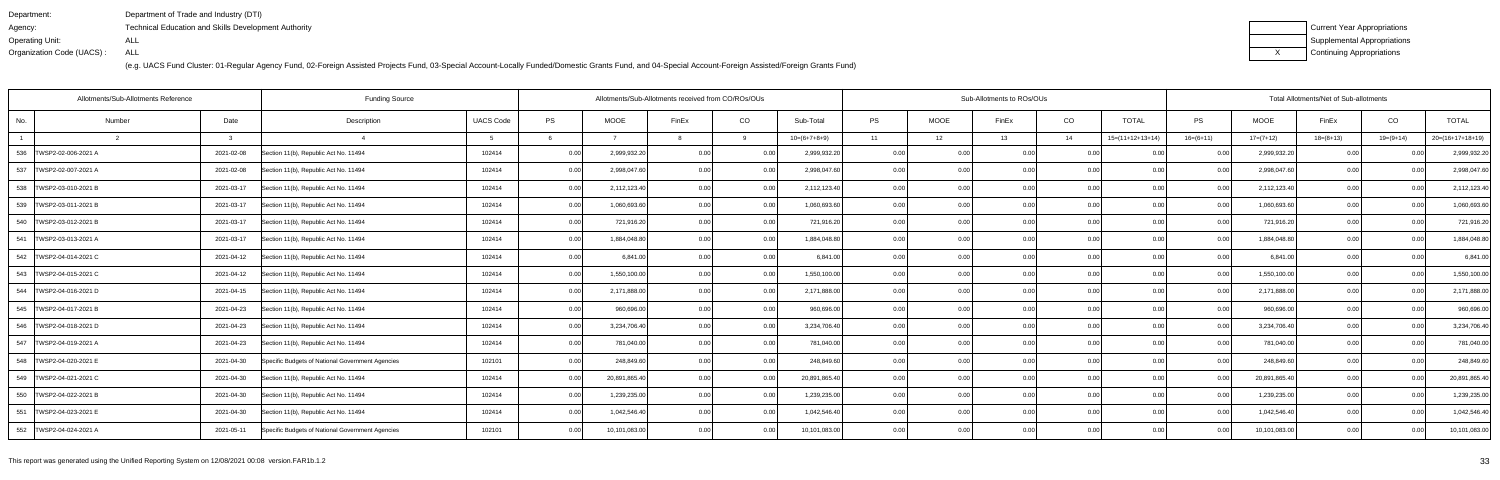| Department:               | Department of Trade and Industry (DTI)               |
|---------------------------|------------------------------------------------------|
| Agency:                   | Technical Education and Skills Development Authority |
| Operating Unit:           | ALL                                                  |
| Organization Code (UACS): | ALL                                                  |

| Current Year Appropriations |
|-----------------------------|
| Supplemental Appropriations |
| Continuing Appropriations   |

| Allotments/Sub-Allotments Reference |        | Allotments/Sub-Allotments received from CO/ROs/OUs |                                                  |                  |      |               |                | Sub-Allotments to ROs/OUs |                |           | Total Allotments/Net of Sub-allotments |       |                |                    |                   |               |             |                |                    |
|-------------------------------------|--------|----------------------------------------------------|--------------------------------------------------|------------------|------|---------------|----------------|---------------------------|----------------|-----------|----------------------------------------|-------|----------------|--------------------|-------------------|---------------|-------------|----------------|--------------------|
| No.                                 | Number | Date                                               | Description                                      | <b>UACS Code</b> | PS   | <b>MOOE</b>   | FinEx          | CO                        | Sub-Total      | <b>PS</b> | MOOE                                   | FinEx | CO             | <b>TOTAL</b>       | PS                | MOOE          | FinEx       | CO             | <b>TOTAL</b>       |
|                                     |        | ູ                                                  |                                                  |                  |      |               |                | 9                         | $10=(6+7+8+9)$ | 11        | 12                                     | 13    | 14             | $15=(11+12+13+14)$ | $16=(6+11)$       | $17=(7+12)$   | $18=(8+13)$ | $19=(9+14)$    | $20=(16+17+18+19)$ |
| 536 TWSP2-02-006-2021 A             |        | 2021-02-08                                         | Section 11(b), Republic Act No. 11494            | 102414           | 0.00 | 2,999,932.20  | 0.00           | 0.00                      | 2,999,932.20   | 0.00      | 0.00                                   | 0.00  | 0.0            |                    | 0.00              | 2,999,932.20  | 0.00        | 0.0(           | 2,999,932.20       |
| 537 TWSP2-02-007-2021 A             |        | 2021-02-08                                         | Section 11(b), Republic Act No. 11494            | 102414           | 0.00 | 2,998,047.60  | 0.00           | 0.00                      | 2,998,047.60   | 0.00      | 0.00                                   | 0.00  | 0.00           | 0.00               | 0.00              | 2,998,047.60  | 0.00        | 0 <sub>0</sub> | 2,998,047.60       |
| 538   TWSP2-03-010-2021 B           |        | 2021-03-17                                         | Section 11(b), Republic Act No. 11494            | 102414           | 0.00 | 2,112,123.40  | 0.00           | 0.00                      | 2,112,123.40   | 0.00      | 0.00                                   | ი იი  | 0.00           | 0.00               | 0.00              | 2,112,123.40  | 0.00        | 0.00           | 2,112,123.40       |
| 539   TWSP2-03-011-2021 B           |        | 2021-03-17                                         | Section 11(b), Republic Act No. 11494            | 102414           | 0.00 | 1,060,693.60  | 0.00           | 0.001                     | 1,060,693.60   | 0.00      | 0.00                                   | 0.00  | 0.00           | 0.00               | 0.00              | 1,060,693.60  | 0.00        | 0.00           | 1,060,693.60       |
| 540<br>TWSP2-03-012-2021 B          |        | 2021-03-17                                         | Section 11(b), Republic Act No. 11494            | 102414           | 0.00 | 721,916.20    | 0.00           | 0.00                      | 721,916.20     | 0.001     | 0.00                                   | n nn  | 0.00           | 0.00               | 0.00              | 721,916.20    | 0.00        | 0 <sub>0</sub> | 721,916.20         |
| 541   TWSP2-03-013-2021 A           |        | 2021-03-17                                         | Section 11(b), Republic Act No. 11494            | 102414           | 0.00 | 1,884,048.80  | 0.00           | 0.00                      | 1,884,048.80   | 0.00      | 0.00                                   | n nr  | 0.00           | 0.00               | 0.00              | 1,884,048.80  | 0.00        | 0.00           | 1,884,048.80       |
| 542   TWSP2-04-014-2021 C           |        | 2021-04-12                                         | Section 11(b), Republic Act No. 11494            | 102414           | 0.00 | 6,841.00      | 0.00           | 0.00                      | 6,841.00       | 0.00      | 0.00                                   | 0.00  | 0.00           | 0.00               | 0.00 <sub>l</sub> | 6,841.00      | 0.00        | 0.00           | 6,841.00           |
| 543   TWSP2-04-015-2021 C           |        | 2021-04-12                                         | Section 11(b), Republic Act No. 11494            | 102414           | 0.00 | 1,550,100.00  | $\cap$ $\cap$  | 0.00                      | 1,550,100.00   | 0.00      | 0.00                                   |       | 0 <sub>0</sub> | 0.00               |                   | 1,550,100.00  | 0.00        | 0 <sub>0</sub> | 1,550,100.00       |
| 544   TWSP2-04-016-2021 D           |        | 2021-04-15                                         | Section 11(b), Republic Act No. 11494            | 102414           | 0.00 | 2,171,888.00  |                | 0.00                      | 2,171,888.00   | 0.00      | 0.00                                   | ი იი  | 0.00           | 0.00               | 0.00              | 2,171,888.00  | 0.00        | 0 <sub>0</sub> | 2,171,888.00       |
| 545   TWSP2-04-017-2021 B           |        | 2021-04-23                                         | Section 11(b), Republic Act No. 11494            | 102414           | 0.00 | 960,696.00    | 0.00           | 0.00                      | 960,696.00     | 0.001     | 0.00                                   | 0.00  | 0.00           | 0.00               | 0.00 <sub>l</sub> | 960,696.00    | 0.00        | 0.00           | 960,696.00         |
| 546   TWSP2-04-018-2021 D           |        | 2021-04-23                                         | Section 11(b), Republic Act No. 11494            | 102414           | 0.00 | 3,234,706.40  | 0 <sub>0</sub> | 0.00                      | 3,234,706.40   | 0.00      | 0.00                                   |       | 0 <sub>0</sub> |                    | 0.00              | 3,234,706.40  | 0.00        | 0 <sub>0</sub> | 3,234,706.40       |
| 547   TWSP2-04-019-2021 A           |        | 2021-04-23                                         | Section 11(b), Republic Act No. 11494            | 102414           | 0.00 | 781,040.00    |                | 0.00                      | 781,040.00     | 0.00      | 0.00                                   | n nr  | 0.0            | 0.00               | 0.00              | 781,040.00    | 0.00        | 0 <sub>0</sub> | 781,040.00         |
| 548   TWSP2-04-020-2021 E           |        | 2021-04-30                                         | Specific Budgets of National Government Agencies | 102101           | 0.00 | 248,849.60    | 0.00           | 0.00                      | 248,849.60     | 0.001     | 0.00                                   | 0.00  | 0.00           | 0.00               | 0.00              | 248,849.60    | 0.00        | 0.00           | 248,849.60         |
| 549   TWSP2-04-021-2021 C           |        | 2021-04-30                                         | Section 11(b), Republic Act No. 11494            | 102414           | 0.00 | 20,891,865.40 | 0.00           | 0.00                      | 20,891,865.40  | 0.00      | 0.00                                   | 0.00  | 0.0            | 0.00               | 0.00              | 20,891,865.40 | 0.00        | 0 <sub>0</sub> | 20,891,865.40      |
| 550 TWSP2-04-022-2021 B             |        | 2021-04-30                                         | Section 11(b), Republic Act No. 11494            | 102414           | 0.00 | 1,239,235.00  | 0.00           | 0.00                      | 1,239,235.00   | 0.00      | 0.00                                   | 0.00  | 0.00           | 0.00               | 0.00              | 1,239,235.00  | 0.00        | 0 <sub>0</sub> | 1,239,235.00       |
| 551   TWSP2-04-023-2021 E           |        | 2021-04-30                                         | Section 11(b), Republic Act No. 11494            | 102414           | 0.00 | 1,042,546.40  |                | 0.00                      | 1,042,546.40   | 0.00      | 0.00                                   | n nn  | 0.00           | 0.00               | 0.00              | 1,042,546.40  | 0.00        | 0.00           | 1,042,546.40       |
| 552  TWSP2-04-024-2021 A            |        | 2021-05-11                                         | Specific Budgets of National Government Agencies | 102101           | 0.00 | 10,101,083.00 | 0.00           | 0.00                      | 10,101,083.00  | 0.001     | 0.00                                   | 0.00  | 0.00           | 0.00               | 0.001             | 10,101,083.00 | 0.00        | 0.00           | 10,101,083.00      |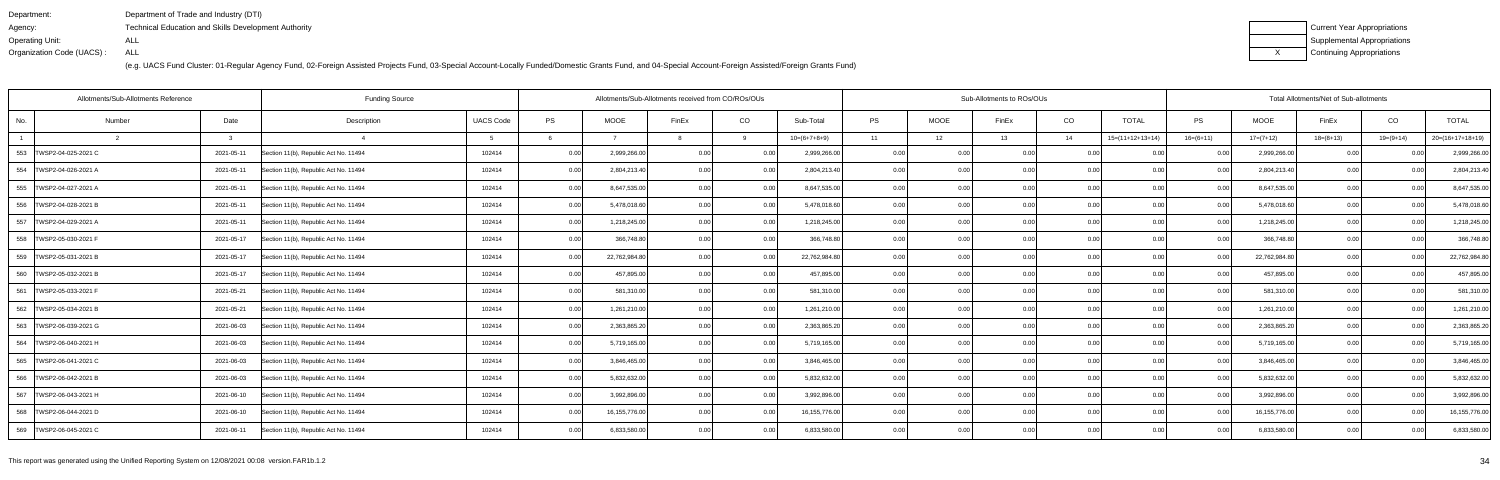| Department:               | Department of Trade and Industry (DTI)                      |
|---------------------------|-------------------------------------------------------------|
| Agency:                   | <b>Technical Education and Skills Development Authority</b> |
| Operating Unit:           | ALL                                                         |
| Organization Code (UACS): | ALL                                                         |

| Current Year Appropriations |
|-----------------------------|
| Supplemental Appropriations |
| Continuing Appropriations   |

| <b>Funding Source</b><br>Allotments/Sub-Allotments Reference |                |            |                                       |                  |      |                 | Allotments/Sub-Allotments received from CO/ROs/OUs |                   |                 |           |             | Sub-Allotments to ROs/OUs |      |                    | Total Allotments/Net of Sub-allotments |               |             |             |                    |
|--------------------------------------------------------------|----------------|------------|---------------------------------------|------------------|------|-----------------|----------------------------------------------------|-------------------|-----------------|-----------|-------------|---------------------------|------|--------------------|----------------------------------------|---------------|-------------|-------------|--------------------|
| No.                                                          | Number         | Date       | Description                           | <b>UACS Code</b> | PS   | <b>MOOE</b>     | FinEx                                              | CO                | Sub-Total       | <b>PS</b> | <b>MOOE</b> | FinEx                     | CO   | <b>TOTAL</b>       | <b>PS</b>                              | <b>MOOE</b>   | FinEx       | CO          | <b>TOTAL</b>       |
|                                                              | $\overline{2}$ |            |                                       |                  |      |                 |                                                    | 9                 | $10=(6+7+8+9)$  | 11        | 12          | 13                        | 14   | $15=(11+12+13+14)$ | $16=(6+11)$                            | $17=(7+12)$   | $18=(8+13)$ | $19=(9+14)$ | $20=(16+17+18+19)$ |
| 553 TWSP2-04-025-2021 C                                      |                | 2021-05-11 | Section 11(b), Republic Act No. 11494 | 102414           | 0.00 | 2,999,266.00    | 0.00                                               | 0.001             | 2,999,266.00    | 0.00      | 0.00        | 0.00                      | 0.00 | 0 <sub>0</sub>     | 0.00                                   | 2,999,266.00  | 0.00        | 0.00        | 2,999,266.00       |
| 554   TWSP2-04-026-2021 A                                    |                | 2021-05-11 | Section 11(b), Republic Act No. 11494 | 102414           | 0.00 | 2,804,213.40    | 0.00                                               | 0.00              | 2,804,213.40    | 0.00      | 0.00        | 0.00 <sub>l</sub>         | 0.00 | 0.00               | 0.00                                   | 2,804,213.40  | 0.00        | 0.00        | 2,804,213.40       |
| 555 TWSP2-04-027-2021 A                                      |                | 2021-05-11 | Section 11(b), Republic Act No. 11494 | 102414           | 0.00 | 8,647,535.00    | 0.00                                               | 0.00              | 8,647,535.00    | 0.00      | 0.00        | 0.00                      | 0.00 | 0.00               | 0.00                                   | 8,647,535.00  | 0.00        | 0.00        | 8,647,535.00       |
| 556   TWSP2-04-028-2021 B                                    |                | 2021-05-11 | Section 11(b), Republic Act No. 11494 | 102414           | 0.00 | 5,478,018.60    | 0.00                                               | 0.00              | 5,478,018.60    | 0.00      | 0.00        | 0.00                      | 0.00 | 0.00               | 0.00                                   | 5,478,018.60  | 0.00        | 0.00        | 5,478,018.60       |
| 557   TWSP2-04-029-2021 A                                    |                | 2021-05-11 | Section 11(b), Republic Act No. 11494 | 102414           | 0.00 | 1,218,245.00    | 0 <sub>0</sub>                                     | 0.00              | 1,218,245.00    | 0.00      | 0.00        | 0.00                      | 0.00 |                    | 0.00                                   | 1,218,245.00  | 0.00        | 0.00        | 1,218,245.00       |
| 558  TWSP2-05-030-2021 F                                     |                | 2021-05-17 | Section 11(b), Republic Act No. 11494 | 102414           | 0.00 | 366,748.80      | 0 <sub>0</sub>                                     | 0.00              | 366,748.80      | 0.00      | 0.00        | 0.00 <sub>l</sub>         | 0.00 |                    | 0.00                                   | 366.748.80    | 0.00        | 0.00        | 366,748.80         |
| 559 TWSP2-05-031-2021 B                                      |                | 2021-05-17 | Section 11(b), Republic Act No. 11494 | 102414           | 0.00 | 22,762,984.80   | 0.00                                               | 0.00              | 22,762,984.80   | 0.00      | 0.00        | 0.001                     | 0.00 | 0.00               | 0.00                                   | 22,762,984.80 | 0.00        | 0.00        | 22,762,984.80      |
| 560   TWSP2-05-032-2021 B                                    |                | 2021-05-17 | Section 11(b), Republic Act No. 11494 | 102414           | 0.00 | 457,895.00      | 0 <sub>0</sub>                                     | 0.00              | 457,895.00      | 0.00      | 0.00        | 0.00                      | 0.00 |                    | 0.00                                   | 457,895.00    | 0.00        | 0.OC        | 457,895.00         |
| 561 TWSP2-05-033-2021 F                                      |                | 2021-05-21 | Section 11(b), Republic Act No. 11494 | 102414           | 0.00 | 581,310.00      | 0 <sub>0</sub>                                     | 0.00              | 581,310.00      | 0.00      | 0.00        | 0.001                     | 0.00 | 0 <sub>0</sub>     | 0.00                                   | 581,310.00    | 0.00        | 0.00        | 581,310.00         |
| 562   TWSP2-05-034-2021 B                                    |                | 2021-05-21 | Section 11(b), Republic Act No. 11494 | 102414           | 0.00 | 1,261,210.00    | 0 <sub>0</sub>                                     | 0.00              | 1,261,210.00    | 0.00      | 0.00        | 0.00 <sub>l</sub>         | 0.00 | 0.00               | 0.00                                   | 1,261,210.00  | 0.00        | 0.00        | 1,261,210.00       |
| 563   TWSP2-06-039-2021 G                                    |                | 2021-06-03 | Section 11(b), Republic Act No. 11494 | 102414           | 0.00 | 2,363,865.20    | 0 <sub>0</sub>                                     | 0.00              | 2,363,865.20    | 0.00      | 0.00        | 0.00                      | 0.00 | 0.00               | 0.00                                   | 2,363,865.20  | 0.00        | 0.00        | 2,363,865.20       |
| 564   TWSP2-06-040-2021 H                                    |                | 2021-06-03 | Section 11(b), Republic Act No. 11494 | 102414           | 0.00 | 5,719,165.00    | 0 <sub>0</sub>                                     | 0.00              | 5,719,165.00    | 0.00      | 0.00        | 0.00 <sub>l</sub>         | 0.00 | 0.00               | 0.00                                   | 5,719,165.00  | 0.00        | 0.00        | 5,719,165.00       |
| 565   TWSP2-06-041-2021 C                                    |                | 2021-06-03 | Section 11(b), Republic Act No. 11494 | 102414           | 0.00 | 3,846,465.00    | 0 <sub>0</sub>                                     | 0.00 <sub>l</sub> | 3.846.465.00    | 0.00      | 0.00        | 0.001                     | 0.00 | 0 <sub>0</sub>     | 0.00                                   | 3,846,465.00  | 0.00        | 0.00        | 3,846,465.00       |
| 566 TWSP2-06-042-2021 B                                      |                | 2021-06-03 | Section 11(b), Republic Act No. 11494 | 102414           | 0.00 | 5,832,632.00    | 0.00                                               | 0.001             | 5,832,632.00    | 0.00      | 0.00        | 0.00                      | 0.00 | 0.00               | 0.00                                   | 5,832,632.00  | 0.00        | 0.00        | 5,832,632.00       |
| 567 TWSP2-06-043-2021 H                                      |                | 2021-06-10 | Section 11(b), Republic Act No. 11494 | 102414           | 0.00 | 3,992,896.00    | 0.00                                               | 0.00              | 3,992,896.0     | 0.00      | 0.00        | 0.00                      | 0.00 | 0.00               | 0.00                                   | 3,992,896.00  | 0.00        | 0.00        | 3,992,896.00       |
| 568   TWSP2-06-044-2021 D                                    |                | 2021-06-10 | Section 11(b), Republic Act No. 11494 | 102414           | 0.00 | 16, 155, 776.00 | 0.00                                               | 0.001             | 16, 155, 776.00 | 0.00      | 0.00        | 0.001                     | 0.00 | 0.00               | 0.00                                   | 16,155,776.00 | 0.00        | 0.00        | 16,155,776.00      |
| 569 TWSP2-06-045-2021 C                                      |                | 2021-06-11 | Section 11(b), Republic Act No. 11494 | 102414           | 0.00 | 6,833,580.00    | 0.00                                               | 0.00              | 6,833,580.00    | 0.00      | 0.00        | 0.00                      | 0.00 | 0.00               | 0.00                                   | 6,833,580.00  | 0.00        | 0.00        | 6,833,580.00       |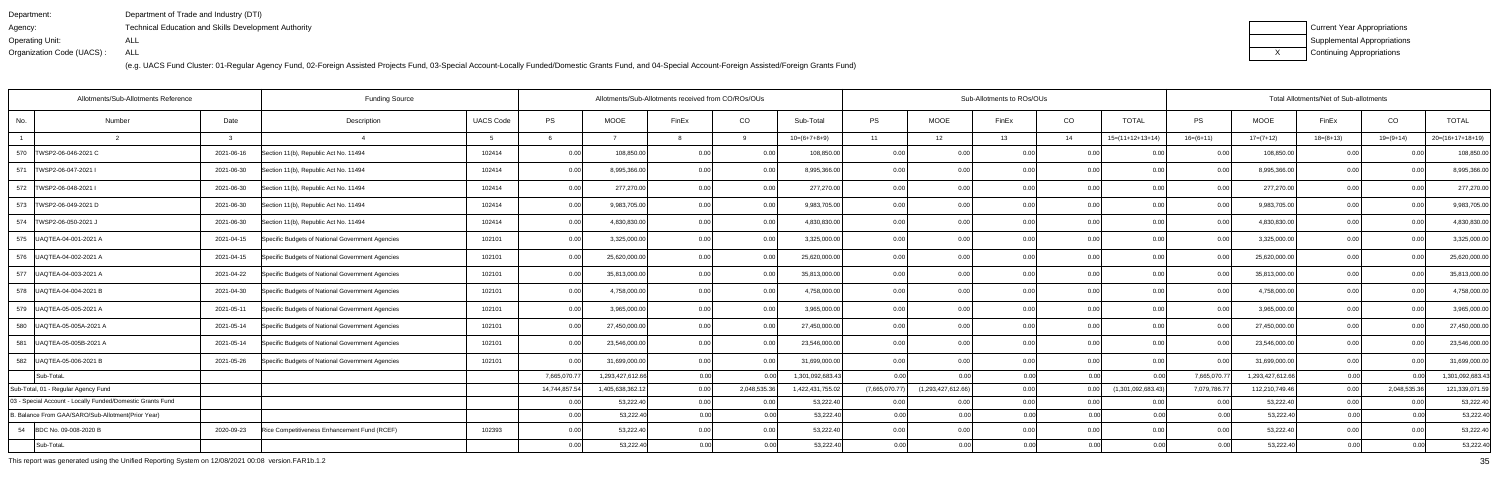| Department:               | Department of Trade and Industry (DTI)               |
|---------------------------|------------------------------------------------------|
| Agency:                   | Technical Education and Skills Development Authority |
| Operating Unit:           | ALL                                                  |
| Organization Code (UACS): | ALL                                                  |

| Current Year Appropriations |
|-----------------------------|
| Supplemental Appropriations |
| Continuing Appropriations   |

| Allotments/Sub-Allotments Reference                        |            | Allotments/Sub-Allotments received from CO/ROs/OUs |                  |               |                  |                   |              | Sub-Allotments to ROs/OUs |                |                    | Total Allotments/Net of Sub-allotments |      |                    |              |                  |             |                |                    |
|------------------------------------------------------------|------------|----------------------------------------------------|------------------|---------------|------------------|-------------------|--------------|---------------------------|----------------|--------------------|----------------------------------------|------|--------------------|--------------|------------------|-------------|----------------|--------------------|
| No.<br>Number                                              | Date       | Description                                        | <b>UACS Code</b> | PS            | MOOE             | FinEx             | CO           | Sub-Total                 | PS             | MOOE               | FinEx                                  | CO   | <b>TOTAL</b>       | PS           | <b>MOOE</b>      | FinEx       | CO             | <b>TOTAL</b>       |
|                                                            |            |                                                    |                  |               |                  |                   | 9            | $10=(6+7+8+9)$            | 11             | 12                 | 13                                     | 14   | $15=(11+12+13+14)$ | $16=(6+11)$  | $17=(7+12)$      | $18=(8+13)$ | $19=(9+14)$    | $20=(16+17+18+19)$ |
| 570<br>TWSP2-06-046-2021 C                                 | 2021-06-16 | Section 11(b), Republic Act No. 11494              | 102414           | 0.00          | 108,850.00       |                   | 0.00         | 108,850.00                | 0.00           | 0.00               | 0.00                                   | 0.0  |                    | 0.00         | 108,850.00       | 0.00        |                | 108,850.00         |
| 571<br>TWSP2-06-047-2021 I                                 | 2021-06-30 | Section 11(b), Republic Act No. 11494              | 102414           | 0.00          | 8,995,366.00     | 0.00              | 0.00         | 8,995,366.00              | 0.00           | 0.00               | 0.00                                   | 0.00 | 0.00               | 0.00         | 8,995,366.00     | 0.00        | 0.00           | 8,995,366.00       |
| 572   TWSP2-06-048-2021 I                                  | 2021-06-30 | Section 11(b), Republic Act No. 11494              | 102414           | 0.00          | 277,270.00       |                   | 0.00         | 277,270.00                | 0.00           | 0.00               | 0.00                                   | 0.0  | 0.00               | 0.00         | 277,270.00       | 0.00        | 0 <sub>0</sub> | 277,270.00         |
| 573   TWSP2-06-049-2021 D                                  | 2021-06-30 | Section 11(b), Republic Act No. 11494              | 102414           | 0.00          | 9,983,705.00     | 0.00              | 0.00         | 9,983,705.00              | 0.001          | 0.00               | 0.00                                   | 0.00 | 0.00               | 0.00         | 9,983,705.00     | 0.00        | 0.00           | 9,983,705.00       |
| 574   TWSP2-06-050-2021                                    | 2021-06-30 | Section 11(b), Republic Act No. 11494              | 102414           | 0.00          | 4,830,830.00     |                   | 0.00         | 4,830,830.00              | 0.00           | 0.00               |                                        | 0.00 | 0.00               | 0.00         | 4,830,830.00     | 0.00        | 0 <sub>0</sub> | 4,830,830.00       |
| 575<br>UAQTEA-04-001-2021 A                                | 2021-04-15 | Specific Budgets of National Government Agencies   | 102101           | 0.00          | 3,325,000.00     |                   | 0.00         | 3,325,000.00              | 0.00           | 0.00               | ስ በ(                                   | 0.00 | 0.00               | 0.00         | 3,325,000.00     | 0.00        | 0.00           | 3,325,000.00       |
| 576   UAQTEA-04-002-2021 A                                 | 2021-04-15 | Specific Budgets of National Government Agencies   | 102101           | 0.00          | 25,620,000.00    |                   | 0.00         | 25,620,000.00             | 0.00           | 0.00               | 0.00                                   | 0.00 | 0.00               | 0.00         | 25,620,000.00    | 0.00        | 0 <sub>0</sub> | 25,620,000.00      |
| 577   UAQTEA-04-003-2021 A                                 | 2021-04-22 | Specific Budgets of National Government Agencies   | 102101           | 0.00          | 35,813,000.00    |                   | 0.00         | 35,813,000.00             | 0.00           | 0.00               | 0 <sub>0</sub>                         | 0.00 | 0.00               | 0.00         | 35,813,000.00    | 0.00        | 0 <sub>0</sub> | 35,813,000.00      |
| 578   UAQTEA-04-004-2021 B                                 | 2021-04-30 | Specific Budgets of National Government Agencies   | 102101           | 0.00          | 4,758,000.00     |                   | 0.00         | 4,758,000.00              | 0.001          | 0.00               | 0.00                                   | 0.00 | 0.00               | 0.00         | 4,758,000.00     | 0.00        | 0.00           | 4,758,000.00       |
| 579   UAQTEA-05-005-2021 A                                 | 2021-05-11 | Specific Budgets of National Government Agencies   | 102101           | 0.00          | 3,965,000.00     |                   | 0.00         | 3,965,000.00              | 0.001          | 0.00               | ი იი                                   | 0.0  | 0.00               |              | 3,965,000.00     | 0.00        | 0 <sub>0</sub> | 3,965,000.00       |
| 580   UAQTEA-05-005A-2021 A                                | 2021-05-14 | Specific Budgets of National Government Agencies   | 102101           | 0.00          | 27,450,000.00    | 0.00              | 0.00         | 27,450,000.00             | 0.00           | 0.00               | 0.00                                   | 0.00 | 0.00               | 0.00         | 27,450,000.00    | 0.00        | 0.00           | 27,450,000.00      |
| 581<br>UAQTEA-05-005B-2021 A                               | 2021-05-14 | Specific Budgets of National Government Agencies   | 102101           | 0.00          | 23,546,000.0     | 0 <sub>0</sub>    | 0.00         | 23,546,000.00             | 0.00           | 0.00               | 0 <sub>0</sub>                         | 0.00 | 0.00               | 0.OC         | 23,546,000.00    | 0.00        | 0 <sub>0</sub> | 23,546,000.00      |
| 582 JUAQTEA-05-006-2021 B                                  | 2021-05-26 | Specific Budgets of National Government Agencies   | 102101           | 0.00          | 31,699,000.00    | 0.00              | 0.00         | 31,699,000.00             | 0.00           | 0.00               | 0.00                                   | 0.00 | 0.00               | 0.00         | 31,699,000.00    | 0.00        | 0.00           | 31,699,000.00      |
| Sub-TotaL                                                  |            |                                                    |                  | 7,665,070.77  | 1,293,427,612.66 | 0.00 <sub>l</sub> | 0.001        | 1,301,092,683.43          | 0.001          | n ool              | 0.00                                   | 0.00 | 0.OC               | 7,665,070.77 | 1,293,427,612.66 | 0.00        | 0.00           | 1,301,092,683.43   |
| Sub-Total, 01 - Regular Agency Fund                        |            |                                                    |                  | 14,744,857.54 | 1,405,638,362.12 | 0.00              | 2,048,535.36 | 1,422,431,755.02          | (7,665,070.77) | (1,293,427,612.66) | 0.00                                   | 0.00 | (1,301,092,683.43) | 7,079,786.77 | 112,210,749.46   | 0.00        | 2,048,535.3    | 121,339,071.59     |
| 03 - Special Account - Locally Funded/Domestic Grants Fund |            |                                                    |                  | 0.00          | 53,222.40        | 0.00              | 0.00         | 53,222.40                 | 0.00           | 0.00               | 0.00                                   | 0.00 |                    | 0.00         | 53,222.40        | 0.00        | 0.0(           | 53,222.40          |
| B. Balance From GAA/SARO/Sub-Allotment(Prior Year)         |            |                                                    |                  | 0.00          | 53,222.40        | 0.00 <sub>l</sub> | 0.00         | 53,222.40                 | 0.00           | 0.00               | 0.00                                   | 0.00 | 0.00               | 0.001        | 53,222.40        | 0.00        | 0.00           | 53,222.40          |
| 54<br>BDC No. 09-008-2020 B                                | 2020-09-23 | Rice Competitiveness Enhancement Fund (RCEF)       | 102393           | 0.00          | 53,222.40        | 0.00              | 0.00         | 53,222.40                 | 0.00           | 0.00               | 0.00                                   | 0.0  | 0.00               | 0.00         | 53,222.40        | 0.00        | 0.00           | 53,222.40          |
| Sub-TotaL                                                  |            |                                                    |                  | 0.00          | 53,222.40        | 0.00              | 0.00         | 53,222.40                 | 0.00           | 0.00               | 0.00                                   |      | 0.00               | 0.00         | 53,222.40        | 0.00        | 0.00           | 53,222.40          |

This report was generated using the Unified Reporting System on 12/08/2021 00:08 version.FAR1b.1.2